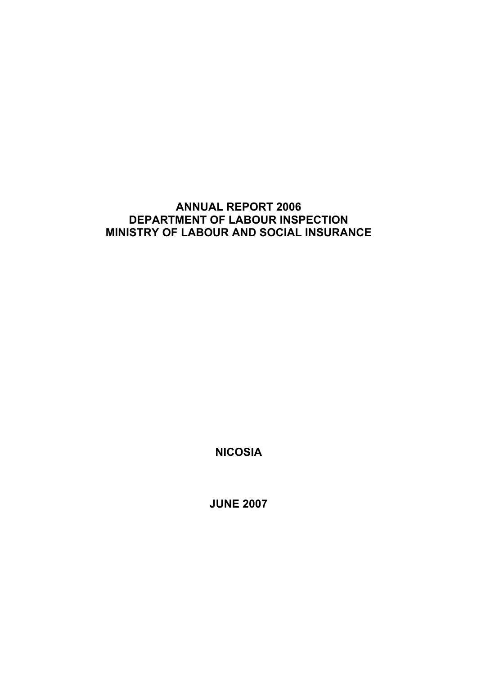# **ANNUAL REPORT 2006 DEPARTMENT OF LABOUR INSPECTION MINISTRY OF LABOUR AND SOCIAL INSURANCE**

**NICOSIA** 

**JUNE 2007**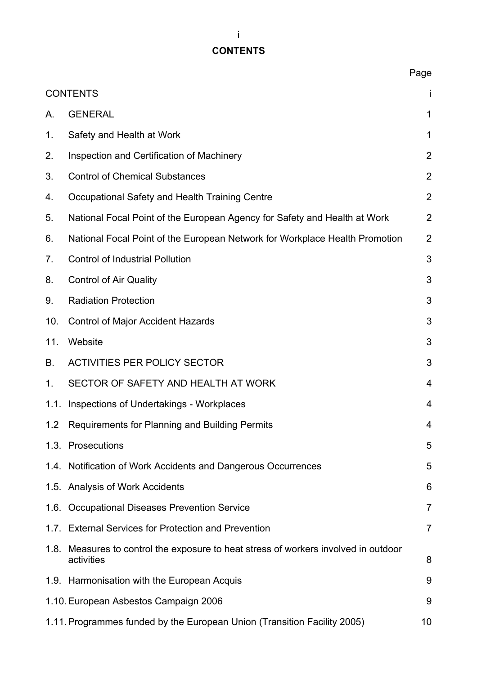# **CONTENTS**

|      |                                                                                                   | Page           |
|------|---------------------------------------------------------------------------------------------------|----------------|
|      | <b>CONTENTS</b>                                                                                   | İ              |
| А.   | <b>GENERAL</b>                                                                                    | 1              |
| 1.   | Safety and Health at Work                                                                         | 1              |
| 2.   | Inspection and Certification of Machinery                                                         | $\overline{2}$ |
| 3.   | <b>Control of Chemical Substances</b>                                                             | $\overline{2}$ |
| 4.   | Occupational Safety and Health Training Centre                                                    | $\overline{2}$ |
| 5.   | National Focal Point of the European Agency for Safety and Health at Work                         | $\overline{2}$ |
| 6.   | National Focal Point of the European Network for Workplace Health Promotion                       | $\overline{2}$ |
| 7.   | <b>Control of Industrial Pollution</b>                                                            | 3              |
| 8.   | <b>Control of Air Quality</b>                                                                     | 3              |
| 9.   | <b>Radiation Protection</b>                                                                       | 3              |
| 10.  | <b>Control of Major Accident Hazards</b>                                                          | 3              |
| 11.  | Website                                                                                           | 3              |
| В.   | <b>ACTIVITIES PER POLICY SECTOR</b>                                                               | 3              |
| 1.   | SECTOR OF SAFETY AND HEALTH AT WORK                                                               | 4              |
| 1.1. | <b>Inspections of Undertakings - Workplaces</b>                                                   | $\overline{4}$ |
|      | 1.2 Requirements for Planning and Building Permits                                                | 4              |
|      | 1.3. Prosecutions                                                                                 | 5              |
|      | 1.4. Notification of Work Accidents and Dangerous Occurrences                                     | 5              |
|      | 1.5. Analysis of Work Accidents                                                                   | 6              |
|      | 1.6. Occupational Diseases Prevention Service                                                     | $\overline{7}$ |
|      | 1.7. External Services for Protection and Prevention                                              | 7              |
|      | 1.8. Measures to control the exposure to heat stress of workers involved in outdoor<br>activities | 8              |
|      | 1.9. Harmonisation with the European Acquis                                                       | 9              |
|      | 1.10. European Asbestos Campaign 2006                                                             | 9              |
|      | 1.11. Programmes funded by the European Union (Transition Facility 2005)                          | 10             |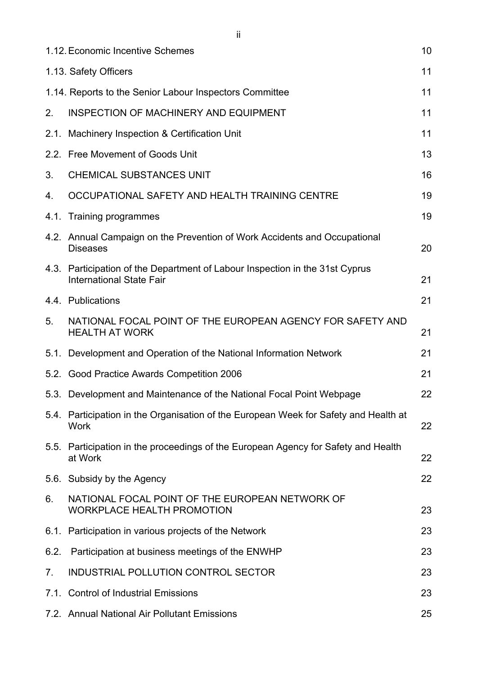|      | 1.12. Economic Incentive Schemes                                                                           | 10 |
|------|------------------------------------------------------------------------------------------------------------|----|
|      | 1.13. Safety Officers                                                                                      | 11 |
|      | 1.14. Reports to the Senior Labour Inspectors Committee                                                    | 11 |
| 2.   | <b>INSPECTION OF MACHINERY AND EQUIPMENT</b>                                                               | 11 |
| 2.1. | Machinery Inspection & Certification Unit                                                                  | 11 |
|      | 2.2. Free Movement of Goods Unit                                                                           | 13 |
| 3.   | <b>CHEMICAL SUBSTANCES UNIT</b>                                                                            | 16 |
| 4.   | OCCUPATIONAL SAFETY AND HEALTH TRAINING CENTRE                                                             | 19 |
| 4.1. | <b>Training programmes</b>                                                                                 | 19 |
|      | 4.2. Annual Campaign on the Prevention of Work Accidents and Occupational<br><b>Diseases</b>               | 20 |
| 4.3. | Participation of the Department of Labour Inspection in the 31st Cyprus<br><b>International State Fair</b> | 21 |
|      | 4.4. Publications                                                                                          | 21 |
| 5.   | NATIONAL FOCAL POINT OF THE EUROPEAN AGENCY FOR SAFETY AND<br><b>HEALTH AT WORK</b>                        | 21 |
|      | 5.1. Development and Operation of the National Information Network                                         | 21 |
|      | 5.2. Good Practice Awards Competition 2006                                                                 | 21 |
|      | 5.3. Development and Maintenance of the National Focal Point Webpage                                       | 22 |
|      | 5.4. Participation in the Organisation of the European Week for Safety and Health at<br><b>Work</b>        | 22 |
| 5.5. | Participation in the proceedings of the European Agency for Safety and Health<br>at Work                   | 22 |
|      | 5.6. Subsidy by the Agency                                                                                 | 22 |
| 6.   | NATIONAL FOCAL POINT OF THE EUROPEAN NETWORK OF<br><b>WORKPLACE HEALTH PROMOTION</b>                       | 23 |
|      | 6.1. Participation in various projects of the Network                                                      | 23 |
| 6.2. | Participation at business meetings of the ENWHP                                                            | 23 |
| 7.   | INDUSTRIAL POLLUTION CONTROL SECTOR                                                                        | 23 |
|      | 7.1. Control of Industrial Emissions                                                                       | 23 |
|      | 7.2. Annual National Air Pollutant Emissions                                                               | 25 |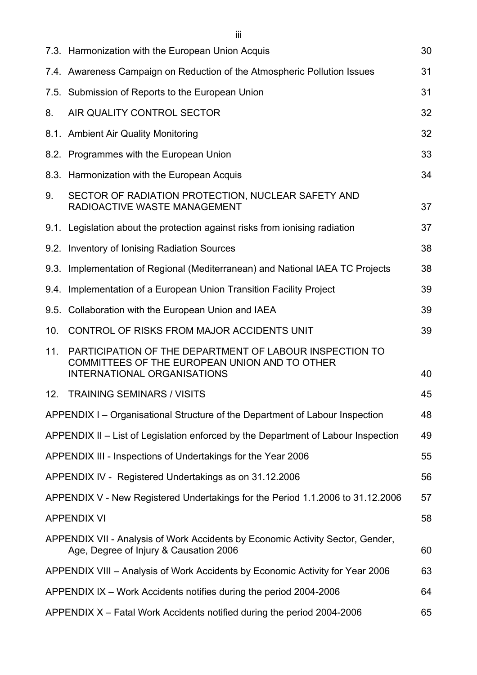|                 | 7.3. Harmonization with the European Union Acquis                                                                                              | 30 |
|-----------------|------------------------------------------------------------------------------------------------------------------------------------------------|----|
|                 | 7.4. Awareness Campaign on Reduction of the Atmospheric Pollution Issues                                                                       | 31 |
|                 | 7.5. Submission of Reports to the European Union                                                                                               | 31 |
| 8.              | AIR QUALITY CONTROL SECTOR                                                                                                                     | 32 |
|                 | 8.1. Ambient Air Quality Monitoring                                                                                                            | 32 |
|                 | 8.2. Programmes with the European Union                                                                                                        | 33 |
|                 | 8.3. Harmonization with the European Acquis                                                                                                    | 34 |
| 9.              | SECTOR OF RADIATION PROTECTION, NUCLEAR SAFETY AND<br>RADIOACTIVE WASTE MANAGEMENT                                                             | 37 |
|                 | 9.1. Legislation about the protection against risks from ionising radiation                                                                    | 37 |
|                 | 9.2. Inventory of Ionising Radiation Sources                                                                                                   | 38 |
|                 | 9.3. Implementation of Regional (Mediterranean) and National IAEA TC Projects                                                                  | 38 |
|                 | 9.4. Implementation of a European Union Transition Facility Project                                                                            | 39 |
| 9.5.            | Collaboration with the European Union and IAEA                                                                                                 | 39 |
| 10 <sub>1</sub> | CONTROL OF RISKS FROM MAJOR ACCIDENTS UNIT                                                                                                     | 39 |
| 11.             | PARTICIPATION OF THE DEPARTMENT OF LABOUR INSPECTION TO<br>COMMITTEES OF THE EUROPEAN UNION AND TO OTHER<br><b>INTERNATIONAL ORGANISATIONS</b> | 40 |
| 12 <sub>1</sub> | <b>TRAINING SEMINARS / VISITS</b>                                                                                                              | 45 |
|                 | APPENDIX I – Organisational Structure of the Department of Labour Inspection                                                                   | 48 |
|                 | APPENDIX II – List of Legislation enforced by the Department of Labour Inspection                                                              | 49 |
|                 | APPENDIX III - Inspections of Undertakings for the Year 2006                                                                                   | 55 |
|                 | APPENDIX IV - Registered Undertakings as on 31.12.2006                                                                                         | 56 |
|                 | APPENDIX V - New Registered Undertakings for the Period 1.1.2006 to 31.12.2006                                                                 | 57 |
|                 | <b>APPENDIX VI</b>                                                                                                                             | 58 |
|                 | APPENDIX VII - Analysis of Work Accidents by Economic Activity Sector, Gender,<br>Age, Degree of Injury & Causation 2006                       | 60 |
|                 | APPENDIX VIII - Analysis of Work Accidents by Economic Activity for Year 2006                                                                  | 63 |
|                 | APPENDIX IX – Work Accidents notifies during the period 2004-2006                                                                              | 64 |
|                 | APPENDIX X - Fatal Work Accidents notified during the period 2004-2006                                                                         | 65 |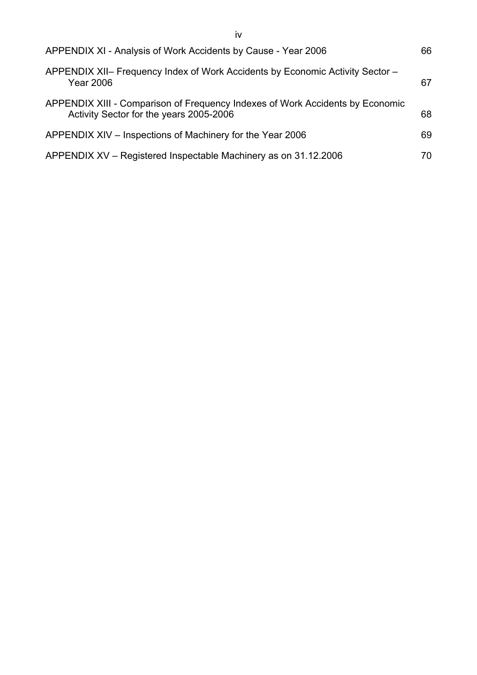| APPENDIX XI - Analysis of Work Accidents by Cause - Year 2006                                                            | 66 |
|--------------------------------------------------------------------------------------------------------------------------|----|
| APPENDIX XII– Frequency Index of Work Accidents by Economic Activity Sector –<br><b>Year 2006</b>                        | 67 |
| APPENDIX XIII - Comparison of Frequency Indexes of Work Accidents by Economic<br>Activity Sector for the years 2005-2006 | 68 |
| APPENDIX XIV – Inspections of Machinery for the Year 2006                                                                | 69 |
| APPENDIX XV – Registered Inspectable Machinery as on 31.12.2006                                                          | 70 |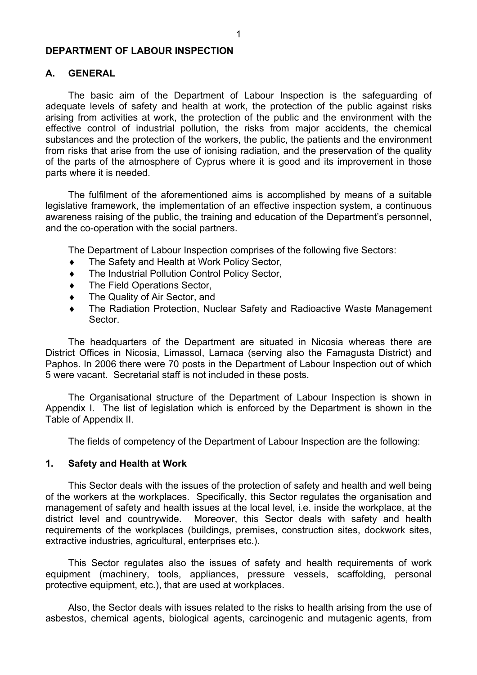#### **DEPARTMENT OF LABOUR INSPECTION**

#### **Α. GENERAL**

The basic aim of the Department of Labour Inspection is the safeguarding of adequate levels of safety and health at work, the protection of the public against risks arising from activities at work, the protection of the public and the environment with the effective control of industrial pollution, the risks from major accidents, the chemical substances and the protection of the workers, the public, the patients and the environment from risks that arise from the use of ionising radiation, and the preservation of the quality of the parts of the atmosphere of Cyprus where it is good and its improvement in those parts where it is needed.

The fulfilment of the aforementioned aims is accomplished by means of a suitable legislative framework, the implementation of an effective inspection system, a continuous awareness raising of the public, the training and education of the Department's personnel, and the co-operation with the social partners.

The Department of Labour Inspection comprises of the following five Sectors:

- The Safety and Health at Work Policy Sector,
- ♦ The Industrial Pollution Control Policy Sector,
- ♦ The Field Operations Sector,
- The Quality of Air Sector, and
- ♦ The Radiation Protection, Nuclear Safety and Radioactive Waste Management Sector.

The headquarters of the Department are situated in Nicosia whereas there are District Offices in Nicosia, Limassol, Larnaca (serving also the Famagusta District) and Paphos. In 2006 there were 70 posts in the Department of Labour Inspection out of which 5 were vacant. Secretarial staff is not included in these posts.

The Organisational structure of the Department of Labour Inspection is shown in Appendix I. The list of legislation which is enforced by the Department is shown in the Table of Appendix II.

The fields of competency of the Department of Labour Inspection are the following:

#### **1. Safety and Health at Work**

This Sector deals with the issues of the protection of safety and health and well being of the workers at the workplaces. Specifically, this Sector regulates the organisation and management of safety and health issues at the local level, i.e. inside the workplace, at the district level and countrywide. Moreover, this Sector deals with safety and health requirements of the workplaces (buildings, premises, construction sites, dockwork sites, extractive industries, agricultural, enterprises etc.).

This Sector regulates also the issues of safety and health requirements of work equipment (machinery, tools, appliances, pressure vessels, scaffolding, personal protective equipment, etc.), that are used at workplaces.

Also, the Sector deals with issues related to the risks to health arising from the use of asbestos, chemical agents, biological agents, carcinogenic and mutagenic agents, from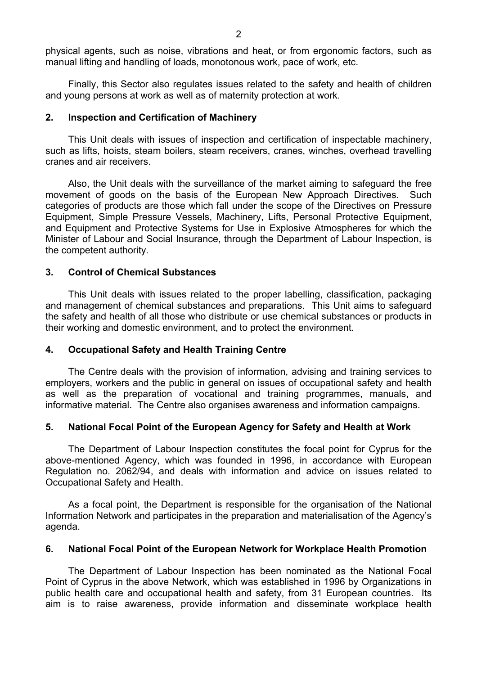physical agents, such as noise, vibrations and heat, or from ergonomic factors, such as manual lifting and handling of loads, monotonous work, pace of work, etc.

Finally, this Sector also regulates issues related to the safety and health of children and young persons at work as well as of maternity protection at work.

#### **2. Inspection and Certification of Machinery**

This Unit deals with issues of inspection and certification of inspectable machinery, such as lifts, hoists, steam boilers, steam receivers, cranes, winches, overhead travelling cranes and air receivers.

Also, the Unit deals with the surveillance of the market aiming to safeguard the free movement of goods on the basis of the European New Approach Directives. Such categories of products are those which fall under the scope of the Directives on Pressure Equipment, Simple Pressure Vessels, Machinery, Lifts, Personal Protective Equipment, and Equipment and Protective Systems for Use in Explosive Atmospheres for which the Minister of Labour and Social Insurance, through the Department of Labour Inspection, is the competent authority.

### **3. Control of Chemical Substances**

This Unit deals with issues related to the proper labelling, classification, packaging and management of chemical substances and preparations. This Unit aims to safeguard the safety and health of all those who distribute or use chemical substances or products in their working and domestic environment, and to protect the environment.

## **4. Occupational Safety and Health Training Centre**

The Centre deals with the provision of information, advising and training services to employers, workers and the public in general on issues of occupational safety and health as well as the preparation of vocational and training programmes, manuals, and informative material. The Centre also organises awareness and information campaigns.

## **5. National Focal Point of the European Agency for Safety and Health at Work**

The Department of Labour Inspection constitutes the focal point for Cyprus for the above-mentioned Agency, which was founded in 1996, in accordance with European Regulation no. 2062/94, and deals with information and advice on issues related to Occupational Safety and Health.

As a focal point, the Department is responsible for the organisation of the National Information Network and participates in the preparation and materialisation of the Agency's agenda.

#### **6. National Focal Point of the European Network for Workplace Health Promotion**

The Department of Labour Inspection has been nominated as the National Focal Point of Cyprus in the above Network, which was established in 1996 by Organizations in public health care and occupational health and safety, from 31 European countries. Its aim is to raise awareness, provide information and disseminate workplace health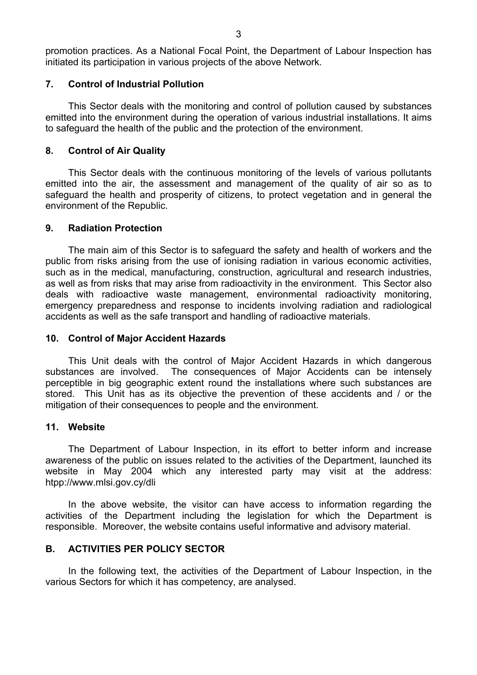promotion practices. As a National Focal Point, the Department of Labour Inspection has initiated its participation in various projects of the above Network.

## **7. Control of Industrial Pollution**

This Sector deals with the monitoring and control of pollution caused by substances emitted into the environment during the operation of various industrial installations. It aims to safeguard the health of the public and the protection of the environment.

### **8. Control of Air Quality**

This Sector deals with the continuous monitoring of the levels of various pollutants emitted into the air, the assessment and management of the quality of air so as to safeguard the health and prosperity of citizens, to protect vegetation and in general the environment of the Republic.

### **9. Radiation Protection**

The main aim of this Sector is to safeguard the safety and health of workers and the public from risks arising from the use of ionising radiation in various economic activities, such as in the medical, manufacturing, construction, agricultural and research industries, as well as from risks that may arise from radioactivity in the environment. This Sector also deals with radioactive waste management, environmental radioactivity monitoring, emergency preparedness and response to incidents involving radiation and radiological accidents as well as the safe transport and handling of radioactive materials.

#### **10. Control of Major Accident Hazards**

This Unit deals with the control of Major Accident Hazards in which dangerous substances are involved. The consequences of Major Accidents can be intensely perceptible in big geographic extent round the installations where such substances are stored. This Unit has as its objective the prevention of these accidents and / or the mitigation of their consequences to people and the environment.

#### **11. Website**

The Department of Labour Inspection, in its effort to better inform and increase awareness of the public on issues related to the activities of the Department, launched its website in May 2004 which any interested party may visit at the address: htpp://www.mlsi.gov.cy/dli

In the above website, the visitor can have access to information regarding the activities of the Department including the legislation for which the Department is responsible. Moreover, the website contains useful informative and advisory material.

## **Β. ACTIVITIES PER POLICY SECTOR**

In the following text, the activities of the Department of Labour Inspection, in the various Sectors for which it has competency, are analysed.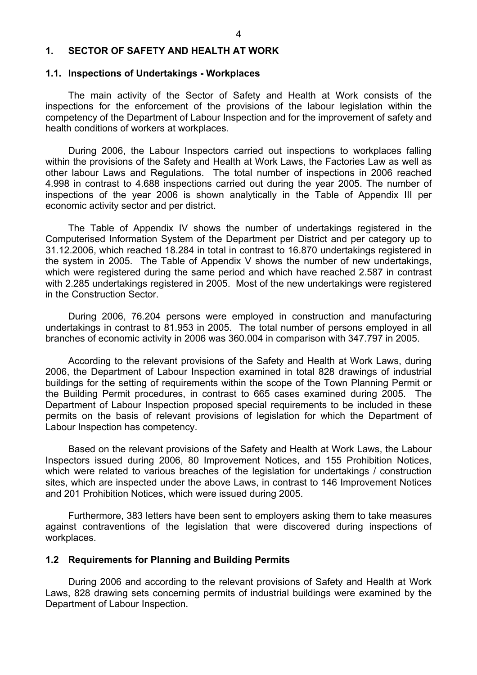#### **1. SECTOR OF SAFETY AND HEALTH AT WORK**

#### **1.1. Inspections of Undertakings - Workplaces**

The main activity of the Sector of Safety and Health at Work consists of the inspections for the enforcement of the provisions of the labour legislation within the competency of the Department of Labour Inspection and for the improvement of safety and health conditions of workers at workplaces.

During 2006, the Labour Inspectors carried out inspections to workplaces falling within the provisions of the Safety and Health at Work Laws, the Factories Law as well as other labour Laws and Regulations. The total number of inspections in 2006 reached 4.998 in contrast to 4.688 inspections carried out during the year 2005. The number of inspections of the year 2006 is shown analytically in the Table of Appendix III per economic activity sector and per district.

The Table of Appendix IV shows the number of undertakings registered in the Computerised Information System of the Department per District and per category up to 31.12.2006, which reached 18.284 in total in contrast to 16.870 undertakings registered in the system in 2005. The Table of Appendix V shows the number of new undertakings, which were registered during the same period and which have reached 2.587 in contrast with 2.285 undertakings registered in 2005. Most of the new undertakings were registered in the Construction Sector.

During 2006, 76.204 persons were employed in construction and manufacturing undertakings in contrast to 81.953 in 2005. The total number of persons employed in all branches of economic activity in 2006 was 360.004 in comparison with 347.797 in 2005.

According to the relevant provisions of the Safety and Health at Work Laws, during 2006, the Department of Labour Inspection examined in total 828 drawings of industrial buildings for the setting of requirements within the scope of the Town Planning Permit or the Building Permit procedures, in contrast to 665 cases examined during 2005. The Department of Labour Inspection proposed special requirements to be included in these permits on the basis of relevant provisions of legislation for which the Department of Labour Inspection has competency.

Based on the relevant provisions of the Safety and Health at Work Laws, the Labour Inspectors issued during 2006, 80 Improvement Notices, and 155 Prohibition Notices, which were related to various breaches of the legislation for undertakings / construction sites, which are inspected under the above Laws, in contrast to 146 Improvement Notices and 201 Prohibition Notices, which were issued during 2005.

Furthermore, 383 letters have been sent to employers asking them to take measures against contraventions of the legislation that were discovered during inspections of workplaces.

#### **1.2 Requirements for Planning and Building Permits**

During 2006 and according to the relevant provisions of Safety and Health at Work Laws, 828 drawing sets concerning permits of industrial buildings were examined by the Department of Labour Inspection.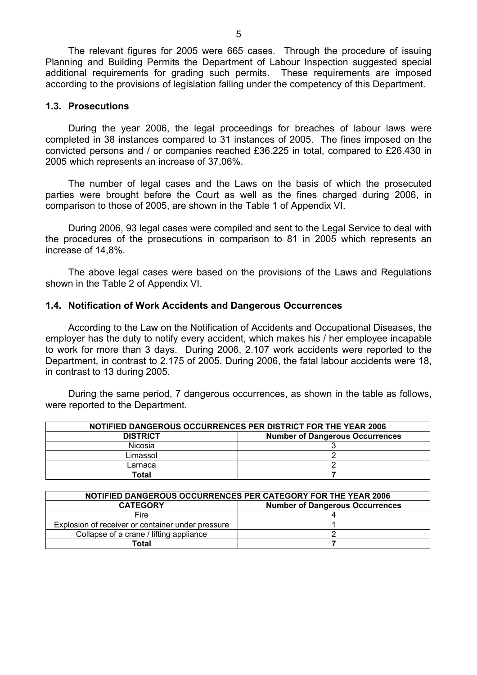The relevant figures for 2005 were 665 cases. Through the procedure of issuing Planning and Building Permits the Department of Labour Inspection suggested special additional requirements for grading such permits. These requirements are imposed according to the provisions of legislation falling under the competency of this Department.

#### **1.3. Prosecutions**

During the year 2006, the legal proceedings for breaches of labour laws were completed in 38 instances compared to 31 instances of 2005. The fines imposed on the convicted persons and / or companies reached £36.225 in total, compared to £26.430 in 2005 which represents an increase of 37,06%.

The number of legal cases and the Laws on the basis of which the prosecuted parties were brought before the Court as well as the fines charged during 2006, in comparison to those of 2005, are shown in the Table 1 of Appendix VI.

During 2006, 93 legal cases were compiled and sent to the Legal Service to deal with the procedures of the prosecutions in comparison to 81 in 2005 which represents an increase of 14,8%.

The above legal cases were based on the provisions of the Laws and Regulations shown in the Table 2 of Appendix VI.

### **1.4. Notification of Work Accidents and Dangerous Occurrences**

According to the Law on the Notification of Accidents and Occupational Diseases, the employer has the duty to notify every accident, which makes his / her employee incapable to work for more than 3 days. During 2006, 2.107 work accidents were reported to the Department, in contrast to 2.175 of 2005. During 2006, the fatal labour accidents were 18, in contrast to 13 during 2005.

During the same period, 7 dangerous occurrences, as shown in the table as follows, were reported to the Department.

| NOTIFIED DANGEROUS OCCURRENCES PER DISTRICT FOR THE YEAR 2006 |                                        |  |  |
|---------------------------------------------------------------|----------------------------------------|--|--|
| <b>DISTRICT</b>                                               | <b>Number of Dangerous Occurrences</b> |  |  |
| Nicosia                                                       |                                        |  |  |
| Limassol                                                      |                                        |  |  |
| Larnaca                                                       |                                        |  |  |
| Total                                                         |                                        |  |  |

| NOTIFIED DANGEROUS OCCURRENCES PER CATEGORY FOR THE YEAR 2006 |                                        |  |  |
|---------------------------------------------------------------|----------------------------------------|--|--|
| <b>CATEGORY</b>                                               | <b>Number of Dangerous Occurrences</b> |  |  |
| <b>Fire</b>                                                   |                                        |  |  |
| Explosion of receiver or container under pressure             |                                        |  |  |
| Collapse of a crane / lifting appliance                       |                                        |  |  |
| Total                                                         |                                        |  |  |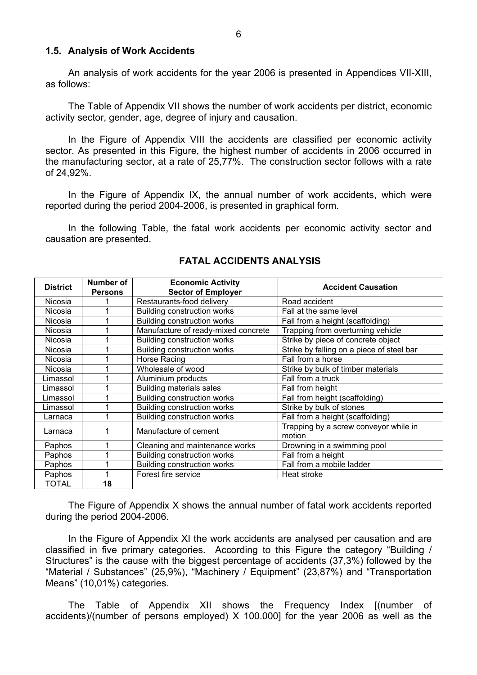#### **1.5. Analysis of Work Accidents**

An analysis of work accidents for the year 2006 is presented in Appendices VII-XIII, as follows:

The Table of Appendix VII shows the number of work accidents per district, economic activity sector, gender, age, degree of injury and causation.

In the Figure of Appendix VIII the accidents are classified per economic activity sector. As presented in this Figure, the highest number of accidents in 2006 occurred in the manufacturing sector, at a rate of 25,77%. The construction sector follows with a rate of 24,92%.

In the Figure of Appendix IX, the annual number of work accidents, which were reported during the period 2004-2006, is presented in graphical form.

In the following Table, the fatal work accidents per economic activity sector and causation are presented.

| <b>District</b> | Number of<br><b>Persons</b> | <b>Economic Activity</b><br><b>Sector of Employer</b> | <b>Accident Causation</b>                       |  |
|-----------------|-----------------------------|-------------------------------------------------------|-------------------------------------------------|--|
| <b>Nicosia</b>  |                             | Restaurants-food delivery                             | Road accident                                   |  |
| Nicosia         |                             | <b>Building construction works</b>                    | Fall at the same level                          |  |
| <b>Nicosia</b>  |                             | <b>Building construction works</b>                    | Fall from a height (scaffolding)                |  |
| Nicosia         |                             | Manufacture of ready-mixed concrete                   | Trapping from overturning vehicle               |  |
| <b>Nicosia</b>  |                             | <b>Building construction works</b>                    | Strike by piece of concrete object              |  |
| <b>Nicosia</b>  |                             | <b>Building construction works</b>                    | Strike by falling on a piece of steel bar       |  |
| Nicosia         |                             | Horse Racing                                          | Fall from a horse                               |  |
| <b>Nicosia</b>  |                             | Wholesale of wood                                     | Strike by bulk of timber materials              |  |
| Limassol        |                             | Aluminium products                                    | Fall from a truck                               |  |
| Limassol        |                             | <b>Building materials sales</b>                       | Fall from height                                |  |
| Limassol        |                             | <b>Building construction works</b>                    | Fall from height (scaffolding)                  |  |
| Limassol        |                             | <b>Building construction works</b>                    | Strike by bulk of stones                        |  |
| Larnaca         |                             | <b>Building construction works</b>                    | Fall from a height (scaffolding)                |  |
| Larnaca         |                             | Manufacture of cement                                 | Trapping by a screw conveyor while in<br>motion |  |
| Paphos          |                             | Cleaning and maintenance works                        | Drowning in a swimming pool                     |  |
| Paphos          |                             | Building construction works                           | Fall from a height                              |  |
| Paphos          |                             | <b>Building construction works</b>                    | Fall from a mobile ladder                       |  |
| Paphos          |                             | Forest fire service                                   | Heat stroke                                     |  |
| TOTAL           | 18                          |                                                       |                                                 |  |

### **FATAL ACCIDENTS ANALYSIS**

The Figure of Appendix X shows the annual number of fatal work accidents reported during the period 2004-2006.

In the Figure of Appendix XI the work accidents are analysed per causation and are classified in five primary categories. According to this Figure the category "Building / Structures" is the cause with the biggest percentage of accidents (37,3%) followed by the "Material / Substances" (25,9%), "Machinery / Equipment" (23,87%) and "Transportation Means" (10,01%) categories.

The Table of Appendix XII shows the Frequency Index [(number of accidents)/(number of persons employed) X 100.000] for the year 2006 as well as the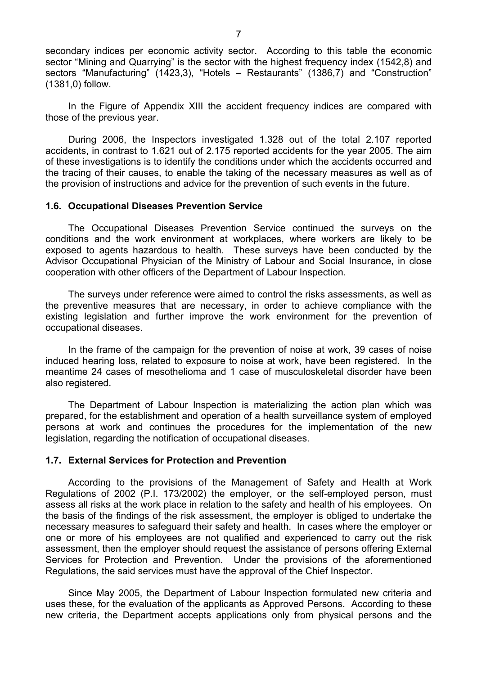secondary indices per economic activity sector. According to this table the economic sector "Mining and Quarrying" is the sector with the highest frequency index (1542,8) and sectors "Manufacturing" (1423,3), "Hotels – Restaurants" (1386,7) and "Construction" (1381,0) follow.

In the Figure of Appendix XIII the accident frequency indices are compared with those of the previous year.

During 2006, the Inspectors investigated 1.328 out of the total 2.107 reported accidents, in contrast to 1.621 out of 2.175 reported accidents for the year 2005. The aim of these investigations is to identify the conditions under which the accidents occurred and the tracing of their causes, to enable the taking of the necessary measures as well as of the provision of instructions and advice for the prevention of such events in the future.

#### **1.6. Occupational Diseases Prevention Service**

The Occupational Diseases Prevention Service continued the surveys on the conditions and the work environment at workplaces, where workers are likely to be exposed to agents hazardous to health. These surveys have been conducted by the Advisor Occupational Physician of the Ministry of Labour and Social Insurance, in close cooperation with other officers of the Department of Labour Inspection.

The surveys under reference were aimed to control the risks assessments, as well as the preventive measures that are necessary, in order to achieve compliance with the existing legislation and further improve the work environment for the prevention of occupational diseases.

In the frame of the campaign for the prevention of noise at work, 39 cases of noise induced hearing loss, related to exposure to noise at work, have been registered. In the meantime 24 cases of mesothelioma and 1 case of musculoskeletal disorder have been also registered.

The Department of Labour Inspection is materializing the action plan which was prepared, for the establishment and operation of a health surveillance system of employed persons at work and continues the procedures for the implementation of the new legislation, regarding the notification of occupational diseases.

## **1.7. External Services for Protection and Prevention**

According to the provisions of the Management of Safety and Health at Work Regulations of 2002 (P.I. 173/2002) the employer, or the self-employed person, must assess all risks at the work place in relation to the safety and health of his employees. On the basis of the findings of the risk assessment, the employer is obliged to undertake the necessary measures to safeguard their safety and health. In cases where the employer or one or more of his employees are not qualified and experienced to carry out the risk assessment, then the employer should request the assistance of persons offering External Services for Protection and Prevention. Under the provisions of the aforementioned Regulations, the said services must have the approval of the Chief Inspector.

Since May 2005, the Department of Labour Inspection formulated new criteria and uses these, for the evaluation of the applicants as Approved Persons. According to these new criteria, the Department accepts applications only from physical persons and the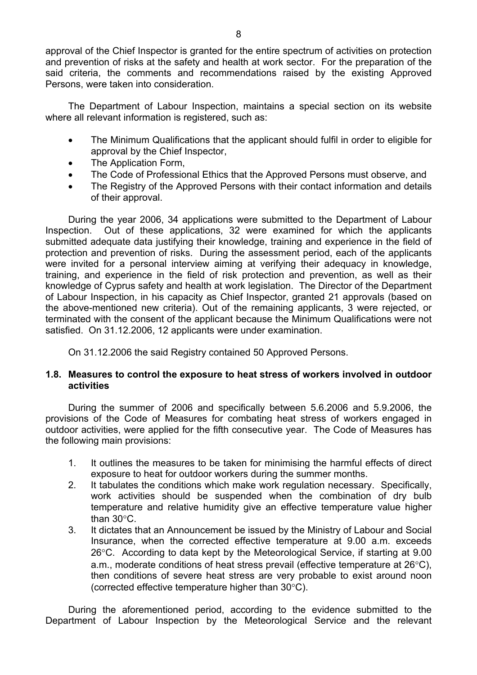approval of the Chief Inspector is granted for the entire spectrum of activities on protection and prevention of risks at the safety and health at work sector. For the preparation of the said criteria, the comments and recommendations raised by the existing Approved Persons, were taken into consideration.

The Department of Labour Inspection, maintains a special section on its website where all relevant information is registered, such as:

- The Minimum Qualifications that the applicant should fulfil in order to eligible for approval by the Chief Inspector,
- The Application Form,
- The Code of Professional Ethics that the Approved Persons must observe, and
- The Registry of the Approved Persons with their contact information and details of their approval.

During the year 2006, 34 applications were submitted to the Department of Labour Inspection. Out of these applications, 32 were examined for which the applicants submitted adequate data justifying their knowledge, training and experience in the field of protection and prevention of risks. During the assessment period, each of the applicants were invited for a personal interview aiming at verifying their adequacy in knowledge, training, and experience in the field of risk protection and prevention, as well as their knowledge of Cyprus safety and health at work legislation. The Director of the Department of Labour Inspection, in his capacity as Chief Inspector, granted 21 approvals (based on the above-mentioned new criteria). Out of the remaining applicants, 3 were rejected, or terminated with the consent of the applicant because the Minimum Qualifications were not satisfied. On 31.12.2006, 12 applicants were under examination.

On 31.12.2006 the said Registry contained 50 Approved Persons.

### **1.8. Measures to control the exposure to heat stress of workers involved in outdoor activities**

During the summer of 2006 and specifically between 5.6.2006 and 5.9.2006, the provisions of the Code of Measures for combating heat stress of workers engaged in outdoor activities, were applied for the fifth consecutive year. The Code of Measures has the following main provisions:

- 1. It outlines the measures to be taken for minimising the harmful effects of direct exposure to heat for outdoor workers during the summer months.
- 2. It tabulates the conditions which make work regulation necessary. Specifically, work activities should be suspended when the combination of dry bulb temperature and relative humidity give an effective temperature value higher than 30°C.
- 3. It dictates that an Announcement be issued by the Ministry of Labour and Social Insurance, when the corrected effective temperature at 9.00 a.m. exceeds 26°C. According to data kept by the Meteorological Service, if starting at 9.00 a.m., moderate conditions of heat stress prevail (effective temperature at 26°C), then conditions of severe heat stress are very probable to exist around noon (corrected effective temperature higher than 30°C).

During the aforementioned period, according to the evidence submitted to the Department of Labour Inspection by the Meteorological Service and the relevant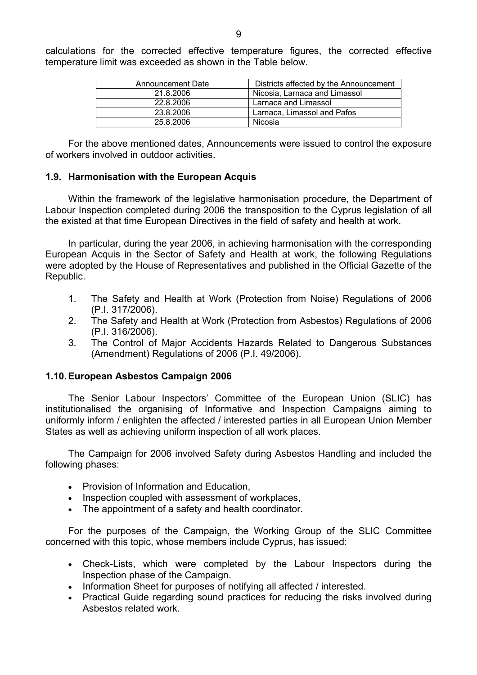calculations for the corrected effective temperature figures, the corrected effective temperature limit was exceeded as shown in the Table below.

| Announcement Date | Districts affected by the Announcement |  |
|-------------------|----------------------------------------|--|
| 21.8.2006         | Nicosia, Larnaca and Limassol          |  |
| 22.8.2006         | Larnaca and Limassol                   |  |
| 23.8.2006         | Larnaca, Limassol and Pafos            |  |
| 25.8.2006         | Nicosia                                |  |

For the above mentioned dates, Announcements were issued to control the exposure of workers involved in outdoor activities.

## **1.9. Harmonisation with the European Acquis**

Within the framework of the legislative harmonisation procedure, the Department of Labour Inspection completed during 2006 the transposition to the Cyprus legislation of all the existed at that time European Directives in the field of safety and health at work.

In particular, during the year 2006, in achieving harmonisation with the corresponding European Acquis in the Sector of Safety and Health at work, the following Regulations were adopted by the House of Representatives and published in the Official Gazette of the Republic.

- 1. The Safety and Health at Work (Protection from Noise) Regulations of 2006 (P.I. 317/2006).
- 2. The Safety and Health at Work (Protection from Asbestos) Regulations of 2006 (P.I. 316/2006).
- 3. The Control of Major Accidents Hazards Related to Dangerous Substances (Amendment) Regulations of 2006 (P.I. 49/2006).

## **1.10. European Asbestos Campaign 2006**

The Senior Labour Inspectors' Committee of the European Union (SLIC) has institutionalised the organising of Informative and Inspection Campaigns aiming to uniformly inform / enlighten the affected / interested parties in all European Union Member States as well as achieving uniform inspection of all work places.

The Campaign for 2006 involved Safety during Asbestos Handling and included the following phases:

- Provision of Information and Education,
- Inspection coupled with assessment of workplaces,
- The appointment of a safety and health coordinator.

For the purposes of the Campaign, the Working Group of the SLIC Committee concerned with this topic, whose members include Cyprus, has issued:

- Check-Lists, which were completed by the Labour Inspectors during the Inspection phase of the Campaign.
- Information Sheet for purposes of notifying all affected / interested.
- Practical Guide regarding sound practices for reducing the risks involved during Asbestos related work.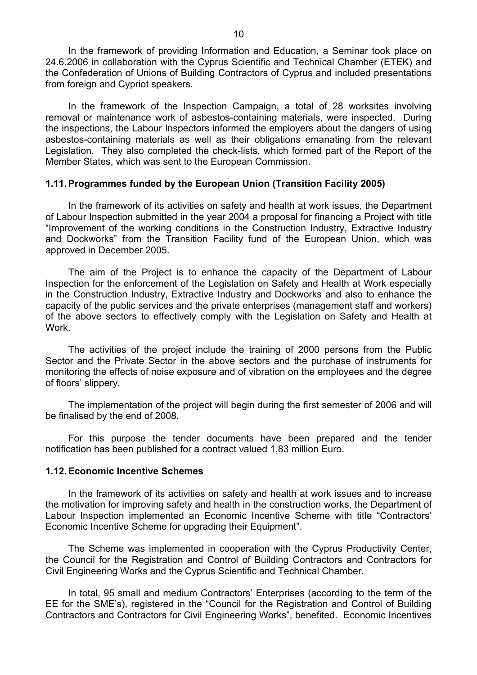In the framework of providing Information and Education, a Seminar took place on 24.6.2006 in collaboration with the Cyprus Scientific and Technical Chamber (ETEK) and the Confederation of Unions of Building Contractors of Cyprus and included presentations from foreign and Cypriot speakers.

In the framework of the Inspection Campaign, a total of 28 worksites involving removal or maintenance work of asbestos-containing materials, were inspected. During the inspections, the Labour Inspectors informed the employers about the dangers of using asbestos-containing materials as well as their obligations emanating from the relevant Legislation. They also completed the check-lists, which formed part of the Report of the Member States, which was sent to the European Commission.

#### **1.11. Programmes funded by the European Union (Transition Facility 2005)**

In the framework of its activities on safety and health at work issues, the Department of Labour Inspection submitted in the year 2004 a proposal for financing a Project with title "Improvement of the working conditions in the Construction Industry, Extractive Industry and Dockworks" from the Transition Facility fund of the European Union, which was approved in December 2005.

The aim of the Project is to enhance the capacity of the Department of Labour Inspection for the enforcement of the Legislation on Safety and Health at Work especially in the Construction Industry, Extractive Industry and Dockworks and also to enhance the capacity of the public services and the private enterprises (management staff and workers) of the above sectors to effectively comply with the Legislation on Safety and Health at Work.

The activities of the project include the training of 2000 persons from the Public Sector and the Private Sector in the above sectors and the purchase of instruments for monitoring the effects of noise exposure and of vibration on the employees and the degree of floors' slippery.

The implementation of the project will begin during the first semester of 2006 and will be finalised by the end of 2008.

For this purpose the tender documents have been prepared and the tender notification has been published for a contract valued 1,83 million Euro.

#### **1.12. Economic Incentive Schemes**

In the framework of its activities on safety and health at work issues and to increase the motivation for improving safety and health in the construction works, the Department of Labour Inspection implemented an Economic Incentive Scheme with title "Contractors' Economic Incentive Scheme for upgrading their Equipment".

The Scheme was implemented in cooperation with the Cyprus Productivity Center, the Council for the Registration and Control of Building Contractors and Contractors for Civil Engineering Works and the Cyprus Scientific and Technical Chamber.

In total, 95 small and medium Contractors' Enterprises (according to the term of the EE for the SME's), registered in the "Council for the Registration and Control of Building Contractors and Contractors for Civil Engineering Works", benefited. Economic Incentives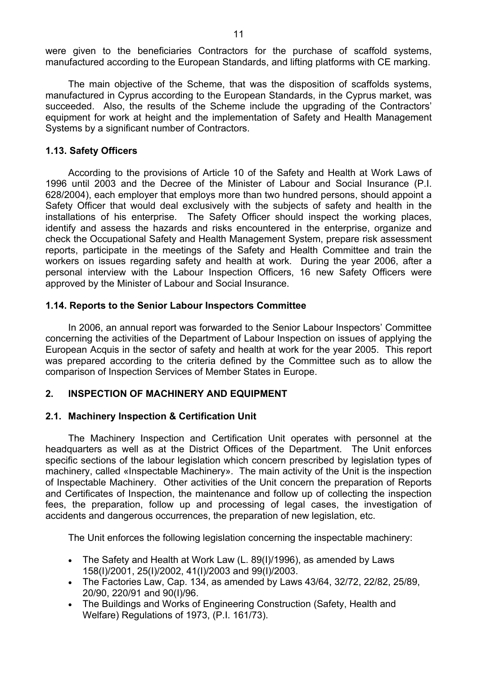were given to the beneficiaries Contractors for the purchase of scaffold systems, manufactured according to the European Standards, and lifting platforms with CE marking.

The main objective of the Scheme, that was the disposition of scaffolds systems, manufactured in Cyprus according to the European Standards, in the Cyprus market, was succeeded. Also, the results of the Scheme include the upgrading of the Contractors' equipment for work at height and the implementation of Safety and Health Management Systems by a significant number of Contractors.

## **1.13. Safety Officers**

According to the provisions of Article 10 of the Safety and Health at Work Laws of 1996 until 2003 and the Decree of the Minister of Labour and Social Insurance (P.I. 628/2004), each employer that employs more than two hundred persons, should appoint a Safety Officer that would deal exclusively with the subjects of safety and health in the installations of his enterprise. The Safety Officer should inspect the working places, identify and assess the hazards and risks encountered in the enterprise, organize and check the Occupational Safety and Health Management System, prepare risk assessment reports, participate in the meetings of the Safety and Health Committee and train the workers on issues regarding safety and health at work. During the year 2006, after a personal interview with the Labour Inspection Officers, 16 new Safety Officers were approved by the Minister of Labour and Social Insurance.

## **1.14. Reports to the Senior Labour Inspectors Committee**

Ιn 2006, an annual report was forwarded to the Senior Labour Inspectors' Committee concerning the activities of the Department of Labour Inspection on issues of applying the European Acquis in the sector of safety and health at work for the year 2005. This report was prepared according to the criteria defined by the Committee such as to allow the comparison of Inspection Services of Member States in Europe.

## **2. INSPECTION OF MACHINERY AND EQUIPMENT**

## **2.1. Machinery Inspection & Certification Unit**

The Machinery Inspection and Certification Unit operates with personnel at the headquarters as well as at the District Offices of the Department. The Unit enforces specific sections of the labour legislation which concern prescribed by legislation types of machinery, called «Inspectable Machinery». The main activity of the Unit is the inspection of Inspectable Machinery. Other activities of the Unit concern the preparation of Reports and Certificates of Inspection, the maintenance and follow up of collecting the inspection fees, the preparation, follow up and processing of legal cases, the investigation of accidents and dangerous occurrences, the preparation of new legislation, etc.

The Unit enforces the following legislation concerning the inspectable machinery:

- The Safety and Health at Work Law (L. 89(I)/1996), as amended by Laws 158(I)/2001, 25(I)/2002, 41(I)/2003 and 99(I)/2003.
- The Factories Law, Cap. 134, as amended by Laws 43/64, 32/72, 22/82, 25/89, 20/90, 220/91 and 90(I)/96.
- The Buildings and Works of Engineering Construction (Safety, Health and Welfare) Regulations of 1973, (P.I. 161/73).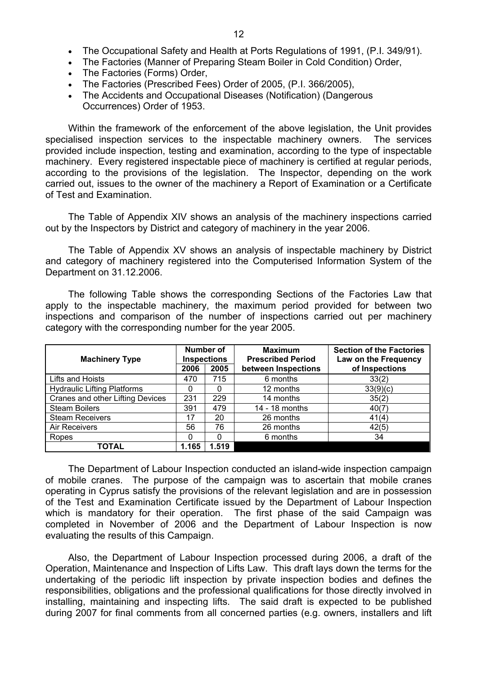- The Occupational Safety and Health at Ports Regulations of 1991, (P.I. 349/91).
- The Factories (Manner of Preparing Steam Boiler in Cold Condition) Order,
- The Factories (Forms) Order,
- The Factories (Prescribed Fees) Order of 2005, (P.I. 366/2005),
- The Accidents and Occupational Diseases (Notification) (Dangerous Occurrences) Order of 1953.

Within the framework of the enforcement of the above legislation, the Unit provides specialised inspection services to the inspectable machinery owners. The services provided include inspection, testing and examination, according to the type of inspectable machinery. Every registered inspectable piece of machinery is certified at regular periods, according to the provisions of the legislation. The Inspector, depending on the work carried out, issues to the owner of the machinery a Report of Examination or a Certificate of Test and Examination.

The Table of Appendix XIV shows an analysis of the machinery inspections carried out by the Inspectors by District and category of machinery in the year 2006.

The Table of Appendix XV shows an analysis of inspectable machinery by District and category of machinery registered into the Computerised Information System of the Department on 31.12.2006.

The following Table shows the corresponding Sections of the Factories Law that apply to the inspectable machinery, the maximum period provided for between two inspections and comparison of the number of inspections carried out per machinery category with the corresponding number for the year 2005.

| <b>Machinery Type</b>                   | Number of<br><b>Inspections</b> |          | <b>Maximum</b><br><b>Prescribed Period</b> | <b>Section of the Factories</b><br>Law on the Frequency |
|-----------------------------------------|---------------------------------|----------|--------------------------------------------|---------------------------------------------------------|
|                                         | 2006                            | 2005     | between Inspections                        | of Inspections                                          |
| Lifts and Hoists                        | 470                             | 715      | 6 months                                   | 33(2)                                                   |
| <b>Hydraulic Lifting Platforms</b>      | 0                               | $\Omega$ | 12 months                                  | 33(9)(c)                                                |
| <b>Cranes and other Lifting Devices</b> | 231                             | 229      | 14 months                                  | 35(2)                                                   |
| <b>Steam Boilers</b>                    | 391                             | 479      | 14 - 18 months                             | 40(7)                                                   |
| <b>Steam Receivers</b>                  | 17                              | 20       | 26 months                                  | 41(4)                                                   |
| Air Receivers                           | 56                              | 76       | 26 months                                  | 42(5)                                                   |
| Ropes                                   | 0                               | $\Omega$ | 6 months                                   | 34                                                      |
| <b>TOTAL</b>                            | 1.165                           | 1.519    |                                            |                                                         |

The Department of Labour Inspection conducted an island-wide inspection campaign of mobile cranes. The purpose of the campaign was to ascertain that mobile cranes operating in Cyprus satisfy the provisions of the relevant legislation and are in possession of the Test and Examination Certificate issued by the Department of Labour Inspection which is mandatory for their operation. The first phase of the said Campaign was completed in November of 2006 and the Department of Labour Inspection is now evaluating the results of this Campaign.

Also, the Department of Labour Inspection processed during 2006, a draft of the Operation, Maintenance and Inspection of Lifts Law. This draft lays down the terms for the undertaking of the periodic lift inspection by private inspection bodies and defines the responsibilities, obligations and the professional qualifications for those directly involved in installing, maintaining and inspecting lifts. The said draft is expected to be published during 2007 for final comments from all concerned parties (e.g. owners, installers and lift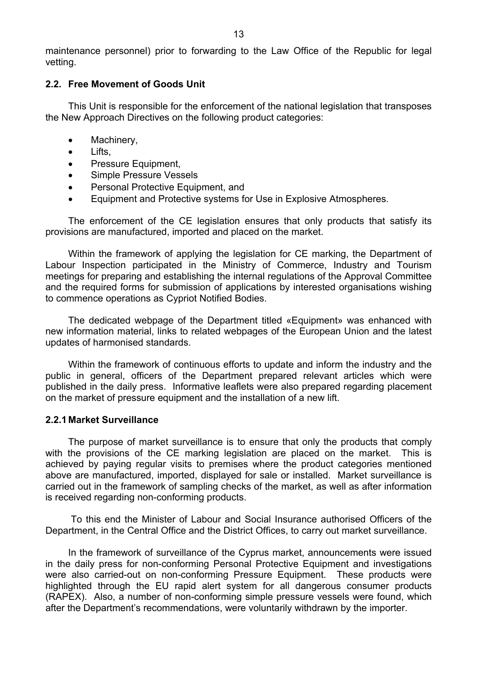maintenance personnel) prior to forwarding to the Law Office of the Republic for legal vetting.

#### **2.2. Free Movement of Goods Unit**

This Unit is responsible for the enforcement of the national legislation that transposes the New Approach Directives on the following product categories:

- Machinery,
- Lifts,
- Pressure Equipment,
- Simple Pressure Vessels
- Personal Protective Equipment, and
- Equipment and Protective systems for Use in Explosive Atmospheres.

The enforcement of the CE legislation ensures that only products that satisfy its provisions are manufactured, imported and placed on the market.

Within the framework of applying the legislation for CE marking, the Department of Labour Inspection participated in the Ministry of Commerce, Industry and Tourism meetings for preparing and establishing the internal regulations of the Approval Committee and the required forms for submission of applications by interested organisations wishing to commence operations as Cypriot Notified Bodies.

The dedicated webpage of the Department titled «Equipment» was enhanced with new information material, links to related webpages of the European Union and the latest updates of harmonised standards.

Within the framework of continuous efforts to update and inform the industry and the public in general, officers of the Department prepared relevant articles which were published in the daily press. Informative leaflets were also prepared regarding placement on the market of pressure equipment and the installation of a new lift.

#### **2.2.1 Market Surveillance**

The purpose of market surveillance is to ensure that only the products that comply with the provisions of the CE marking legislation are placed on the market. This is achieved by paying regular visits to premises where the product categories mentioned above are manufactured, imported, displayed for sale or installed. Market surveillance is carried out in the framework of sampling checks of the market, as well as after information is received regarding non-conforming products.

 To this end the Minister of Labour and Social Insurance authorised Officers of the Department, in the Central Office and the District Offices, to carry out market surveillance.

In the framework of surveillance of the Cyprus market, announcements were issued in the daily press for non-conforming Personal Protective Equipment and investigations were also carried-out on non-conforming Pressure Equipment. These products were highlighted through the EU rapid alert system for all dangerous consumer products (RAPEX). Also, a number of non-conforming simple pressure vessels were found, which after the Department's recommendations, were voluntarily withdrawn by the importer.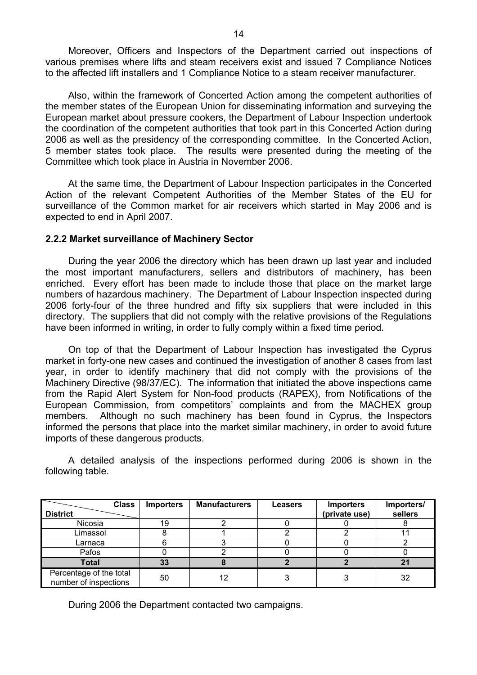Moreover, Officers and Inspectors of the Department carried out inspections of various premises where lifts and steam receivers exist and issued 7 Compliance Notices to the affected lift installers and 1 Compliance Notice to a steam receiver manufacturer.

Also, within the framework of Concerted Action among the competent authorities of the member states of the European Union for disseminating information and surveying the European market about pressure cookers, the Department of Labour Inspection undertook the coordination of the competent authorities that took part in this Concerted Action during 2006 as well as the presidency of the corresponding committee. In the Concerted Action, 5 member states took place. The results were presented during the meeting of the Committee which took place in Austria in November 2006.

At the same time, the Department of Labour Inspection participates in the Concerted Action of the relevant Competent Authorities of the Member States of the EU for surveillance of the Common market for air receivers which started in May 2006 and is expected to end in April 2007.

### **2.2.2 Market surveillance of Machinery Sector**

During the year 2006 the directory which has been drawn up last year and included the most important manufacturers, sellers and distributors of machinery, has been enriched. Every effort has been made to include those that place on the market large numbers of hazardous machinery. The Department of Labour Inspection inspected during 2006 forty-four of the three hundred and fifty six suppliers that were included in this directory. The suppliers that did not comply with the relative provisions of the Regulations have been informed in writing, in order to fully comply within a fixed time period.

On top of that the Department of Labour Inspection has investigated the Cyprus market in forty-one new cases and continued the investigation of another 8 cases from last year, in order to identify machinery that did not comply with the provisions of the Machinery Directive (98/37/EC). The information that initiated the above inspections came from the Rapid Alert System for Non-food products (RAPEX), from Notifications of the European Commission, from competitors' complaints and from the MACHEX group members. Although no such machinery has been found in Cyprus, the Inspectors informed the persons that place into the market similar machinery, in order to avoid future imports of these dangerous products.

A detailed analysis of the inspections performed during 2006 is shown in the following table.

| <b>Class</b>                                     | <b>Importers</b> | <b>Manufacturers</b> | <b>Leasers</b> | <b>Importers</b> | Importers/     |
|--------------------------------------------------|------------------|----------------------|----------------|------------------|----------------|
| <b>District</b>                                  |                  |                      |                | (private use)    | sellers        |
| Nicosia                                          | 19               |                      |                |                  |                |
| Limassol                                         |                  |                      |                |                  |                |
| Larnaca                                          |                  |                      |                |                  |                |
| Pafos                                            |                  |                      |                |                  |                |
| Total                                            | 33               |                      |                |                  | 2 <sup>1</sup> |
| Percentage of the total<br>number of inspections | 50               | 12                   |                |                  | 32             |

During 2006 the Department contacted two campaigns.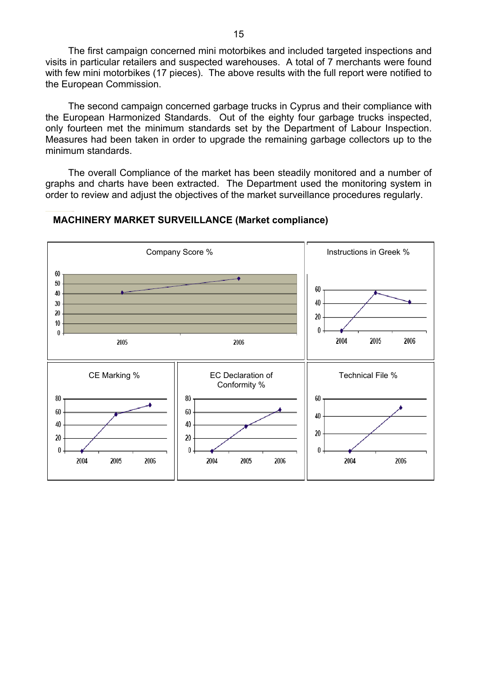The first campaign concerned mini motorbikes and included targeted inspections and visits in particular retailers and suspected warehouses. A total of 7 merchants were found with few mini motorbikes (17 pieces). The above results with the full report were notified to the European Commission.

The second campaign concerned garbage trucks in Cyprus and their compliance with the European Harmonized Standards. Out of the eighty four garbage trucks inspected, only fourteen met the minimum standards set by the Department of Labour Inspection. Measures had been taken in order to upgrade the remaining garbage collectors up to the minimum standards.

The overall Compliance of the market has been steadily monitored and a number of graphs and charts have been extracted. The Department used the monitoring system in order to review and adjust the objectives of the market surveillance procedures regularly.



#### **MACHINERY MARKET SURVEILLANCE (Market compliance)**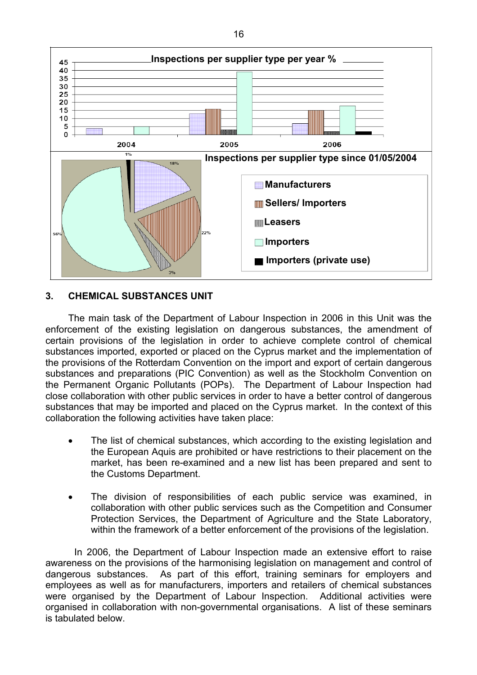

### **3. CHEMICAL SUBSTANCES UNIT**

The main task of the Department of Labour Inspection in 2006 in this Unit was the enforcement of the existing legislation on dangerous substances, the amendment of certain provisions of the legislation in order to achieve complete control of chemical substances imported, exported or placed on the Cyprus market and the implementation of the provisions of the Rotterdam Convention on the import and export of certain dangerous substances and preparations (PIC Convention) as well as the Stockholm Convention on the Permanent Organic Pollutants (POPs). The Department of Labour Inspection had close collaboration with other public services in order to have a better control of dangerous substances that may be imported and placed on the Cyprus market. In the context of this collaboration the following activities have taken place:

- The list of chemical substances, which according to the existing legislation and the European Aquis are prohibited or have restrictions to their placement on the market, has been re-examined and a new list has been prepared and sent to the Customs Department.
- The division of responsibilities of each public service was examined, in collaboration with other public services such as the Competition and Consumer Protection Services, the Department of Agriculture and the State Laboratory, within the framework of a better enforcement of the provisions of the legislation.

 In 2006, the Department of Labour Inspection made an extensive effort to raise awareness on the provisions of the harmonising legislation on management and control of dangerous substances. As part of this effort, training seminars for employers and employees as well as for manufacturers, importers and retailers of chemical substances were organised by the Department of Labour Inspection. Additional activities were organised in collaboration with non-governmental organisations. A list of these seminars is tabulated below.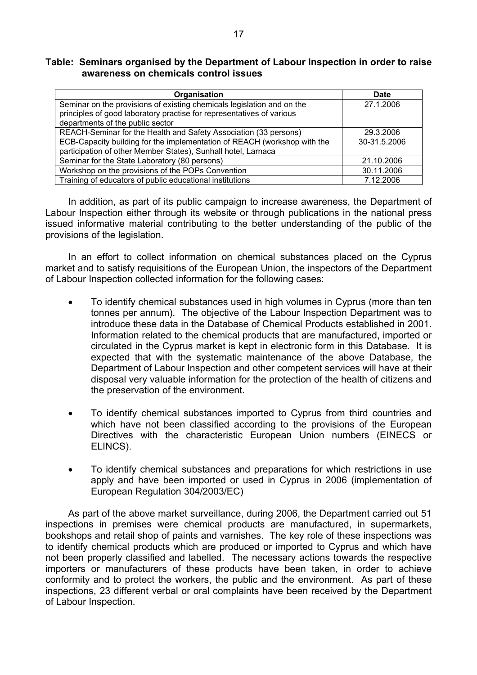#### **Table: Seminars organised by the Department of Labour Inspection in order to raise awareness on chemicals control issues**

| Organisation                                                             | <b>Date</b>  |
|--------------------------------------------------------------------------|--------------|
| Seminar on the provisions of existing chemicals legislation and on the   | 27.1.2006    |
| principles of good laboratory practise for representatives of various    |              |
| departments of the public sector                                         |              |
| REACH-Seminar for the Health and Safety Association (33 persons)         | 29.3.2006    |
| ECB-Capacity building for the implementation of REACH (workshop with the | 30-31.5.2006 |
| participation of other Member States), Sunhall hotel, Larnaca            |              |
| Seminar for the State Laboratory (80 persons)                            | 21.10.2006   |
| Workshop on the provisions of the POPs Convention                        | 30.11.2006   |
| Training of educators of public educational institutions                 | 7.12.2006    |

In addition, as part of its public campaign to increase awareness, the Department of Labour Inspection either through its website or through publications in the national press issued informative material contributing to the better understanding of the public of the provisions of the legislation.

In an effort to collect information on chemical substances placed on the Cyprus market and to satisfy requisitions of the European Union, the inspectors of the Department of Labour Inspection collected information for the following cases:

- To identify chemical substances used in high volumes in Cyprus (more than ten tonnes per annum). The objective of the Labour Inspection Department was to introduce these data in the Database of Chemical Products established in 2001. Information related to the chemical products that are manufactured, imported or circulated in the Cyprus market is kept in electronic form in this Database. It is expected that with the systematic maintenance of the above Database, the Department of Labour Inspection and other competent services will have at their disposal very valuable information for the protection of the health of citizens and the preservation of the environment.
- To identify chemical substances imported to Cyprus from third countries and which have not been classified according to the provisions of the European Directives with the characteristic European Union numbers (EINECS or ELINCS).
- To identify chemical substances and preparations for which restrictions in use apply and have been imported or used in Cyprus in 2006 (implementation of European Regulation 304/2003/EC)

As part of the above market surveillance, during 2006, the Department carried out 51 inspections in premises were chemical products are manufactured, in supermarkets, bookshops and retail shop of paints and varnishes. The key role of these inspections was to identify chemical products which are produced or imported to Cyprus and which have not been properly classified and labelled. The necessary actions towards the respective importers or manufacturers of these products have been taken, in order to achieve conformity and to protect the workers, the public and the environment. As part of these inspections, 23 different verbal or oral complaints have been received by the Department of Labour Inspection.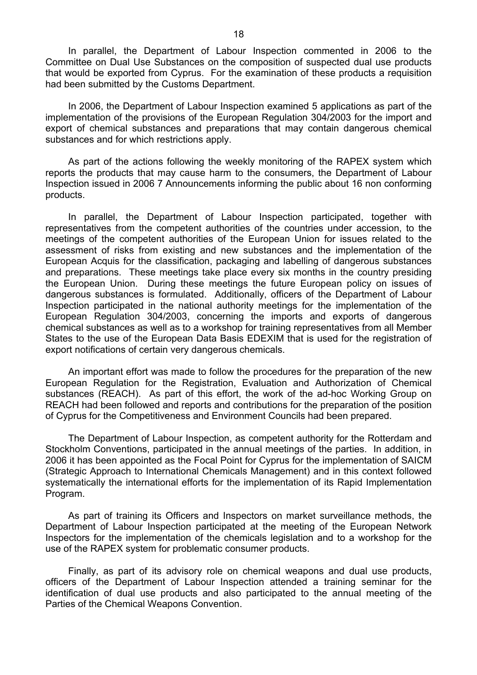In parallel, the Department of Labour Inspection commented in 2006 to the Committee on Dual Use Substances on the composition of suspected dual use products that would be exported from Cyprus. For the examination of these products a requisition had been submitted by the Customs Department.

In 2006, the Department of Labour Inspection examined 5 applications as part of the implementation of the provisions of the European Regulation 304/2003 for the import and export of chemical substances and preparations that may contain dangerous chemical substances and for which restrictions apply.

As part of the actions following the weekly monitoring of the RAPEX system which reports the products that may cause harm to the consumers, the Department of Labour Inspection issued in 2006 7 Announcements informing the public about 16 non conforming products.

In parallel, the Department of Labour Inspection participated, together with representatives from the competent authorities of the countries under accession, to the meetings of the competent authorities of the European Union for issues related to the assessment of risks from existing and new substances and the implementation of the European Acquis for the classification, packaging and labelling of dangerous substances and preparations. These meetings take place every six months in the country presiding the European Union. During these meetings the future European policy on issues of dangerous substances is formulated. Additionally, officers of the Department of Labour Inspection participated in the national authority meetings for the implementation of the European Regulation 304/2003, concerning the imports and exports of dangerous chemical substances as well as to a workshop for training representatives from all Member States to the use of the European Data Basis EDEXIM that is used for the registration of export notifications of certain very dangerous chemicals.

An important effort was made to follow the procedures for the preparation of the new European Regulation for the Registration, Evaluation and Authorization of Chemical substances (REACH). As part of this effort, the work of the ad-hoc Working Group on REACH had been followed and reports and contributions for the preparation of the position of Cyprus for the Competitiveness and Environment Councils had been prepared.

The Department of Labour Inspection, as competent authority for the Rotterdam and Stockholm Conventions, participated in the annual meetings of the parties. In addition, in 2006 it has been appointed as the Focal Point for Cyprus for the implementation of SAICM (Strategic Approach to International Chemicals Management) and in this context followed systematically the international efforts for the implementation of its Rapid Implementation Program.

As part of training its Officers and Inspectors on market surveillance methods, the Department of Labour Inspection participated at the meeting of the European Network Inspectors for the implementation of the chemicals legislation and to a workshop for the use of the RAPEX system for problematic consumer products.

Finally, as part of its advisory role on chemical weapons and dual use products, officers of the Department of Labour Inspection attended a training seminar for the identification of dual use products and also participated to the annual meeting of the Parties of the Chemical Weapons Convention.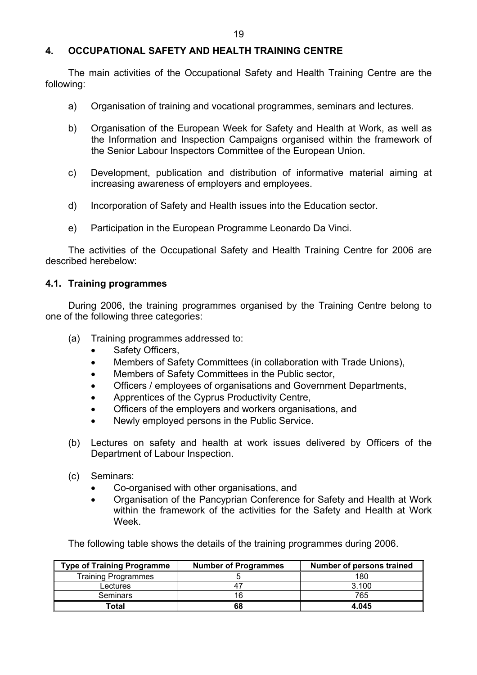## **4. OCCUPATIONAL SAFETY AND HEALTH TRAINING CENTRE**

The main activities of the Occupational Safety and Health Training Centre are the following:

- a) Organisation of training and vocational programmes, seminars and lectures.
- b) Organisation of the European Week for Safety and Health at Work, as well as the Information and Inspection Campaigns organised within the framework of the Senior Labour Inspectors Committee of the European Union.
- c) Development, publication and distribution of informative material aiming at increasing awareness of employers and employees.
- d) Incorporation of Safety and Health issues into the Education sector.
- e) Participation in the European Programme Leonardo Da Vinci.

The activities of the Occupational Safety and Health Training Centre for 2006 are described herebelow:

### **4.1. Training programmes**

During 2006, the training programmes organised by the Training Centre belong to one of the following three categories:

- (a) Training programmes addressed to:
	- Safety Officers.
	- Members of Safety Committees (in collaboration with Trade Unions),
	- Members of Safety Committees in the Public sector,
	- Officers / employees of organisations and Government Departments,
	- Apprentices of the Cyprus Productivity Centre,
	- Officers of the employers and workers organisations, and
	- Newly employed persons in the Public Service.
- (b) Lectures on safety and health at work issues delivered by Officers of the Department of Labour Inspection.
- (c) Seminars:
	- Co-organised with other organisations, and
	- Organisation of the Pancyprian Conference for Safety and Health at Work within the framework of the activities for the Safety and Health at Work Week.

The following table shows the details of the training programmes during 2006.

| <b>Type of Training Programme</b> | <b>Number of Programmes</b> | Number of persons trained |
|-----------------------------------|-----------------------------|---------------------------|
| <b>Training Programmes</b>        |                             | 180                       |
| Lectures                          |                             | 3.100                     |
| Seminars                          | 16                          | 765                       |
| Total                             | 68                          | 4.045                     |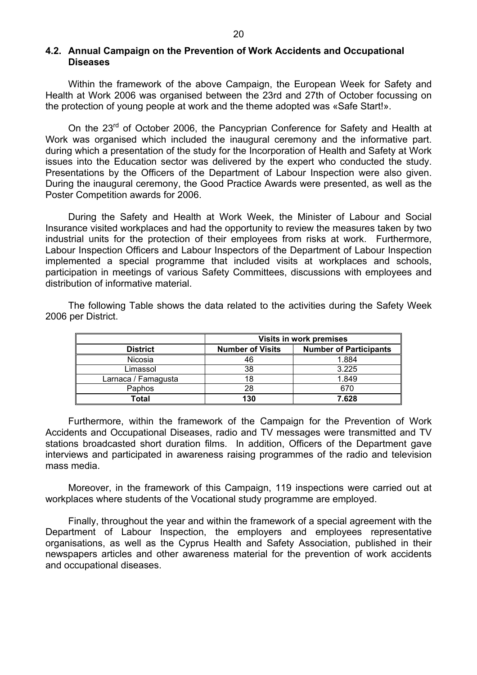#### **4.2. Annual Campaign on the Prevention of Work Accidents and Occupational Diseases**

Within the framework of the above Campaign, the European Week for Safety and Health at Work 2006 was organised between the 23rd and 27th of October focussing on the protection of young people at work and the theme adopted was «Safe Start!».

On the 23<sup>rd</sup> of October 2006, the Pancyprian Conference for Safety and Health at Work was organised which included the inaugural ceremony and the informative part. during which a presentation of the study for the Incorporation of Health and Safety at Work issues into the Education sector was delivered by the expert who conducted the study. Presentations by the Officers of the Department of Labour Inspection were also given. During the inaugural ceremony, the Good Practice Awards were presented, as well as the Poster Competition awards for 2006.

During the Safety and Health at Work Week, the Minister of Labour and Social Insurance visited workplaces and had the opportunity to review the measures taken by two industrial units for the protection of their employees from risks at work. Furthermore, Labour Inspection Officers and Labour Inspectors of the Department of Labour Inspection implemented a special programme that included visits at workplaces and schools, participation in meetings of various Safety Committees, discussions with employees and distribution of informative material.

The following Table shows the data related to the activities during the Safety Week 2006 per District.

|                     | Visits in work premises |                               |  |  |  |  |
|---------------------|-------------------------|-------------------------------|--|--|--|--|
| <b>District</b>     | <b>Number of Visits</b> | <b>Number of Participants</b> |  |  |  |  |
| Nicosia             | 46                      | 1.884                         |  |  |  |  |
| Limassol            | 38                      | 3.225                         |  |  |  |  |
| Larnaca / Famagusta | 18                      | 1.849                         |  |  |  |  |
| Paphos              | 28                      | 670                           |  |  |  |  |
| Total               | 130                     | 7.628                         |  |  |  |  |

Furthermore, within the framework of the Campaign for the Prevention of Work Accidents and Occupational Diseases, radio and TV messages were transmitted and TV stations broadcasted short duration films. In addition, Officers of the Department gave interviews and participated in awareness raising programmes of the radio and television mass media.

Moreover, in the framework of this Campaign, 119 inspections were carried out at workplaces where students of the Vocational study programme are employed.

Finally, throughout the year and within the framework of a special agreement with the Department of Labour Inspection, the employers and employees representative organisations, as well as the Cyprus Health and Safety Association, published in their newspapers articles and other awareness material for the prevention of work accidents and occupational diseases.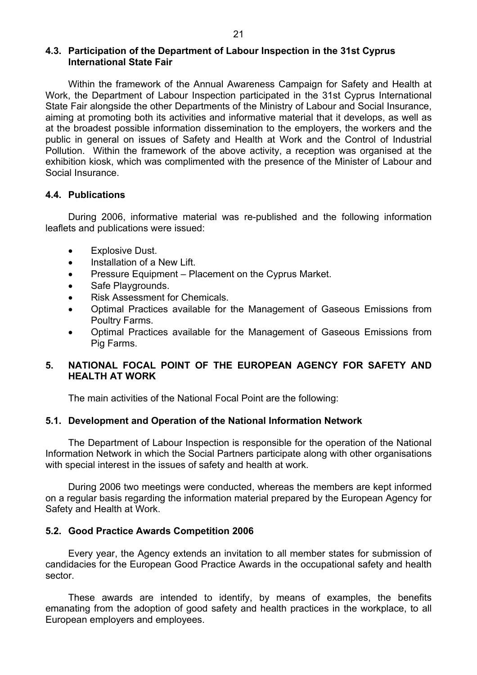### **4.3. Participation of the Department of Labour Inspection in the 31st Cyprus International State Fair**

Within the framework of the Annual Awareness Campaign for Safety and Health at Work, the Department of Labour Inspection participated in the 31st Cyprus International State Fair alongside the other Departments of the Ministry of Labour and Social Insurance, aiming at promoting both its activities and informative material that it develops, as well as at the broadest possible information dissemination to the employers, the workers and the public in general on issues of Safety and Health at Work and the Control of Industrial Pollution. Within the framework of the above activity, a reception was organised at the exhibition kiosk, which was complimented with the presence of the Minister of Labour and Social Insurance.

### **4.4. Publications**

During 2006, informative material was re-published and the following information leaflets and publications were issued:

- Explosive Dust.
- Installation of a New Lift.
- Pressure Equipment Placement on the Cyprus Market.
- Safe Playgrounds.
- Risk Assessment for Chemicals.
- Optimal Practices available for the Management of Gaseous Emissions from Poultry Farms.
- Optimal Practices available for the Management of Gaseous Emissions from Pig Farms.

## **5. NATIONAL FOCAL POINT OF THE EUROPEAN AGENCY FOR SAFETY AND HEALTH AT WORK**

The main activities of the National Focal Point are the following:

#### **5.1. Development and Operation of the National Information Network**

The Department of Labour Inspection is responsible for the operation of the National Information Network in which the Social Partners participate along with other organisations with special interest in the issues of safety and health at work.

During 2006 two meetings were conducted, whereas the members are kept informed on a regular basis regarding the information material prepared by the European Agency for Safety and Health at Work.

#### **5.2. Good Practice Awards Competition 2006**

Every year, the Agency extends an invitation to all member states for submission of candidacies for the European Good Practice Awards in the occupational safety and health sector.

These awards are intended to identify, by means of examples, the benefits emanating from the adoption of good safety and health practices in the workplace, to all European employers and employees.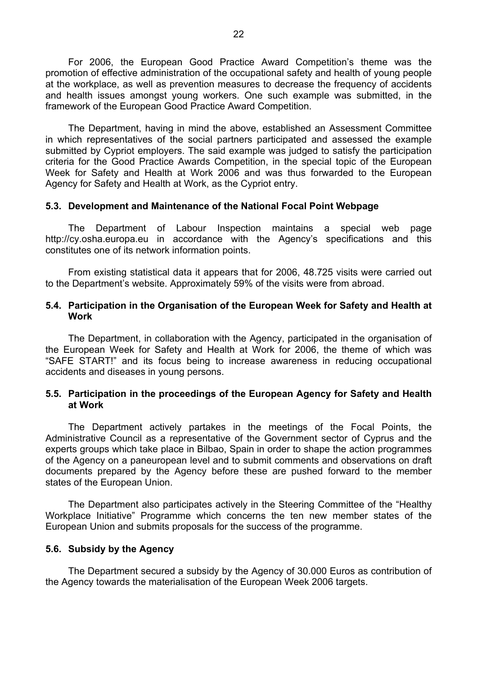For 2006, the European Good Practice Award Competition's theme was the promotion of effective administration of the occupational safety and health of young people at the workplace, as well as prevention measures to decrease the frequency of accidents and health issues amongst young workers. One such example was submitted, in the framework of the European Good Practice Award Competition.

The Department, having in mind the above, established an Assessment Committee in which representatives of the social partners participated and assessed the example submitted by Cypriot employers. The said example was judged to satisfy the participation criteria for the Good Practice Awards Competition, in the special topic of the European Week for Safety and Health at Work 2006 and was thus forwarded to the European Agency for Safety and Health at Work, as the Cypriot entry.

### **5.3. Development and Maintenance of the National Focal Point Webpage**

The Department of Labour Inspection maintains a special web page http://cy.osha.europa.eu in accordance with the Agency's specifications and this constitutes one of its network information points.

From existing statistical data it appears that for 2006, 48.725 visits were carried out to the Department's website. Approximately 59% of the visits were from abroad.

### **5.4. Participation in the Organisation of the European Week for Safety and Health at Work**

The Department, in collaboration with the Agency, participated in the organisation of the European Week for Safety and Health at Work for 2006, the theme of which was "SAFE START!" and its focus being to increase awareness in reducing occupational accidents and diseases in young persons.

### **5.5. Participation in the proceedings of the European Agency for Safety and Health at Work**

The Department actively partakes in the meetings of the Focal Points, the Administrative Council as a representative of the Government sector of Cyprus and the experts groups which take place in Bilbao, Spain in order to shape the action programmes of the Agency on a paneuropean level and to submit comments and observations on draft documents prepared by the Agency before these are pushed forward to the member states of the European Union.

The Department also participates actively in the Steering Committee of the "Healthy Workplace Initiative" Programme which concerns the ten new member states of the European Union and submits proposals for the success of the programme.

#### **5.6. Subsidy by the Agency**

The Department secured a subsidy by the Agency of 30.000 Euros as contribution of the Agency towards the materialisation of the European Week 2006 targets.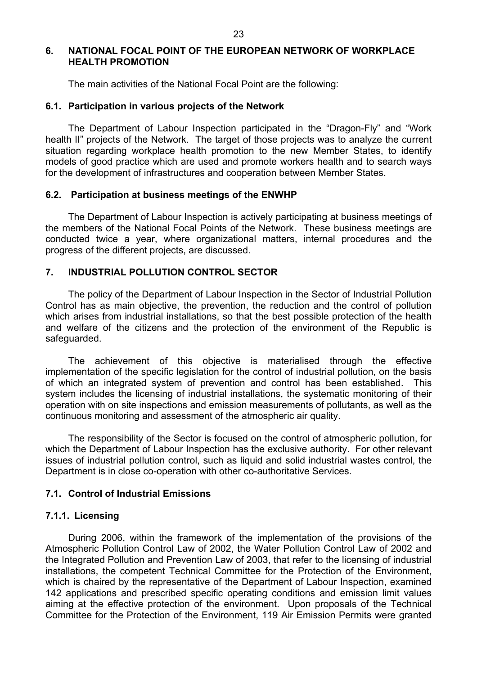#### **6. NATIONAL FOCAL POINT OF THE EUROPEAN NETWORK OF WORKPLACE HEALTH PROMOTION**

The main activities of the National Focal Point are the following:

#### **6.1. Participation in various projects of the Network**

The Department of Labour Inspection participated in the "Dragon-Fly" and "Work health II" projects of the Network. The target of those projects was to analyze the current situation regarding workplace health promotion to the new Member States, to identify models of good practice which are used and promote workers health and to search ways for the development of infrastructures and cooperation between Member States.

### **6.2. Participation at business meetings of the ENWHP**

The Department of Labour Inspection is actively participating at business meetings of the members of the National Focal Points of the Network. These business meetings are conducted twice a year, where organizational matters, internal procedures and the progress of the different projects, are discussed.

## **7. INDUSTRIAL POLLUTION CONTROL SECTOR**

The policy of the Department of Labour Inspection in the Sector of Industrial Pollution Control has as main objective, the prevention, the reduction and the control of pollution which arises from industrial installations, so that the best possible protection of the health and welfare of the citizens and the protection of the environment of the Republic is safeguarded.

The achievement of this objective is materialised through the effective implementation of the specific legislation for the control of industrial pollution, on the basis of which an integrated system of prevention and control has been established. This system includes the licensing of industrial installations, the systematic monitoring of their operation with on site inspections and emission measurements of pollutants, as well as the continuous monitoring and assessment of the atmospheric air quality.

The responsibility of the Sector is focused on the control of atmospheric pollution, for which the Department of Labour Inspection has the exclusive authority. For other relevant issues of industrial pollution control, such as liquid and solid industrial wastes control, the Department is in close co-operation with other co-authoritative Services.

## **7.1. Control of Industrial Emissions**

## **7.1.1. Licensing**

During 2006, within the framework of the implementation of the provisions of the Atmospheric Pollution Control Law of 2002, the Water Pollution Control Law of 2002 and the Integrated Pollution and Prevention Law of 2003, that refer to the licensing of industrial installations, the competent Technical Committee for the Protection of the Environment, which is chaired by the representative of the Department of Labour Inspection, examined 142 applications and prescribed specific operating conditions and emission limit values aiming at the effective protection of the environment. Upon proposals of the Technical Committee for the Protection of the Environment, 119 Air Emission Permits were granted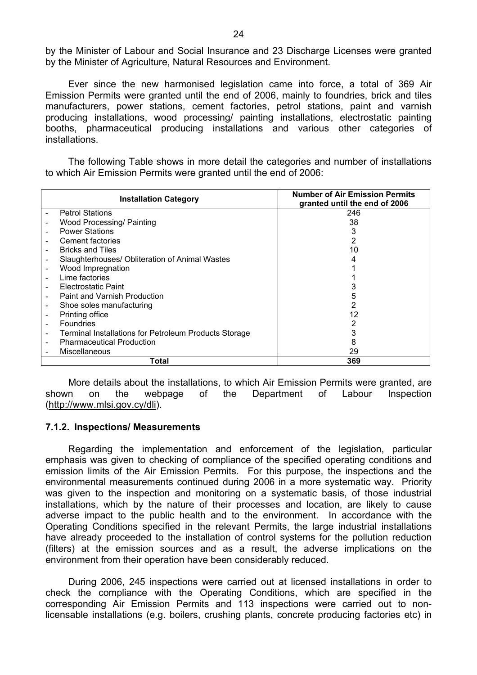by the Minister of Labour and Social Insurance and 23 Discharge Licenses were granted by the Minister of Agriculture, Natural Resources and Environment.

Ever since the new harmonised legislation came into force, a total of 369 Air Emission Permits were granted until the end of 2006, mainly to foundries, brick and tiles manufacturers, power stations, cement factories, petrol stations, paint and varnish producing installations, wood processing/ painting installations, electrostatic painting booths, pharmaceutical producing installations and various other categories of installations.

The following Table shows in more detail the categories and number of installations to which Air Emission Permits were granted until the end of 2006:

| <b>Installation Category</b>                                 | <b>Number of Air Emission Permits</b><br>granted until the end of 2006 |  |  |  |  |
|--------------------------------------------------------------|------------------------------------------------------------------------|--|--|--|--|
| <b>Petrol Stations</b>                                       | 246                                                                    |  |  |  |  |
| Wood Processing/ Painting                                    | 38                                                                     |  |  |  |  |
| <b>Power Stations</b>                                        | 3                                                                      |  |  |  |  |
| Cement factories                                             | 2                                                                      |  |  |  |  |
| <b>Bricks and Tiles</b>                                      | 10                                                                     |  |  |  |  |
| Slaughterhouses/ Obliteration of Animal Wastes               |                                                                        |  |  |  |  |
| Wood Impregnation                                            |                                                                        |  |  |  |  |
| Lime factories                                               |                                                                        |  |  |  |  |
| Electrostatic Paint                                          | 3                                                                      |  |  |  |  |
| Paint and Varnish Production                                 | 5                                                                      |  |  |  |  |
| Shoe soles manufacturing                                     | 2                                                                      |  |  |  |  |
| Printing office                                              | 12                                                                     |  |  |  |  |
| <b>Foundries</b>                                             |                                                                        |  |  |  |  |
| <b>Terminal Installations for Petroleum Products Storage</b> | 3                                                                      |  |  |  |  |
| <b>Pharmaceutical Production</b>                             | 8                                                                      |  |  |  |  |
| Miscellaneous                                                | 29                                                                     |  |  |  |  |
| Total                                                        | 369                                                                    |  |  |  |  |

More details about the installations, to which Air Emission Permits were granted, are shown on the webpage of the Department of Labour Inspection (http://www.mlsi.gov.cy/dli).

#### **7.1.2. Inspections/ Measurements**

Regarding the implementation and enforcement of the legislation, particular emphasis was given to checking of compliance of the specified operating conditions and emission limits of the Air Emission Permits. For this purpose, the inspections and the environmental measurements continued during 2006 in a more systematic way. Priority was given to the inspection and monitoring on a systematic basis, of those industrial installations, which by the nature of their processes and location, are likely to cause adverse impact to the public health and to the environment. In accordance with the Operating Conditions specified in the relevant Permits, the large industrial installations have already proceeded to the installation of control systems for the pollution reduction (filters) at the emission sources and as a result, the adverse implications on the environment from their operation have been considerably reduced.

During 2006, 245 inspections were carried out at licensed installations in order to check the compliance with the Operating Conditions, which are specified in the corresponding Air Emission Permits and 113 inspections were carried out to nonlicensable installations (e.g. boilers, crushing plants, concrete producing factories etc) in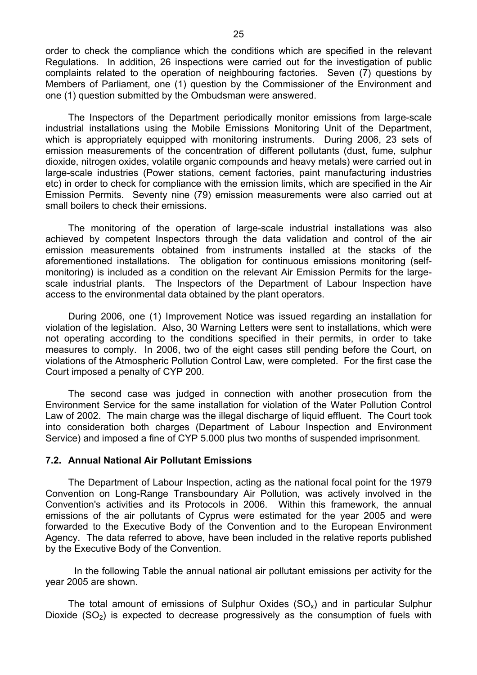order to check the compliance which the conditions which are specified in the relevant Regulations. In addition, 26 inspections were carried out for the investigation of public complaints related to the operation of neighbouring factories. Seven (7) questions by Members of Parliament, one (1) question by the Commissioner of the Environment and one (1) question submitted by the Ombudsman were answered.

The Inspectors of the Department periodically monitor emissions from large-scale industrial installations using the Mobile Emissions Monitoring Unit of the Department, which is appropriately equipped with monitoring instruments. During 2006, 23 sets of emission measurements of the concentration of different pollutants (dust, fume, sulphur dioxide, nitrogen oxides, volatile organic compounds and heavy metals) were carried out in large-scale industries (Power stations, cement factories, paint manufacturing industries etc) in order to check for compliance with the emission limits, which are specified in the Air Emission Permits. Seventy nine (79) emission measurements were also carried out at small boilers to check their emissions.

The monitoring of the operation of large-scale industrial installations was also achieved by competent Inspectors through the data validation and control of the air emission measurements obtained from instruments installed at the stacks of the aforementioned installations. The obligation for continuous emissions monitoring (selfmonitoring) is included as a condition on the relevant Air Emission Permits for the largescale industrial plants. The Inspectors of the Department of Labour Inspection have access to the environmental data obtained by the plant operators.

During 2006, one (1) Improvement Notice was issued regarding an installation for violation of the legislation. Also, 30 Warning Letters were sent to installations, which were not operating according to the conditions specified in their permits, in order to take measures to comply. In 2006, two of the eight cases still pending before the Court, on violations of the Atmospheric Pollution Control Law, were completed. For the first case the Court imposed a penalty of CYP 200.

The second case was judged in connection with another prosecution from the Environment Service for the same installation for violation of the Water Pollution Control Law of 2002. The main charge was the illegal discharge of liquid effluent. The Court took into consideration both charges (Department of Labour Inspection and Environment Service) and imposed a fine of CYP 5.000 plus two months of suspended imprisonment.

#### **7.2. Annual National Air Pollutant Emissions**

The Department of Labour Inspection, acting as the national focal point for the 1979 Convention on Long-Range Transboundary Air Pollution, was actively involved in the Convention's activities and its Protocols in 2006. Within this framework, the annual emissions of the air pollutants of Cyprus were estimated for the year 2005 and were forwarded to the Executive Body of the Convention and to the European Environment Agency. The data referred to above, have been included in the relative reports published by the Executive Body of the Convention.

 In the following Table the annual national air pollutant emissions per activity for the year 2005 are shown.

The total amount of emissions of Sulphur Oxides  $(SO_x)$  and in particular Sulphur Dioxide  $(SO<sub>2</sub>)$  is expected to decrease progressively as the consumption of fuels with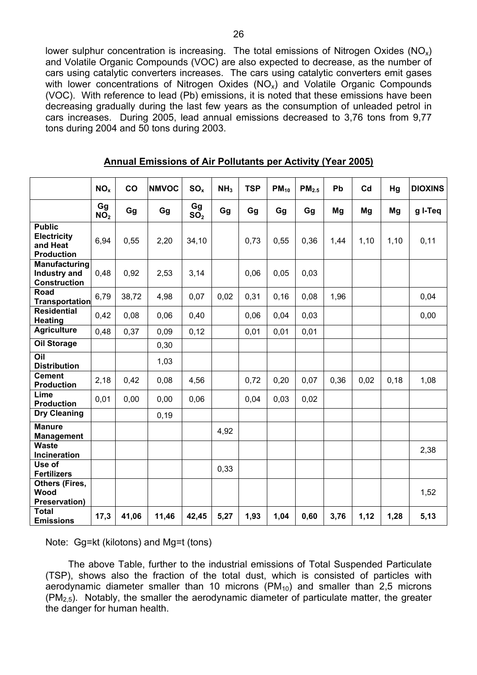lower sulphur concentration is increasing. The total emissions of Nitrogen Oxides (NO<sub>x</sub>) and Volatile Organic Compounds (VOC) are also expected to decrease, as the number of cars using catalytic converters increases. The cars using catalytic converters emit gases with lower concentrations of Nitrogen Oxides  $(NO<sub>x</sub>)$  and Volatile Organic Compounds (VOC). With reference to lead (Pb) emissions, it is noted that these emissions have been decreasing gradually during the last few years as the consumption of unleaded petrol in cars increases. During 2005, lead annual emissions decreased to 3,76 tons from 9,77 tons during 2004 and 50 tons during 2003.

|                                                                      | NO <sub>x</sub>       | CO    | <b>NMVOC</b> | SO <sub>x</sub>       | NH <sub>3</sub> | <b>TSP</b> | $PM_{10}$ | PM <sub>2.5</sub> | Pb   | Cd   | Hg    | <b>DIOXINS</b> |
|----------------------------------------------------------------------|-----------------------|-------|--------------|-----------------------|-----------------|------------|-----------|-------------------|------|------|-------|----------------|
|                                                                      | Gg<br>NO <sub>2</sub> | Gg    | Gg           | Gg<br>SO <sub>2</sub> | Gg              | Gg         | Gg        | Gg                | Mg   | Mg   | Mg    | g I-Teq        |
| <b>Public</b><br><b>Electricity</b><br>and Heat<br><b>Production</b> | 6,94                  | 0,55  | 2,20         | 34,10                 |                 | 0,73       | 0,55      | 0,36              | 1,44 | 1,10 | 1,10  | 0,11           |
| Manufacturing<br><b>Industry and</b><br><b>Construction</b>          | 0,48                  | 0,92  | 2,53         | 3,14                  |                 | 0,06       | 0,05      | 0,03              |      |      |       |                |
| <b>Road</b><br><b>Transportation</b>                                 | 6,79                  | 38,72 | 4,98         | 0,07                  | 0,02            | 0,31       | 0, 16     | 0,08              | 1,96 |      |       | 0,04           |
| <b>Residential</b><br><b>Heating</b>                                 | 0,42                  | 0,08  | 0,06         | 0,40                  |                 | 0,06       | 0,04      | 0,03              |      |      |       | 0,00           |
| <b>Agriculture</b>                                                   | 0,48                  | 0,37  | 0,09         | 0,12                  |                 | 0,01       | 0,01      | 0,01              |      |      |       |                |
| <b>Oil Storage</b>                                                   |                       |       | 0,30         |                       |                 |            |           |                   |      |      |       |                |
| Oil<br><b>Distribution</b>                                           |                       |       | 1,03         |                       |                 |            |           |                   |      |      |       |                |
| <b>Cement</b><br><b>Production</b>                                   | 2,18                  | 0,42  | 0,08         | 4,56                  |                 | 0,72       | 0,20      | 0,07              | 0,36 | 0,02 | 0, 18 | 1,08           |
| Lime<br><b>Production</b>                                            | 0.01                  | 0,00  | 0,00         | 0.06                  |                 | 0,04       | 0,03      | 0,02              |      |      |       |                |
| <b>Dry Cleaning</b>                                                  |                       |       | 0, 19        |                       |                 |            |           |                   |      |      |       |                |
| <b>Manure</b><br><b>Management</b>                                   |                       |       |              |                       | 4,92            |            |           |                   |      |      |       |                |
| <b>Waste</b><br>Incineration                                         |                       |       |              |                       |                 |            |           |                   |      |      |       | 2,38           |
| Use of<br><b>Fertilizers</b>                                         |                       |       |              |                       | 0,33            |            |           |                   |      |      |       |                |
| <b>Others (Fires,</b><br>Wood<br><b>Preservation)</b>                |                       |       |              |                       |                 |            |           |                   |      |      |       | 1,52           |
| <b>Total</b><br><b>Emissions</b>                                     | 17,3                  | 41,06 | 11,46        | 42,45                 | 5,27            | 1,93       | 1,04      | 0,60              | 3,76 | 1,12 | 1,28  | 5,13           |

**Annual Emissions of Air Pollutants per Activity (Year 2005)**

Note: Gg=kt (kilotons) and Mg=t (tons)

The above Table, further to the industrial emissions of Total Suspended Particulate (TSP), shows also the fraction of the total dust, which is consisted of particles with aerodynamic diameter smaller than 10 microns  $(PM_{10})$  and smaller than 2.5 microns  $(PM<sub>2.5</sub>)$ . Notably, the smaller the aerodynamic diameter of particulate matter, the greater the danger for human health.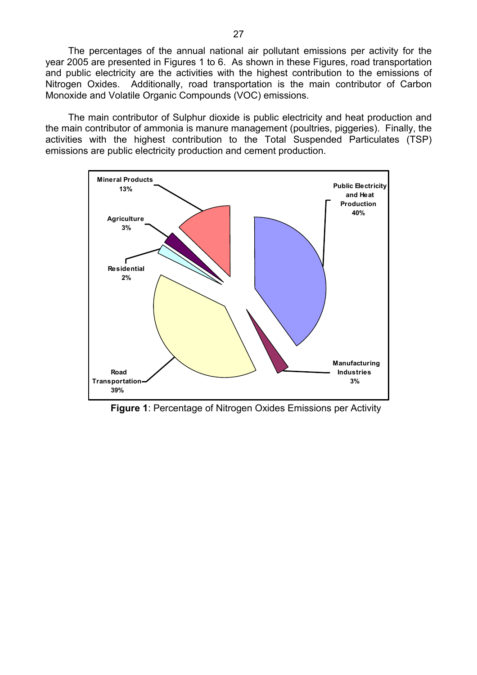The percentages of the annual national air pollutant emissions per activity for the year 2005 are presented in Figures 1 to 6. As shown in these Figures, road transportation and public electricity are the activities with the highest contribution to the emissions of Nitrogen Oxides. Additionally, road transportation is the main contributor of Carbon Monoxide and Volatile Organic Compounds (VOC) emissions.

The main contributor of Sulphur dioxide is public electricity and heat production and the main contributor of ammonia is manure management (poultries, piggeries). Finally, the activities with the highest contribution to the Total Suspended Particulates (TSP) emissions are public electricity production and cement production.



**Figure 1**: Percentage of Nitrogen Oxides Emissions per Activity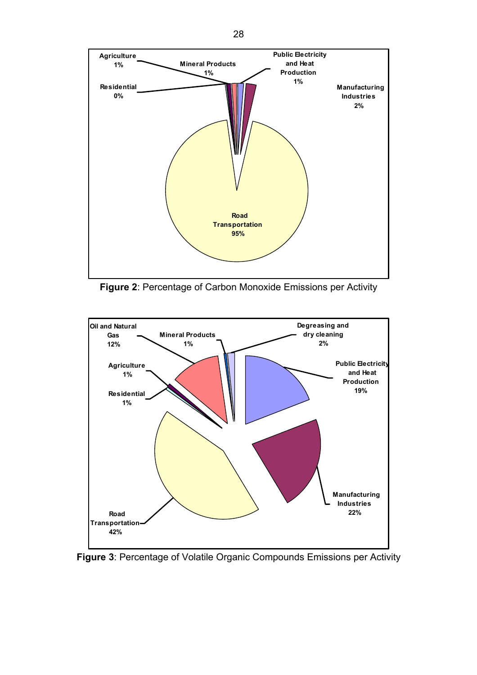

**Figure 2**: Percentage of Carbon Monoxide Emissions per Activity



**Figure 3**: Percentage of Volatile Organic Compounds Emissions per Activity

28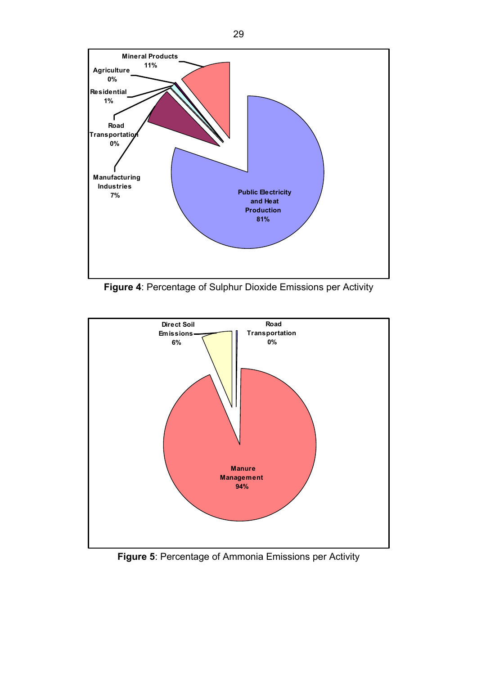

**Figure 4**: Percentage of Sulphur Dioxide Emissions per Activity



**Figure 5**: Percentage of Ammonia Emissions per Activity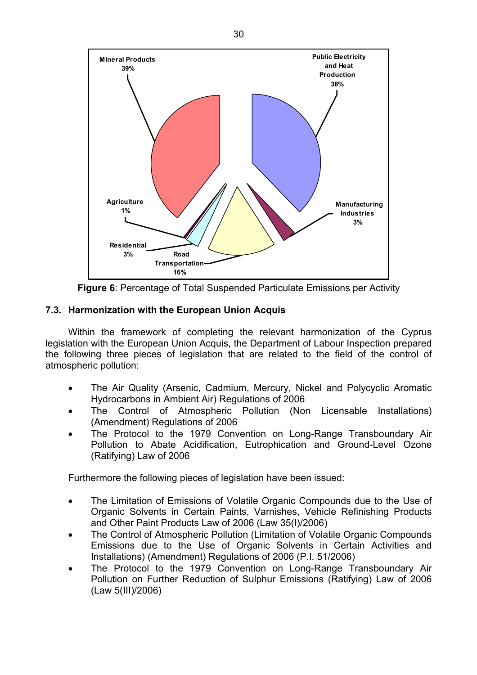

**Figure 6**: Percentage of Total Suspended Particulate Emissions per Activity

## **7.3. Harmonization with the European Union Acquis**

Within the framework of completing the relevant harmonization of the Cyprus legislation with the European Union Acquis, the Department of Labour Inspection prepared the following three pieces of legislation that are related to the field of the control of atmospheric pollution:

- The Air Quality (Arsenic, Cadmium, Mercury, Nickel and Polycyclic Aromatic Hydrocarbons in Ambient Air) Regulations of 2006
- The Control of Atmospheric Pollution (Non Licensable Installations) (Amendment) Regulations of 2006
- The Protocol to the 1979 Convention on Long-Range Transboundary Air Pollution to Abate Acidification, Eutrophication and Ground-Level Ozone (Ratifying) Law of 2006

Furthermore the following pieces of legislation have been issued:

- The Limitation of Emissions of Volatile Organic Compounds due to the Use of Organic Solvents in Certain Paints, Varnishes, Vehicle Refinishing Products and Other Paint Products Law of 2006 (Law 35(I)/2006)
- The Control of Atmospheric Pollution (Limitation of Volatile Organic Compounds Emissions due to the Use of Organic Solvents in Certain Activities and Installations) (Amendment) Regulations of 2006 (P.I. 51/2006)
- The Protocol to the 1979 Convention on Long-Range Transboundary Air Pollution on Further Reduction of Sulphur Emissions (Ratifying) Law of 2006 (Law 5(III)/2006)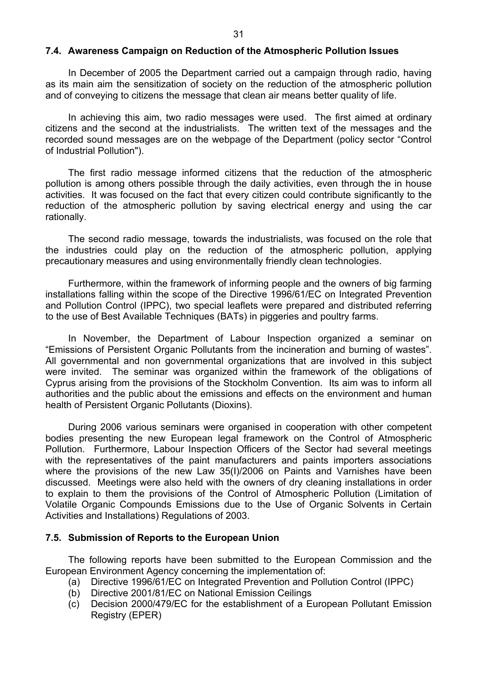#### **7.4. Awareness Campaign on Reduction of the Atmospheric Pollution Issues**

In December of 2005 the Department carried out a campaign through radio, having as its main aim the sensitization of society on the reduction of the atmospheric pollution and of conveying to citizens the message that clean air means better quality of life.

In achieving this aim, two radio messages were used. The first aimed at ordinary citizens and the second at the industrialists. The written text of the messages and the recorded sound messages are on the webpage of the Department (policy sector "Control of Industrial Pollution").

The first radio message informed citizens that the reduction of the atmospheric pollution is among others possible through the daily activities, even through the in house activities. It was focused on the fact that every citizen could contribute significantly to the reduction of the atmospheric pollution by saving electrical energy and using the car rationally.

The second radio message, towards the industrialists, was focused on the role that the industries could play on the reduction of the atmospheric pollution, applying precautionary measures and using environmentally friendly clean technologies.

Furthermore, within the framework of informing people and the owners of big farming installations falling within the scope of the Directive 1996/61/EC on Integrated Prevention and Pollution Control (IPPC), two special leaflets were prepared and distributed referring to the use of Best Available Techniques (BATs) in piggeries and poultry farms.

In November, the Department of Labour Inspection organized a seminar on "Emissions of Persistent Organic Pollutants from the incineration and burning of wastes". All governmental and non governmental organizations that are involved in this subject were invited. The seminar was organized within the framework of the obligations of Cyprus arising from the provisions of the Stockholm Convention. Its aim was to inform all authorities and the public about the emissions and effects on the environment and human health of Persistent Organic Pollutants (Dioxins).

During 2006 various seminars were organised in cooperation with other competent bodies presenting the new European legal framework on the Control of Atmospheric Pollution. Furthermore, Labour Inspection Officers of the Sector had several meetings with the representatives of the paint manufacturers and paints importers associations where the provisions of the new Law 35(I)/2006 on Paints and Varnishes have been discussed. Meetings were also held with the owners of dry cleaning installations in order to explain to them the provisions of the Control of Atmospheric Pollution (Limitation of Volatile Organic Compounds Emissions due to the Use of Organic Solvents in Certain Activities and Installations) Regulations of 2003.

#### **7.5. Submission of Reports to the European Union**

The following reports have been submitted to the European Commission and the European Environment Agency concerning the implementation of:

- (a) Directive 1996/61/EC on Integrated Prevention and Pollution Control (IPPC)
- (b) Directive 2001/81/EC on National Emission Ceilings
- (c) Decision 2000/479/EC for the establishment of a European Pollutant Emission Registry (EPER)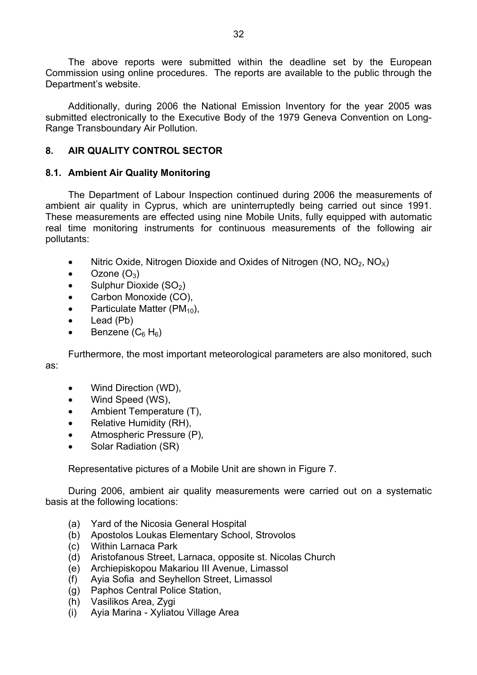The above reports were submitted within the deadline set by the European Commission using online procedures. The reports are available to the public through the Department's website.

Additionally, during 2006 the National Emission Inventory for the year 2005 was submitted electronically to the Executive Body of the 1979 Geneva Convention on Long-Range Transboundary Air Pollution.

### **8. AIR QUALITY CONTROL SECTOR**

### **8.1. Ambient Air Quality Monitoring**

The Department of Labour Inspection continued during 2006 the measurements of ambient air quality in Cyprus, which are uninterruptedly being carried out since 1991. These measurements are effected using nine Mobile Units, fully equipped with automatic real time monitoring instruments for continuous measurements of the following air pollutants:

- Nitric Oxide, Nitrogen Dioxide and Oxides of Nitrogen (NO,  $NO<sub>2</sub>$ , NO<sub>x</sub>)
- Ozone  $(O_3)$
- Sulphur Dioxide  $(SO<sub>2</sub>)$
- Carbon Monoxide (CO),
- Particulate Matter ( $PM_{10}$ ),
- Lead (Pb)
- Benzene  $(C_6 H_6)$

Furthermore, the most important meteorological parameters are also monitored, such as:

- Wind Direction (WD),
- Wind Speed (WS).
- Ambient Temperature (T),
- Relative Humidity (RH),
- Atmospheric Pressure (P),
- Solar Radiation (SR)

Representative pictures of a Mobile Unit are shown in Figure 7.

During 2006, ambient air quality measurements were carried out on a systematic basis at the following locations:

- (a) Yard of the Nicosia General Hospital
- (b) Apostolos Loukas Elementary School, Strovolos
- (c) Within Larnaca Park
- (d) Aristofanous Street, Larnaca, opposite st. Nicolas Church
- (e) Archiepiskopou Makariou III Avenue, Limassol
- (f) Ayia Sofia and Seyhellon Street, Limassol
- (g) Paphos Central Police Station,
- (h) Vasilikos Area, Zygi
- (i) Ayia Marina Xyliatou Village Area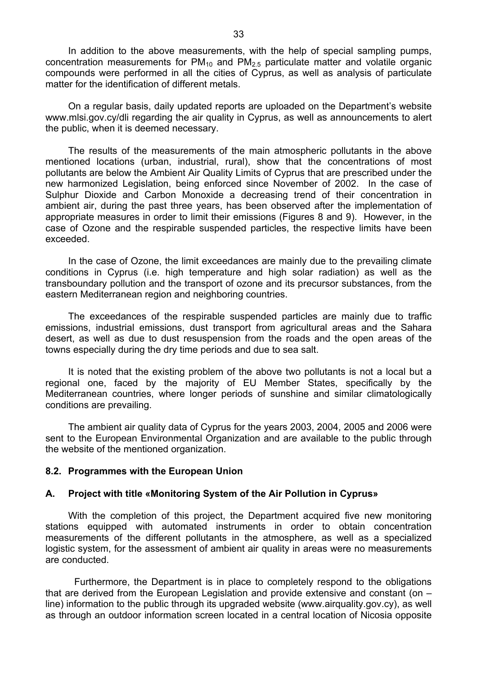In addition to the above measurements, with the help of special sampling pumps, concentration measurements for  $PM_{10}$  and  $PM_{2.5}$  particulate matter and volatile organic compounds were performed in all the cities of Cyprus, as well as analysis of particulate matter for the identification of different metals.

On a regular basis, daily updated reports are uploaded on the Department's website www.mlsi.gov.cy/dli regarding the air quality in Cyprus, as well as announcements to alert the public, when it is deemed necessary.

The results of the measurements of the main atmospheric pollutants in the above mentioned locations (urban, industrial, rural), show that the concentrations of most pollutants are below the Ambient Air Quality Limits of Cyprus that are prescribed under the new harmonized Legislation, being enforced since November of 2002. In the case of Sulphur Dioxide and Carbon Monoxide a decreasing trend of their concentration in ambient air, during the past three years, has been observed after the implementation of appropriate measures in order to limit their emissions (Figures 8 and 9). However, in the case of Ozone and the respirable suspended particles, the respective limits have been exceeded.

In the case of Ozone, the limit exceedances are mainly due to the prevailing climate conditions in Cyprus (i.e. high temperature and high solar radiation) as well as the transboundary pollution and the transport of ozone and its precursor substances, from the eastern Mediterranean region and neighboring countries.

The exceedances of the respirable suspended particles are mainly due to traffic emissions, industrial emissions, dust transport from agricultural areas and the Sahara desert, as well as due to dust resuspension from the roads and the open areas of the towns especially during the dry time periods and due to sea salt.

It is noted that the existing problem of the above two pollutants is not a local but a regional one, faced by the majority of EU Member States, specifically by the Mediterranean countries, where longer periods of sunshine and similar climatologically conditions are prevailing.

The ambient air quality data of Cyprus for the years 2003, 2004, 2005 and 2006 were sent to the European Environmental Organization and are available to the public through the website of the mentioned organization.

### **8.2. Programmes with the European Union**

### **A. Project with title «Monitoring System of the Air Pollution in Cyprus»**

With the completion of this project, the Department acquired five new monitoring stations equipped with automated instruments in order to obtain concentration measurements of the different pollutants in the atmosphere, as well as a specialized logistic system, for the assessment of ambient air quality in areas were no measurements are conducted.

 Furthermore, the Department is in place to completely respond to the obligations that are derived from the European Legislation and provide extensive and constant (on – line) information to the public through its upgraded website (www.airquality.gov.cy), as well as through an outdoor information screen located in a central location of Nicosia opposite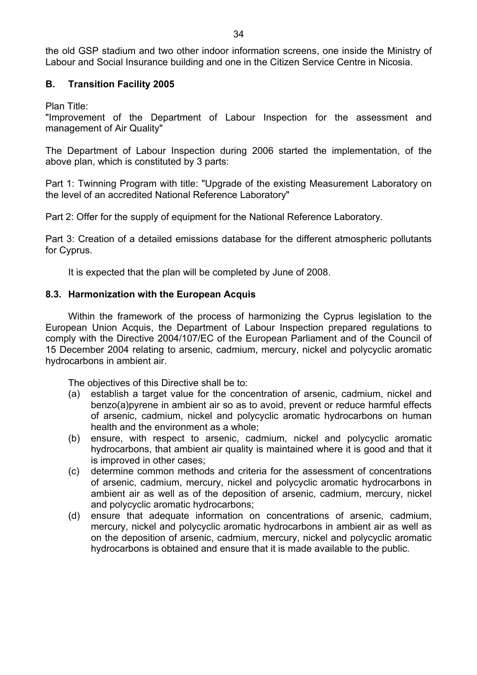the old GSP stadium and two other indoor information screens, one inside the Ministry of Labour and Social Insurance building and one in the Citizen Service Centre in Nicosia.

### **B. Transition Facility 2005**

Plan Title:

"Improvement of the Department of Labour Inspection for the assessment and management of Air Quality"

The Department of Labour Inspection during 2006 started the implementation, of the above plan, which is constituted by 3 parts:

Part 1: Twinning Program with title: "Upgrade of the existing Measurement Laboratory on the level of an accredited National Reference Laboratory"

Part 2: Offer for the supply of equipment for the National Reference Laboratory.

Part 3: Creation of a detailed emissions database for the different atmospheric pollutants for Cyprus.

It is expected that the plan will be completed by June of 2008.

### **8.3. Harmonization with the European Acquis**

Within the framework of the process of harmonizing the Cyprus legislation to the European Union Acquis, the Department of Labour Inspection prepared regulations to comply with the Directive 2004/107/EC of the European Parliament and of the Council of 15 December 2004 relating to arsenic, cadmium, mercury, nickel and polycyclic aromatic hydrocarbons in ambient air.

The objectives of this Directive shall be to:

- (a) establish a target value for the concentration of arsenic, cadmium, nickel and benzo(a)pyrene in ambient air so as to avoid, prevent or reduce harmful effects of arsenic, cadmium, nickel and polycyclic aromatic hydrocarbons on human health and the environment as a whole;
- (b) ensure, with respect to arsenic, cadmium, nickel and polycyclic aromatic hydrocarbons, that ambient air quality is maintained where it is good and that it is improved in other cases;
- (c) determine common methods and criteria for the assessment of concentrations of arsenic, cadmium, mercury, nickel and polycyclic aromatic hydrocarbons in ambient air as well as of the deposition of arsenic, cadmium, mercury, nickel and polycyclic aromatic hydrocarbons;
- (d) ensure that adequate information on concentrations of arsenic, cadmium, mercury, nickel and polycyclic aromatic hydrocarbons in ambient air as well as on the deposition of arsenic, cadmium, mercury, nickel and polycyclic aromatic hydrocarbons is obtained and ensure that it is made available to the public.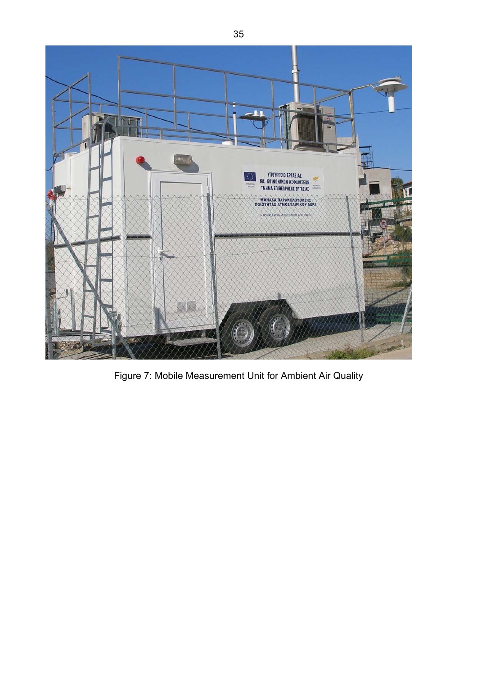

Figure 7: Mobile Measurement Unit for Ambient Air Quality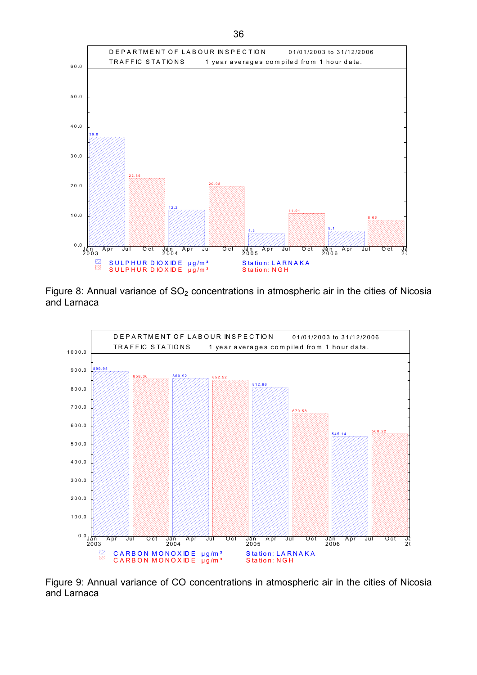

Figure 8: Annual variance of  $SO<sub>2</sub>$  concentrations in atmospheric air in the cities of Nicosia and Larnaca



Figure 9: Annual variance of CO concentrations in atmospheric air in the cities of Nicosia and Larnaca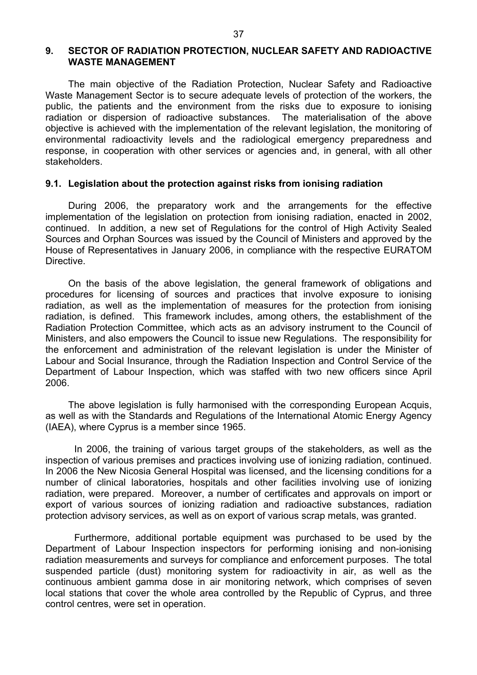### **9. SECTOR OF RADIATION PROTECTION, NUCLEAR SAFETY AND RADIOACTIVE WASTE MANAGEMENT**

The main objective of the Radiation Protection, Nuclear Safety and Radioactive Waste Management Sector is to secure adequate levels of protection of the workers, the public, the patients and the environment from the risks due to exposure to ionising radiation or dispersion of radioactive substances. The materialisation of the above objective is achieved with the implementation of the relevant legislation, the monitoring of environmental radioactivity levels and the radiological emergency preparedness and response, in cooperation with other services or agencies and, in general, with all other stakeholders.

### **9.1. Legislation about the protection against risks from ionising radiation**

During 2006, the preparatory work and the arrangements for the effective implementation of the legislation on protection from ionising radiation, enacted in 2002, continued. In addition, a new set of Regulations for the control of High Activity Sealed Sources and Orphan Sources was issued by the Council of Ministers and approved by the House of Representatives in January 2006, in compliance with the respective EURATOM **Directive** 

On the basis of the above legislation, the general framework of obligations and procedures for licensing of sources and practices that involve exposure to ionising radiation, as well as the implementation of measures for the protection from ionising radiation, is defined. This framework includes, among others, the establishment of the Radiation Protection Committee, which acts as an advisory instrument to the Council of Ministers, and also empowers the Council to issue new Regulations. The responsibility for the enforcement and administration of the relevant legislation is under the Minister of Labour and Social Insurance, through the Radiation Inspection and Control Service of the Department of Labour Inspection, which was staffed with two new officers since April 2006.

The above legislation is fully harmonised with the corresponding European Acquis, as well as with the Standards and Regulations of the International Atomic Energy Agency (IAEA), where Cyprus is a member since 1965.

 In 2006, the training of various target groups of the stakeholders, as well as the inspection of various premises and practices involving use of ionizing radiation, continued. In 2006 the New Nicosia General Hospital was licensed, and the licensing conditions for a number of clinical laboratories, hospitals and other facilities involving use of ionizing radiation, were prepared. Moreover, a number of certificates and approvals on import or export of various sources of ionizing radiation and radioactive substances, radiation protection advisory services, as well as on export of various scrap metals, was granted.

 Furthermore, additional portable equipment was purchased to be used by the Department of Labour Inspection inspectors for performing ionising and non-ionising radiation measurements and surveys for compliance and enforcement purposes. The total suspended particle (dust) monitoring system for radioactivity in air, as well as the continuous ambient gamma dose in air monitoring network, which comprises of seven local stations that cover the whole area controlled by the Republic of Cyprus, and three control centres, were set in operation.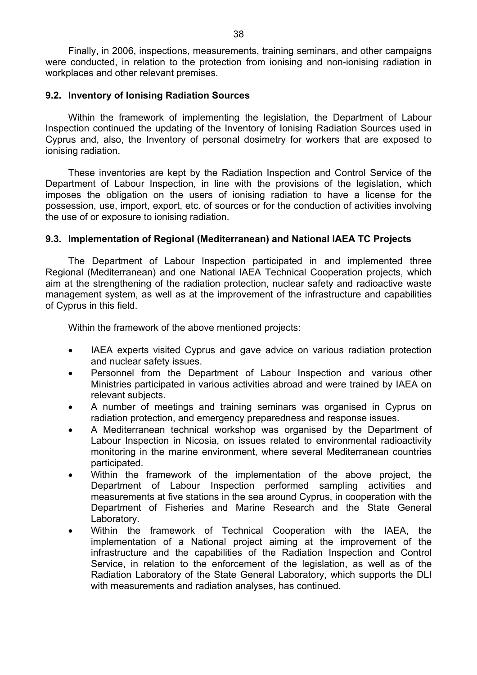Finally, in 2006, inspections, measurements, training seminars, and other campaigns were conducted, in relation to the protection from ionising and non-ionising radiation in workplaces and other relevant premises.

### **9.2. Inventory of Ionising Radiation Sources**

Within the framework of implementing the legislation, the Department of Labour Inspection continued the updating of the Inventory of Ionising Radiation Sources used in Cyprus and, also, the Inventory of personal dosimetry for workers that are exposed to ionising radiation.

These inventories are kept by the Radiation Inspection and Control Service of the Department of Labour Inspection, in line with the provisions of the legislation, which imposes the obligation on the users of ionising radiation to have a license for the possession, use, import, export, etc. of sources or for the conduction of activities involving the use of or exposure to ionising radiation.

### **9.3. Implementation of Regional (Mediterranean) and National IAEA TC Projects**

The Department of Labour Inspection participated in and implemented three Regional (Mediterranean) and one National IAEA Technical Cooperation projects, which aim at the strengthening of the radiation protection, nuclear safety and radioactive waste management system, as well as at the improvement of the infrastructure and capabilities of Cyprus in this field.

Within the framework of the above mentioned projects:

- IAEA experts visited Cyprus and gave advice on various radiation protection and nuclear safety issues.
- Personnel from the Department of Labour Inspection and various other Ministries participated in various activities abroad and were trained by IAEA on relevant subjects.
- A number of meetings and training seminars was organised in Cyprus on radiation protection, and emergency preparedness and response issues.
- A Mediterranean technical workshop was organised by the Department of Labour Inspection in Nicosia, on issues related to environmental radioactivity monitoring in the marine environment, where several Mediterranean countries participated.
- Within the framework of the implementation of the above project, the Department of Labour Inspection performed sampling activities and measurements at five stations in the sea around Cyprus, in cooperation with the Department of Fisheries and Marine Research and the State General Laboratory.
- Within the framework of Technical Cooperation with the IAEA, the implementation of a National project aiming at the improvement of the infrastructure and the capabilities of the Radiation Inspection and Control Service, in relation to the enforcement of the legislation, as well as of the Radiation Laboratory of the State General Laboratory, which supports the DLI with measurements and radiation analyses, has continued.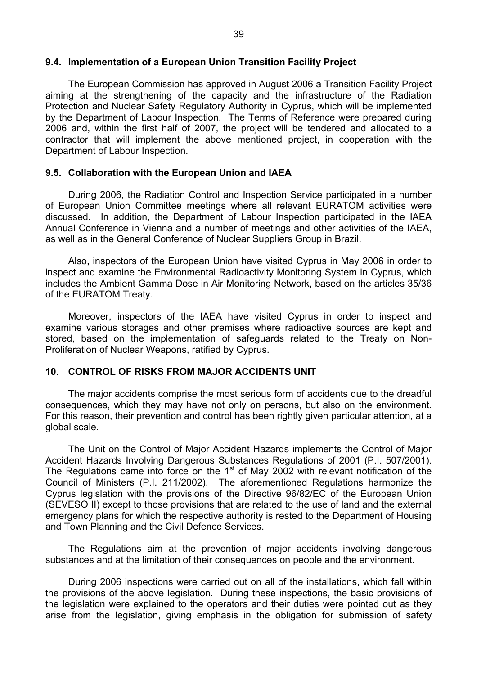### **9.4. Implementation of a European Union Transition Facility Project**

The European Commission has approved in August 2006 a Transition Facility Project aiming at the strengthening of the capacity and the infrastructure of the Radiation Protection and Nuclear Safety Regulatory Authority in Cyprus, which will be implemented by the Department of Labour Inspection. The Terms of Reference were prepared during 2006 and, within the first half of 2007, the project will be tendered and allocated to a contractor that will implement the above mentioned project, in cooperation with the Department of Labour Inspection.

### **9.5. Collaboration with the European Union and IAEA**

During 2006, the Radiation Control and Inspection Service participated in a number of European Union Committee meetings where all relevant EURATOM activities were discussed. In addition, the Department of Labour Inspection participated in the IAEA Annual Conference in Vienna and a number of meetings and other activities of the IAEA, as well as in the General Conference of Nuclear Suppliers Group in Brazil.

Also, inspectors of the European Union have visited Cyprus in May 2006 in order to inspect and examine the Environmental Radioactivity Monitoring System in Cyprus, which includes the Ambient Gamma Dose in Air Monitoring Network, based on the articles 35/36 of the EURATOM Treaty.

Moreover, inspectors of the IAEA have visited Cyprus in order to inspect and examine various storages and other premises where radioactive sources are kept and stored, based on the implementation of safeguards related to the Treaty on Non-Proliferation of Nuclear Weapons, ratified by Cyprus.

### **10. CONTROL OF RISKS FROM MAJOR ACCIDENTS UNIT**

The major accidents comprise the most serious form of accidents due to the dreadful consequences, which they may have not only on persons, but also on the environment. For this reason, their prevention and control has been rightly given particular attention, at a global scale.

The Unit on the Control of Major Accident Hazards implements the Control of Major Accident Hazards Involving Dangerous Substances Regulations of 2001 (P.I. 507/2001). The Regulations came into force on the  $1<sup>st</sup>$  of May 2002 with relevant notification of the Council of Ministers (P.I. 211/2002). The aforementioned Regulations harmonize the Cyprus legislation with the provisions of the Directive 96/82/EC of the European Union (SEVESO II) except to those provisions that are related to the use of land and the external emergency plans for which the respective authority is rested to the Department of Housing and Town Planning and the Civil Defence Services.

The Regulations aim at the prevention of major accidents involving dangerous substances and at the limitation of their consequences on people and the environment.

During 2006 inspections were carried out on all of the installations, which fall within the provisions of the above legislation. During these inspections, the basic provisions of the legislation were explained to the operators and their duties were pointed out as they arise from the legislation, giving emphasis in the obligation for submission of safety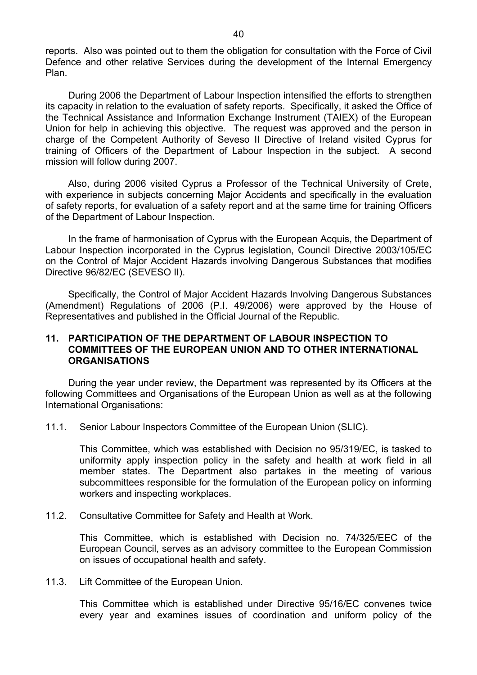reports. Also was pointed out to them the obligation for consultation with the Force of Civil Defence and other relative Services during the development of the Internal Emergency Plan.

During 2006 the Department of Labour Inspection intensified the efforts to strengthen its capacity in relation to the evaluation of safety reports. Specifically, it asked the Office of the Technical Assistance and Information Exchange Instrument (TAIEX) of the European Union for help in achieving this objective. The request was approved and the person in charge of the Competent Authority of Seveso II Directive of Ireland visited Cyprus for training of Officers of the Department of Labour Inspection in the subject. A second mission will follow during 2007.

Also, during 2006 visited Cyprus a Professor of the Technical University of Crete, with experience in subjects concerning Major Accidents and specifically in the evaluation of safety reports, for evaluation of a safety report and at the same time for training Officers of the Department of Labour Inspection.

In the frame of harmonisation of Cyprus with the European Acquis, the Department of Labour Inspection incorporated in the Cyprus legislation, Council Directive 2003/105/EC on the Control of Major Accident Hazards involving Dangerous Substances that modifies Directive 96/82/EC (SEVESO II).

Specifically, the Control of Major Accident Hazards Involving Dangerous Substances (Amendment) Regulations of 2006 (P.I. 49/2006) were approved by the House of Representatives and published in the Official Journal of the Republic.

### **11. PARTICIPATION OF THE DEPARTMENT OF LABOUR INSPECTION TO COMMITTEES OF THE EUROPEAN UNION AND TO OTHER INTERNATIONAL ORGANISATIONS**

During the year under review, the Department was represented by its Officers at the following Committees and Organisations of the European Union as well as at the following International Organisations:

11.1. Senior Labour Inspectors Committee of the European Union (SLIC).

 This Committee, which was established with Decision no 95/319/EC, is tasked to uniformity apply inspection policy in the safety and health at work field in all member states. The Department also partakes in the meeting of various subcommittees responsible for the formulation of the European policy on informing workers and inspecting workplaces.

11.2. Consultative Committee for Safety and Health at Work.

 This Committee, which is established with Decision no. 74/325/EEC of the European Council, serves as an advisory committee to the European Commission on issues of occupational health and safety.

11.3. Lift Committee of the European Union.

 This Committee which is established under Directive 95/16/EC convenes twice every year and examines issues of coordination and uniform policy of the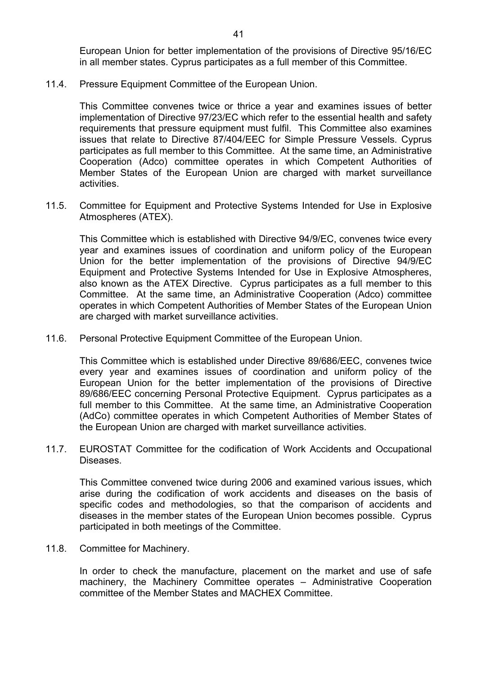European Union for better implementation of the provisions of Directive 95/16/EC in all member states. Cyprus participates as a full member of this Committee.

11.4. Pressure Equipment Committee of the European Union.

 This Committee convenes twice or thrice a year and examines issues of better implementation of Directive 97/23/EC which refer to the essential health and safety requirements that pressure equipment must fulfil. This Committee also examines issues that relate to Directive 87/404/EEC for Simple Pressure Vessels. Cyprus participates as full member to this Committee. At the same time, an Administrative Cooperation (Adco) committee operates in which Competent Authorities of Member States of the European Union are charged with market surveillance activities.

11.5. Committee for Equipment and Protective Systems Intended for Use in Explosive Atmospheres (ATEX).

 This Committee which is established with Directive 94/9/EC, convenes twice every year and examines issues of coordination and uniform policy of the European Union for the better implementation of the provisions of Directive 94/9/EC Equipment and Protective Systems Intended for Use in Explosive Atmospheres, also known as the ATEX Directive. Cyprus participates as a full member to this Committee. At the same time, an Administrative Cooperation (Adco) committee operates in which Competent Authorities of Member States of the European Union are charged with market surveillance activities.

11.6. Personal Protective Equipment Committee of the European Union.

 This Committee which is established under Directive 89/686/EEC, convenes twice every year and examines issues of coordination and uniform policy of the European Union for the better implementation of the provisions of Directive 89/686/EEC concerning Personal Protective Equipment. Cyprus participates as a full member to this Committee. At the same time, an Administrative Cooperation (AdCo) committee operates in which Competent Authorities of Member States of the European Union are charged with market surveillance activities.

11.7. EUROSTAT Committee for the codification of Work Accidents and Occupational Diseases.

 This Committee convened twice during 2006 and examined various issues, which arise during the codification of work accidents and diseases on the basis of specific codes and methodologies, so that the comparison of accidents and diseases in the member states of the European Union becomes possible. Cyprus participated in both meetings of the Committee.

11.8. Committee for Machinery.

 In order to check the manufacture, placement on the market and use of safe machinery, the Machinery Committee operates – Administrative Cooperation committee of the Member States and MACHEX Committee.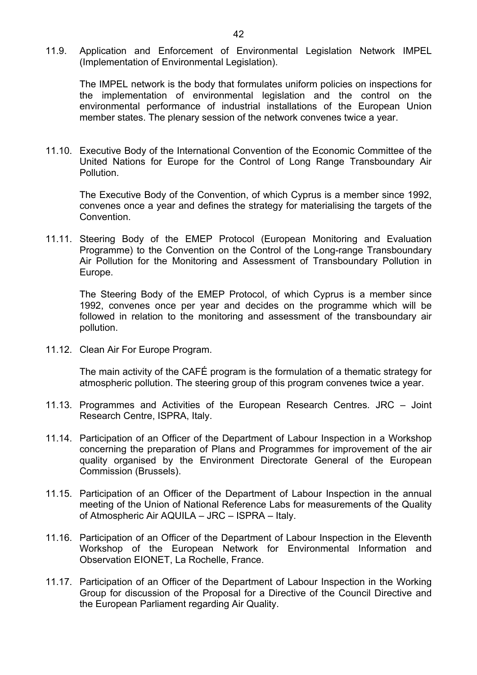11.9. Application and Enforcement of Environmental Legislation Network IMPEL (Implementation of Environmental Legislation).

 The IMPEL network is the body that formulates uniform policies on inspections for the implementation of environmental legislation and the control on the environmental performance of industrial installations of the European Union member states. The plenary session of the network convenes twice a year.

11.10. Executive Body of the International Convention of the Economic Committee of the United Nations for Europe for the Control of Long Range Transboundary Air **Pollution** 

 The Executive Body of the Convention, of which Cyprus is a member since 1992, convenes once a year and defines the strategy for materialising the targets of the Convention.

11.11. Steering Body of the EMEP Protocol (European Monitoring and Evaluation Programme) to the Convention on the Control of the Long-range Transboundary Air Pollution for the Monitoring and Assessment of Transboundary Pollution in Europe.

 The Steering Body of the EMEP Protocol, of which Cyprus is a member since 1992, convenes once per year and decides on the programme which will be followed in relation to the monitoring and assessment of the transboundary air pollution.

11.12. Clean Air For Europe Program.

 The main activity of the CAFÉ program is the formulation of a thematic strategy for atmospheric pollution. The steering group of this program convenes twice a year.

- 11.13. Programmes and Activities of the European Research Centres. JRC Joint Research Centre, ISPRA, Italy.
- 11.14. Participation of an Officer of the Department of Labour Inspection in a Workshop concerning the preparation of Plans and Programmes for improvement of the air quality organised by the Environment Directorate General of the European Commission (Brussels).
- 11.15. Participation of an Officer of the Department of Labour Inspection in the annual meeting of the Union of National Reference Labs for measurements of the Quality of Atmospheric Air AQUILA – JRC – ISPRA – Italy.
- 11.16. Participation of an Officer of the Department of Labour Inspection in the Eleventh Workshop of the European Network for Environmental Information and Observation EIONET, La Rochelle, France.
- 11.17. Participation of an Officer of the Department of Labour Inspection in the Working Group for discussion of the Proposal for a Directive of the Council Directive and the European Parliament regarding Air Quality.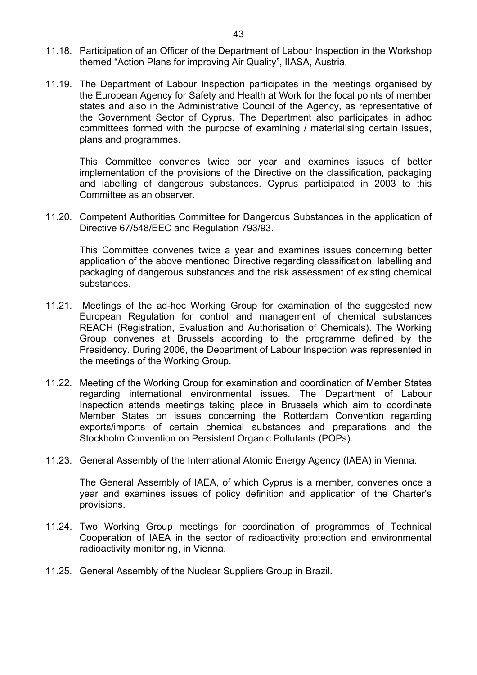- 11.18. Participation of an Officer of the Department of Labour Inspection in the Workshop themed "Action Plans for improving Air Quality", IIASA, Austria.
- 11.19. The Department of Labour Inspection participates in the meetings organised by the European Agency for Safety and Health at Work for the focal points of member states and also in the Administrative Council of the Agency, as representative of the Government Sector of Cyprus. The Department also participates in adhoc committees formed with the purpose of examining / materialising certain issues, plans and programmes.

 This Committee convenes twice per year and examines issues of better implementation of the provisions of the Directive on the classification, packaging and labelling of dangerous substances. Cyprus participated in 2003 to this Committee as an observer.

11.20. Competent Authorities Committee for Dangerous Substances in the application of Directive 67/548/EEC and Regulation 793/93.

 This Committee convenes twice a year and examines issues concerning better application of the above mentioned Directive regarding classification, labelling and packaging of dangerous substances and the risk assessment of existing chemical substances.

- 11.21. Meetings of the ad-hoc Working Group for examination of the suggested new European Regulation for control and management of chemical substances REACH (Registration, Evaluation and Authorisation of Chemicals). The Working Group convenes at Brussels according to the programme defined by the Presidency. During 2006, the Department of Labour Inspection was represented in the meetings of the Working Group.
- 11.22. Meeting of the Working Group for examination and coordination of Member States regarding international environmental issues. The Department of Labour Inspection attends meetings taking place in Brussels which aim to coordinate Member States on issues concerning the Rotterdam Convention regarding exports/imports of certain chemical substances and preparations and the Stockholm Convention on Persistent Organic Pollutants (POPs).
- 11.23. General Assembly of the International Atomic Energy Agency (IAEA) in Vienna.

 The General Assembly of IAEA, of which Cyprus is a member, convenes once a year and examines issues of policy definition and application of the Charter's provisions.

- 11.24. Two Working Group meetings for coordination of programmes of Technical Cooperation of IAEA in the sector of radioactivity protection and environmental radioactivity monitoring, in Vienna.
- 11.25. General Assembly of the Nuclear Suppliers Group in Brazil.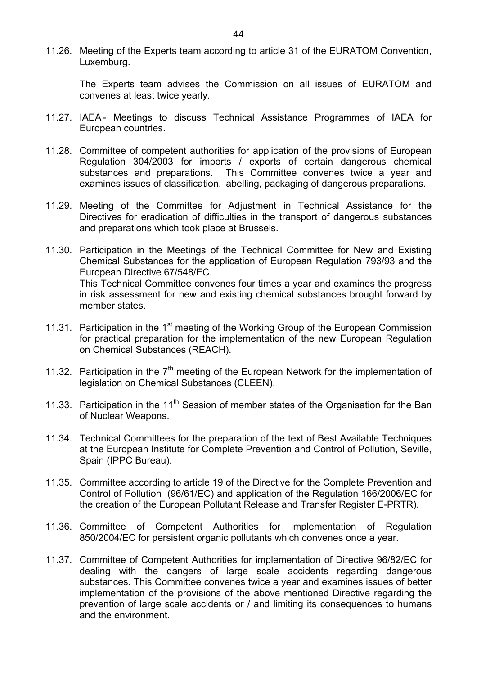11.26. Meeting of the Experts team according to article 31 of the EURATOM Convention, Luxemburg.

 The Experts team advises the Commission on all issues of EURATOM and convenes at least twice yearly.

- 11.27. IAEA Meetings to discuss Technical Assistance Programmes of IAEA for European countries.
- 11.28. Committee of competent authorities for application of the provisions of European Regulation 304/2003 for imports / exports of certain dangerous chemical substances and preparations. This Committee convenes twice a year and examines issues of classification, labelling, packaging of dangerous preparations.
- 11.29. Meeting of the Committee for Adjustment in Technical Assistance for the Directives for eradication of difficulties in the transport of dangerous substances and preparations which took place at Brussels.
- 11.30. Participation in the Meetings of the Technical Committee for New and Existing Chemical Substances for the application of European Regulation 793/93 and the European Directive 67/548/EC. This Technical Committee convenes four times a year and examines the progress in risk assessment for new and existing chemical substances brought forward by member states.
- 11.31. Participation in the  $1<sup>st</sup>$  meeting of the Working Group of the European Commission for practical preparation for the implementation of the new European Regulation on Chemical Substances (REACH).
- 11.32. Participation in the  $7<sup>th</sup>$  meeting of the European Network for the implementation of legislation on Chemical Substances (CLEEN).
- 11.33. Participation in the  $11<sup>th</sup>$  Session of member states of the Organisation for the Ban of Nuclear Weapons.
- 11.34. Technical Committees for the preparation of the text of Best Available Techniques at the European Institute for Complete Prevention and Control of Pollution, Seville, Spain (IPPC Bureau).
- 11.35. Committee according to article 19 of the Directive for the Complete Prevention and Control of Pollution (96/61/EC) and application of the Regulation 166/2006/EC for the creation of the European Pollutant Release and Transfer Register E-PRTR).
- 11.36. Committee of Competent Authorities for implementation of Regulation 850/2004/EC for persistent organic pollutants which convenes once a year.
- 11.37. Committee of Competent Authorities for implementation of Directive 96/82/EC for dealing with the dangers of large scale accidents regarding dangerous substances. This Committee convenes twice a year and examines issues of better implementation of the provisions of the above mentioned Directive regarding the prevention of large scale accidents or / and limiting its consequences to humans and the environment.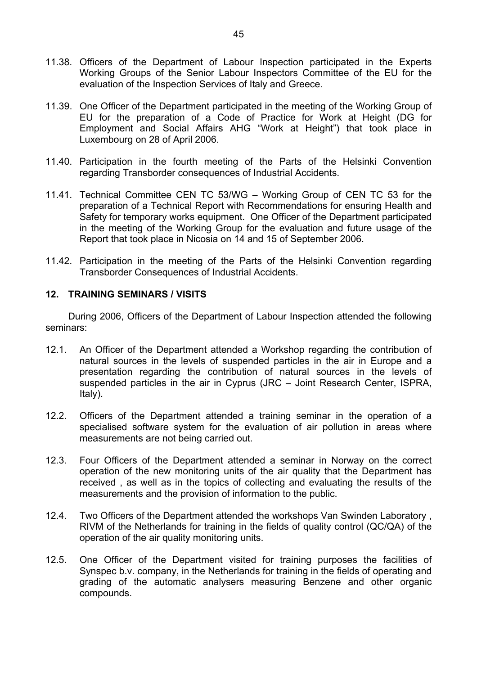- 11.38. Officers of the Department of Labour Inspection participated in the Experts Working Groups of the Senior Labour Inspectors Committee of the EU for the evaluation of the Inspection Services of Italy and Greece.
- 11.39. One Officer of the Department participated in the meeting of the Working Group of EU for the preparation of a Code of Practice for Work at Height (DG for Employment and Social Affairs AHG "Work at Height") that took place in Luxembourg on 28 of April 2006.
- 11.40. Participation in the fourth meeting of the Parts of the Helsinki Convention regarding Transborder consequences of Industrial Accidents.
- 11.41. Technical Committee CEN TC 53/WG Working Group of CEN TC 53 for the preparation of a Technical Report with Recommendations for ensuring Health and Safety for temporary works equipment. One Officer of the Department participated in the meeting of the Working Group for the evaluation and future usage of the Report that took place in Nicosia on 14 and 15 of September 2006.
- 11.42. Participation in the meeting of the Parts of the Helsinki Convention regarding Transborder Consequences of Industrial Accidents.

### **12. TRAINING SEMINARS / VISITS**

During 2006, Officers of the Department of Labour Inspection attended the following seminars:

- 12.1. An Officer of the Department attended a Workshop regarding the contribution of natural sources in the levels of suspended particles in the air in Europe and a presentation regarding the contribution of natural sources in the levels of suspended particles in the air in Cyprus (JRC – Joint Research Center, ISPRA, Italy).
- 12.2. Officers of the Department attended a training seminar in the operation of a specialised software system for the evaluation of air pollution in areas where measurements are not being carried out.
- 12.3. Four Officers of the Department attended a seminar in Norway on the correct operation of the new monitoring units of the air quality that the Department has received , as well as in the topics of collecting and evaluating the results of the measurements and the provision of information to the public.
- 12.4. Two Officers of the Department attended the workshops Van Swinden Laboratory , RIVM of the Netherlands for training in the fields of quality control (QC/QA) of the operation of the air quality monitoring units.
- 12.5. One Officer of the Department visited for training purposes the facilities of Synspec b.v. company, in the Netherlands for training in the fields of operating and grading of the automatic analysers measuring Benzene and other organic compounds.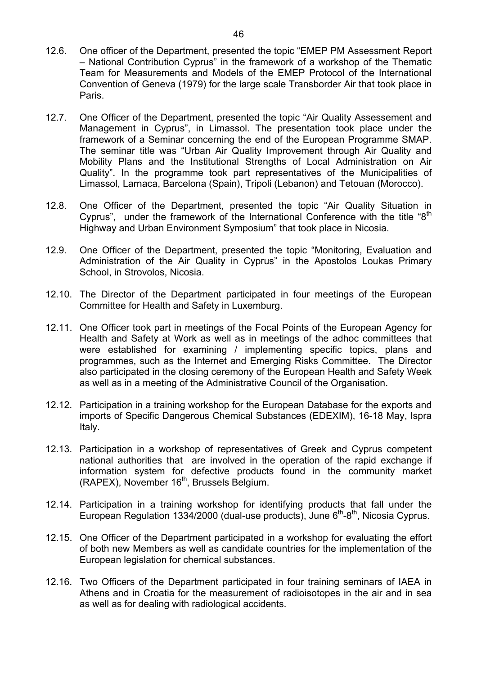- 12.6. One officer of the Department, presented the topic "EMEP PM Assessment Report – National Contribution Cyprus" in the framework of a workshop of the Thematic Team for Measurements and Models of the EMEP Protocol of the International Convention of Geneva (1979) for the large scale Transborder Air that took place in Paris.
- 12.7. One Officer of the Department, presented the topic "Air Quality Assessement and Management in Cyprus", in Limassol. The presentation took place under the framework of a Seminar concerning the end of the European Programme SMAP. The seminar title was "Urban Air Quality Improvement through Air Quality and Mobility Plans and the Institutional Strengths of Local Administration on Air Quality". In the programme took part representatives of the Municipalities of Limassol, Larnaca, Barcelona (Spain), Tripoli (Lebanon) and Tetouan (Morocco).
- 12.8. One Officer of the Department, presented the topic "Air Quality Situation in Cyprus", under the framework of the International Conference with the title " $8<sup>th</sup>$ Highway and Urban Environment Symposium" that took place in Nicosia.
- 12.9. One Officer of the Department, presented the topic "Monitoring, Evaluation and Administration of the Air Quality in Cyprus" in the Apostolos Loukas Primary School, in Strovolos, Nicosia.
- 12.10. The Director of the Department participated in four meetings of the European Committee for Health and Safety in Luxemburg.
- 12.11. One Officer took part in meetings of the Focal Points of the European Agency for Health and Safety at Work as well as in meetings of the adhoc committees that were established for examining / implementing specific topics, plans and programmes, such as the Internet and Emerging Risks Committee. The Director also participated in the closing ceremony of the European Health and Safety Week as well as in a meeting of the Administrative Council of the Organisation.
- 12.12. Participation in a training workshop for the European Database for the exports and imports of Specific Dangerous Chemical Substances (EDEXIM), 16-18 May, Ispra Italy.
- 12.13. Participation in a workshop of representatives of Greek and Cyprus competent national authorities that are involved in the operation of the rapid exchange if information system for defective products found in the community market (RAPEX), November 16<sup>th</sup>, Brussels Belgium.
- 12.14. Participation in a training workshop for identifying products that fall under the European Regulation 1334/2000 (dual-use products), June  $6<sup>th</sup>$ -8<sup>th</sup>, Nicosia Cyprus.
- 12.15. One Officer of the Department participated in a workshop for evaluating the effort of both new Members as well as candidate countries for the implementation of the European legislation for chemical substances.
- 12.16. Two Officers of the Department participated in four training seminars of IAEA in Athens and in Croatia for the measurement of radioisotopes in the air and in sea as well as for dealing with radiological accidents.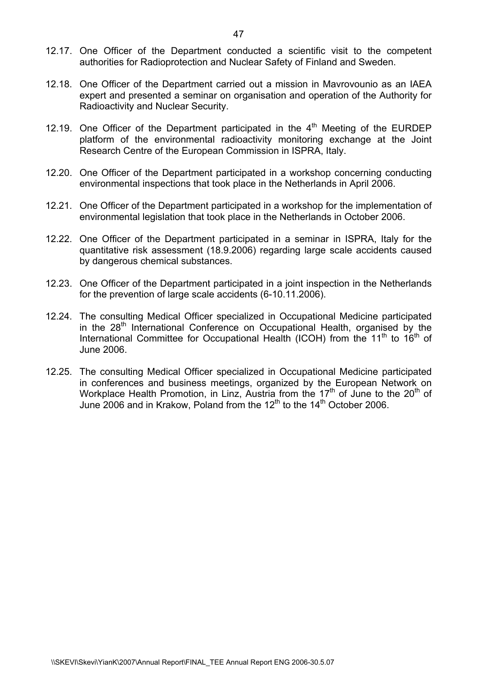- 12.17. One Officer of the Department conducted a scientific visit to the competent authorities for Radioprotection and Nuclear Safety of Finland and Sweden.
- 12.18. One Officer of the Department carried out a mission in Mavrovounio as an IAEA expert and presented a seminar on organisation and operation of the Authority for Radioactivity and Nuclear Security.
- 12.19. One Officer of the Department participated in the  $4<sup>th</sup>$  Meeting of the EURDEP platform of the environmental radioactivity monitoring exchange at the Joint Research Centre of the European Commission in ISPRA, Italy.
- 12.20. One Officer of the Department participated in a workshop concerning conducting environmental inspections that took place in the Netherlands in April 2006.
- 12.21. One Officer of the Department participated in a workshop for the implementation of environmental legislation that took place in the Netherlands in October 2006.
- 12.22. One Officer of the Department participated in a seminar in ISPRA, Italy for the quantitative risk assessment (18.9.2006) regarding large scale accidents caused by dangerous chemical substances.
- 12.23. One Officer of the Department participated in a joint inspection in the Netherlands for the prevention of large scale accidents (6-10.11.2006).
- 12.24. The consulting Medical Officer specialized in Occupational Medicine participated in the  $28<sup>th</sup>$  International Conference on Occupational Health, organised by the International Committee for Occupational Health (ICOH) from the  $11<sup>th</sup>$  to  $16<sup>th</sup>$  of June 2006.
- 12.25. The consulting Medical Officer specialized in Occupational Medicine participated in conferences and business meetings, organized by the European Network on Workplace Health Promotion, in Linz, Austria from the  $17<sup>th</sup>$  of June to the  $20<sup>th</sup>$  of June 2006 and in Krakow, Poland from the 12<sup>th</sup> to the 14<sup>th</sup> October 2006.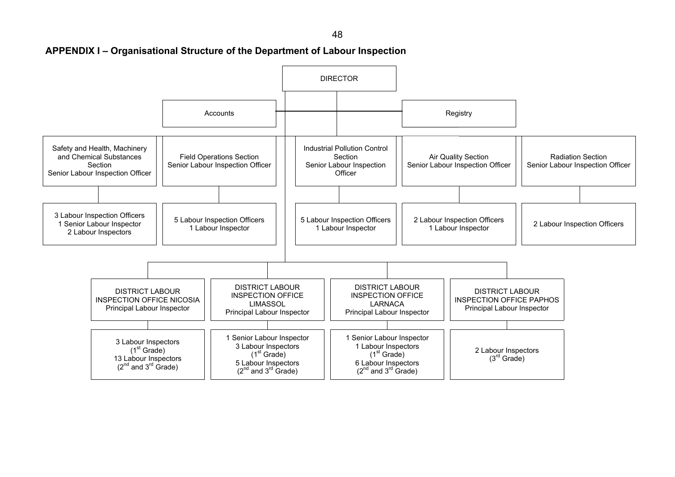48

### **APPENDIX I – Organisational Structure of the Department of Labour Inspection**

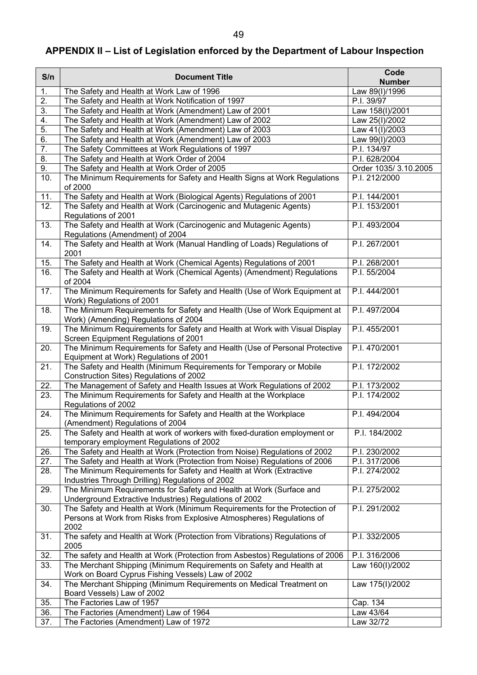| APPENDIX II – List of Legislation enforced by the Department of Labour Inspection |  |
|-----------------------------------------------------------------------------------|--|
|-----------------------------------------------------------------------------------|--|

| S/n              | <b>Document Title</b>                                                                                                                                      | Code<br><b>Number</b>    |
|------------------|------------------------------------------------------------------------------------------------------------------------------------------------------------|--------------------------|
| 1.               | The Safety and Health at Work Law of 1996                                                                                                                  | Law 89(I)/1996           |
| $\overline{2}$ . | The Safety and Health at Work Notification of 1997                                                                                                         | $\overline{P}$ .I. 39/97 |
| 3.               | The Safety and Health at Work (Amendment) Law of 2001                                                                                                      | Law 158(I)/2001          |
| 4.               | The Safety and Health at Work (Amendment) Law of 2002                                                                                                      | Law 25(I)/2002           |
| 5.               | The Safety and Health at Work (Amendment) Law of 2003                                                                                                      | Law 41(I)/2003           |
| 6.               | The Safety and Health at Work (Amendment) Law of 2003                                                                                                      | Law 99(I)/2003           |
| $\overline{7}$ . | The Safety Committees at Work Regulations of 1997                                                                                                          | P.I. 134/97              |
| 8.               | The Safety and Health at Work Order of 2004                                                                                                                | P.I. 628/2004            |
| 9.               | The Safety and Health at Work Order of 2005                                                                                                                | Order 1035/ 3.10.2005    |
| 10.              | The Minimum Requirements for Safety and Health Signs at Work Regulations<br>of 2000                                                                        | P.I. 212/2000            |
| 11.              | The Safety and Health at Work (Biological Agents) Regulations of 2001                                                                                      | P.I. 144/2001            |
| 12.              | The Safety and Health at Work (Carcinogenic and Mutagenic Agents)<br>Regulations of 2001                                                                   | P.I. 153/2001            |
| 13.              | The Safety and Health at Work (Carcinogenic and Mutagenic Agents)<br>Regulations (Amendment) of 2004                                                       | P.I. 493/2004            |
| 14.              | The Safety and Health at Work (Manual Handling of Loads) Regulations of<br>2001                                                                            | P.I. 267/2001            |
| 15.              | The Safety and Health at Work (Chemical Agents) Regulations of 2001                                                                                        | P.I. 268/2001            |
| 16.              | The Safety and Health at Work (Chemical Agents) (Amendment) Regulations<br>of 2004                                                                         | P.I. 55/2004             |
| 17.              | The Minimum Requirements for Safety and Health (Use of Work Equipment at<br>Work) Regulations of 2001                                                      | P.I. 444/2001            |
| 18.              | The Minimum Requirements for Safety and Health (Use of Work Equipment at<br>Work) (Amending) Regulations of 2004                                           | P.I. 497/2004            |
| 19.              | The Minimum Requirements for Safety and Health at Work with Visual Display<br>Screen Equipment Regulations of 2001                                         | P.I. 455/2001            |
| 20.              | The Minimum Requirements for Safety and Health (Use of Personal Protective<br>Equipment at Work) Regulations of 2001                                       | P.I. 470/2001            |
| 21.              | The Safety and Health (Minimum Requirements for Temporary or Mobile<br>Construction Sites) Regulations of 2002                                             | P.I. 172/2002            |
| 22.              | The Management of Safety and Health Issues at Work Regulations of 2002                                                                                     | P.I. 173/2002            |
| 23.              | The Minimum Requirements for Safety and Health at the Workplace<br>Regulations of 2002                                                                     | P.I. 174/2002            |
| 24.              | The Minimum Requirements for Safety and Health at the Workplace<br>(Amendment) Regulations of 2004                                                         | P.I. 494/2004            |
| 25.              | The Safety and Health at work of workers with fixed-duration employment or<br>temporary employment Regulations of 2002                                     | P.I. 184/2002            |
| 26.              | The Safety and Health at Work (Protection from Noise) Regulations of 2002                                                                                  | P.I. 230/2002            |
| 27.              | The Safety and Health at Work (Protection from Noise) Regulations of 2006                                                                                  | P.I. 317/2006            |
| 28.              | The Minimum Requirements for Safety and Health at Work (Extractive<br>Industries Through Drilling) Regulations of 2002                                     | P.I. 274/2002            |
| 29.              | The Minimum Requirements for Safety and Health at Work (Surface and<br>Underground Extractive Industries) Regulations of 2002                              | P.I. 275/2002            |
| 30.              | The Safety and Health at Work (Minimum Requirements for the Protection of<br>Persons at Work from Risks from Explosive Atmospheres) Regulations of<br>2002 | P.I. 291/2002            |
| 31.              | The safety and Health at Work (Protection from Vibrations) Regulations of<br>2005                                                                          | P.I. 332/2005            |
| 32.              | The safety and Health at Work (Protection from Asbestos) Regulations of 2006                                                                               | P.I. 316/2006            |
| 33.              | The Merchant Shipping (Minimum Requirements on Safety and Health at<br>Work on Board Cyprus Fishing Vessels) Law of 2002                                   | Law 160(I)/2002          |
| 34.              | The Merchant Shipping (Minimum Requirements on Medical Treatment on<br>Board Vessels) Law of 2002                                                          | Law 175(I)/2002          |
| 35.              | The Factories Law of 1957                                                                                                                                  | Cap. 134                 |
| 36.              | The Factories (Amendment) Law of 1964                                                                                                                      | Law 43/64                |
| 37.              | The Factories (Amendment) Law of 1972                                                                                                                      | Law 32/72                |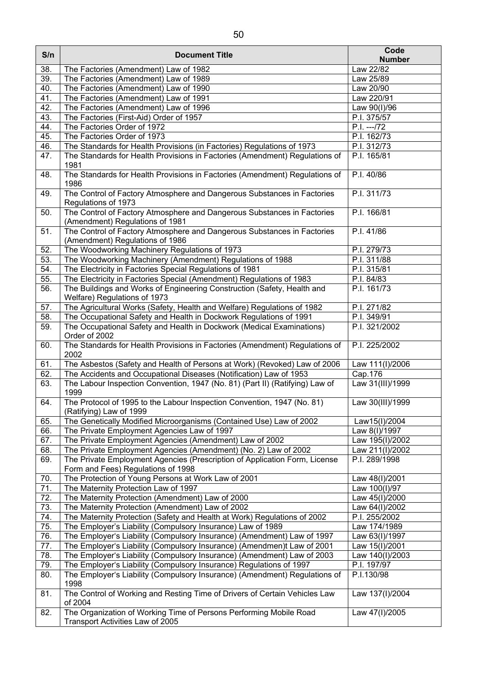| S/n        | <b>Document Title</b>                                                                                            | Code                      |
|------------|------------------------------------------------------------------------------------------------------------------|---------------------------|
|            |                                                                                                                  | <b>Number</b>             |
| 38.<br>39. | The Factories (Amendment) Law of 1982                                                                            | Law 22/82                 |
| 40.        | The Factories (Amendment) Law of 1989<br>The Factories (Amendment) Law of 1990                                   | Law 25/89<br>Law 20/90    |
| 41.        | The Factories (Amendment) Law of 1991                                                                            | Law 220/91                |
| 42.        | The Factories (Amendment) Law of 1996                                                                            | Law 90(I)/96              |
| 43.        | The Factories (First-Aid) Order of 1957                                                                          | P.I. 375/57               |
| 44.        | The Factories Order of 1972                                                                                      | $P.I. -172$               |
| 45.        | The Factories Order of 1973                                                                                      | $\overline{P.}$ I. 162/73 |
| 46.        | The Standards for Health Provisions (in Factories) Regulations of 1973                                           | P.I. 312/73               |
| 47.        | The Standards for Health Provisions in Factories (Amendment) Regulations of                                      | P.I. 165/81               |
| 48.        | 1981<br>The Standards for Health Provisions in Factories (Amendment) Regulations of                              | P.I. 40/86                |
|            | 1986                                                                                                             |                           |
| 49.        | The Control of Factory Atmosphere and Dangerous Substances in Factories<br>Regulations of 1973                   | P.I. 311/73               |
| 50.        | The Control of Factory Atmosphere and Dangerous Substances in Factories<br>(Amendment) Regulations of 1981       | P.I. 166/81               |
| 51.        | The Control of Factory Atmosphere and Dangerous Substances in Factories<br>(Amendment) Regulations of 1986       | P.I. 41/86                |
| 52.        | The Woodworking Machinery Regulations of 1973                                                                    | P.I. 279/73               |
| 53.        | The Woodworking Machinery (Amendment) Regulations of 1988                                                        | P.I. 311/88               |
| 54.        | The Electricity in Factories Special Regulations of 1981                                                         | P.I. 315/81               |
| 55.        | The Electricity in Factories Special (Amendment) Regulations of 1983                                             | P.I. 84/83                |
| 56.        | The Buildings and Works of Engineering Construction (Safety, Health and                                          | P.I. 161/73               |
|            | Welfare) Regulations of 1973                                                                                     |                           |
| 57.        | The Agricultural Works (Safety, Health and Welfare) Regulations of 1982                                          | P.I. 271/82               |
| 58.        | The Occupational Safety and Health in Dockwork Regulations of 1991                                               | P.I. 349/91               |
| 59.        | The Occupational Safety and Health in Dockwork (Medical Examinations)<br>Order of 2002                           | P.I. 321/2002             |
| 60.        | The Standards for Health Provisions in Factories (Amendment) Regulations of<br>2002                              | P.I. 225/2002             |
| 61.        | The Asbestos (Safety and Health of Persons at Work) (Revoked) Law of 2006                                        | Law 111(I)/2006           |
| 62.        | The Accidents and Occupational Diseases (Notification) Law of 1953                                               | Cap. 176                  |
| 63.        | The Labour Inspection Convention, 1947 (No. 81) (Part II) (Ratifying) Law of<br>1999                             | Law 31(III)/1999          |
| 64.        | The Protocol of 1995 to the Labour Inspection Convention, 1947 (No. 81)<br>(Ratifying) Law of 1999               | Law 30(III)/1999          |
| 65.        | The Genetically Modified Microorganisms (Contained Use) Law of 2002                                              | Law15(I)/2004             |
| 66.        | The Private Employment Agencies Law of 1997                                                                      | Law 8(I)/1997             |
| 67.        | The Private Employment Agencies (Amendment) Law of 2002                                                          | Law 195(I)/2002           |
| 68.        | The Private Employment Agencies (Amendment) (No. 2) Law of 2002                                                  | Law 211(I)/2002           |
| 69.        | The Private Employment Agencies (Prescription of Application Form, License<br>Form and Fees) Regulations of 1998 | P.I. 289/1998             |
| 70.        | The Protection of Young Persons at Work Law of 2001                                                              | Law 48(I)/2001            |
| 71.        | The Maternity Protection Law of 1997                                                                             | Law 100(I)/97             |
| 72.        | The Maternity Protection (Amendment) Law of 2000                                                                 | Law 45(I)/2000            |
| 73.        | The Maternity Protection (Amendment) Law of 2002                                                                 | Law 64(I)/2002            |
| 74.        | The Maternity Protection (Safety and Health at Work) Regulations of 2002                                         | P.I. 255/2002             |
| 75.        | The Employer's Liability (Compulsory Insurance) Law of 1989                                                      | Law 174/1989              |
| 76.        | The Employer's Liability (Compulsory Insurance) (Amendment) Law of 1997                                          | Law 63(I)/1997            |
| 77.        | The Employer's Liability (Compulsory Insurance) (Amendmen)t Law of 2001                                          | Law 15(I)/2001            |
| 78.        | The Employer's Liability (Compulsory Insurance) (Amendment) Law of 2003                                          | Law 140(I)/2003           |
| 79.        | The Employer's Liability (Compulsory Insurance) Regulations of 1997                                              | P.I. 197/97               |
| 80.        | The Employer's Liability (Compulsory Insurance) (Amendment) Regulations of<br>1998                               | P.I.130/98                |
| 81.        | The Control of Working and Resting Time of Drivers of Certain Vehicles Law<br>of 2004                            | Law 137(I)/2004           |
| 82.        | The Organization of Working Time of Persons Performing Mobile Road<br>Transport Activities Law of 2005           | Law 47(I)/2005            |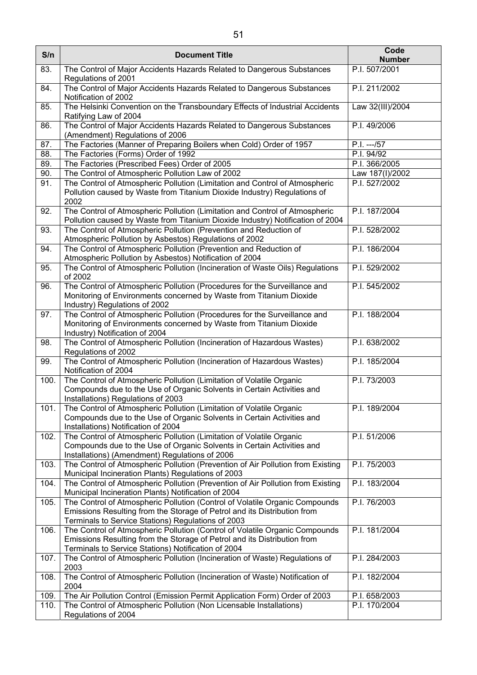| S/n  | <b>Document Title</b>                                                                                                                                                                                          | Code<br><b>Number</b> |
|------|----------------------------------------------------------------------------------------------------------------------------------------------------------------------------------------------------------------|-----------------------|
| 83.  | The Control of Major Accidents Hazards Related to Dangerous Substances                                                                                                                                         | P.I. 507/2001         |
|      | Regulations of 2001                                                                                                                                                                                            |                       |
| 84.  | The Control of Major Accidents Hazards Related to Dangerous Substances<br>Notification of 2002                                                                                                                 | P.I. 211/2002         |
| 85.  | The Helsinki Convention on the Transboundary Effects of Industrial Accidents<br>Ratifying Law of 2004                                                                                                          | Law 32(III)/2004      |
| 86.  | The Control of Major Accidents Hazards Related to Dangerous Substances<br>(Amendment) Regulations of 2006                                                                                                      | P.I. 49/2006          |
| 87.  | The Factories (Manner of Preparing Boilers when Cold) Order of 1957                                                                                                                                            | $P.I. - -/57$         |
| 88.  | The Factories (Forms) Order of 1992                                                                                                                                                                            | P.I. 94/92            |
| 89.  | The Factories (Prescribed Fees) Order of 2005                                                                                                                                                                  | P.I. 366/2005         |
| 90.  | The Control of Atmospheric Pollution Law of 2002                                                                                                                                                               | Law 187(I)/2002       |
| 91.  | The Control of Atmospheric Pollution (Limitation and Control of Atmospheric<br>Pollution caused by Waste from Titanium Dioxide Industry) Regulations of<br>2002                                                | P.I. 527/2002         |
| 92.  | The Control of Atmospheric Pollution (Limitation and Control of Atmospheric<br>Pollution caused by Waste from Titanium Dioxide Industry) Notification of 2004                                                  | P.I. 187/2004         |
| 93.  | The Control of Atmospheric Pollution (Prevention and Reduction of<br>Atmospheric Pollution by Asbestos) Regulations of 2002                                                                                    | P.I. 528/2002         |
| 94.  | The Control of Atmospheric Pollution (Prevention and Reduction of<br>Atmospheric Pollution by Asbestos) Notification of 2004                                                                                   | P.I. 186/2004         |
| 95.  | The Control of Atmospheric Pollution (Incineration of Waste Oils) Regulations<br>of 2002                                                                                                                       | P.I. 529/2002         |
| 96.  | The Control of Atmospheric Pollution (Procedures for the Surveillance and<br>Monitoring of Environments concerned by Waste from Titanium Dioxide<br>Industry) Regulations of 2002                              | P.I. 545/2002         |
| 97.  | The Control of Atmospheric Pollution (Procedures for the Surveillance and<br>Monitoring of Environments concerned by Waste from Titanium Dioxide<br>Industry) Notification of 2004                             | P.I. 188/2004         |
| 98.  | The Control of Atmospheric Pollution (Incineration of Hazardous Wastes)<br>Regulations of 2002                                                                                                                 | P.I. 638/2002         |
| 99.  | The Control of Atmospheric Pollution (Incineration of Hazardous Wastes)<br>Notification of 2004                                                                                                                | P.I. 185/2004         |
| 100. | The Control of Atmospheric Pollution (Limitation of Volatile Organic<br>Compounds due to the Use of Organic Solvents in Certain Activities and<br>Installations) Regulations of 2003                           | P.I. 73/2003          |
| 101. | The Control of Atmospheric Pollution (Limitation of Volatile Organic<br>Compounds due to the Use of Organic Solvents in Certain Activities and<br>Installations) Notification of 2004                          | P.I. 189/2004         |
| 102. | The Control of Atmospheric Pollution (Limitation of Volatile Organic<br>Compounds due to the Use of Organic Solvents in Certain Activities and<br>Installations) (Amendment) Regulations of 2006               | P.I. 51/2006          |
| 103. | The Control of Atmospheric Pollution (Prevention of Air Pollution from Existing<br>Municipal Incineration Plants) Regulations of 2003                                                                          | P.I. 75/2003          |
| 104. | The Control of Atmospheric Pollution (Prevention of Air Pollution from Existing<br>Municipal Incineration Plants) Notification of 2004                                                                         | P.I. 183/2004         |
| 105. | The Control of Atmospheric Pollution (Control of Volatile Organic Compounds<br>Emissions Resulting from the Storage of Petrol and its Distribution from<br>Terminals to Service Stations) Regulations of 2003  | P.I. 76/2003          |
| 106. | The Control of Atmospheric Pollution (Control of Volatile Organic Compounds<br>Emissions Resulting from the Storage of Petrol and its Distribution from<br>Terminals to Service Stations) Notification of 2004 | P.I. 181/2004         |
| 107. | The Control of Atmospheric Pollution (Incineration of Waste) Regulations of<br>2003                                                                                                                            | P.I. 284/2003         |
| 108. | The Control of Atmospheric Pollution (Incineration of Waste) Notification of<br>2004                                                                                                                           | P.I. 182/2004         |
| 109. | The Air Pollution Control (Emission Permit Application Form) Order of 2003                                                                                                                                     | P.I. 658/2003         |
| 110. | The Control of Atmospheric Pollution (Non Licensable Installations)<br>Regulations of 2004                                                                                                                     | P.I. 170/2004         |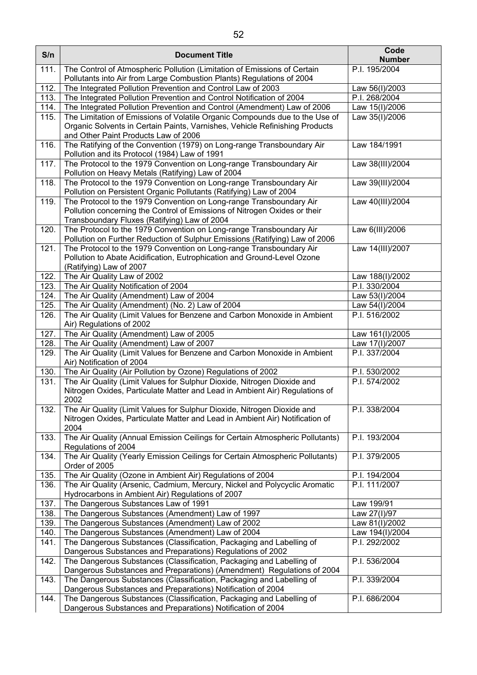| S/n  | <b>Document Title</b>                                                                                                                                           | Code<br><b>Number</b> |
|------|-----------------------------------------------------------------------------------------------------------------------------------------------------------------|-----------------------|
| 111. | The Control of Atmospheric Pollution (Limitation of Emissions of Certain                                                                                        | P.I. 195/2004         |
|      | Pollutants into Air from Large Combustion Plants) Regulations of 2004                                                                                           |                       |
| 112. | The Integrated Pollution Prevention and Control Law of 2003                                                                                                     | Law 56(I)/2003        |
| 113. | The Integrated Pollution Prevention and Control Notification of 2004                                                                                            | P.I. 268/2004         |
| 114. | The Integrated Pollution Prevention and Control (Amendment) Law of 2006                                                                                         | Law 15(I)/2006        |
| 115. | The Limitation of Emissions of Volatile Organic Compounds due to the Use of<br>Organic Solvents in Certain Paints, Varnishes, Vehicle Refinishing Products      | Law 35(I)/2006        |
|      | and Other Paint Products Law of 2006                                                                                                                            |                       |
| 116. | The Ratifying of the Convention (1979) on Long-range Transboundary Air<br>Pollution and its Protocol (1984) Law of 1991                                         | Law 184/1991          |
| 117. | The Protocol to the 1979 Convention on Long-range Transboundary Air<br>Pollution on Heavy Metals (Ratifying) Law of 2004                                        | Law 38(III)/2004      |
| 118. | The Protocol to the 1979 Convention on Long-range Transboundary Air<br>Pollution on Persistent Organic Pollutants (Ratifying) Law of 2004                       | Law 39(III)/2004      |
| 119. | The Protocol to the 1979 Convention on Long-range Transboundary Air                                                                                             | Law 40(III)/2004      |
|      | Pollution concerning the Control of Emissions of Nitrogen Oxides or their<br>Transboundary Fluxes (Ratifying) Law of 2004                                       |                       |
| 120. | The Protocol to the 1979 Convention on Long-range Transboundary Air                                                                                             | Law 6(III)/2006       |
|      | Pollution on Further Reduction of Sulphur Emissions (Ratifying) Law of 2006                                                                                     |                       |
| 121. | The Protocol to the 1979 Convention on Long-range Transboundary Air                                                                                             | Law 14(III)/2007      |
|      | Pollution to Abate Acidification, Eutrophication and Ground-Level Ozone                                                                                         |                       |
|      | (Ratifying) Law of 2007                                                                                                                                         |                       |
| 122. | The Air Quality Law of 2002                                                                                                                                     | Law 188(I)/2002       |
| 123. | The Air Quality Notification of 2004                                                                                                                            | P.I. 330/2004         |
| 124. | The Air Quality (Amendment) Law of 2004                                                                                                                         | Law 53(I)/2004        |
| 125. | The Air Quality (Amendment) (No. 2) Law of 2004                                                                                                                 | Law 54(I)/2004        |
| 126. | The Air Quality (Limit Values for Benzene and Carbon Monoxide in Ambient<br>Air) Regulations of 2002                                                            | P.I. 516/2002         |
| 127. | The Air Quality (Amendment) Law of 2005                                                                                                                         | Law 161(I)/2005       |
| 128. | The Air Quality (Amendment) Law of 2007                                                                                                                         | Law 17(I)/2007        |
| 129. | The Air Quality (Limit Values for Benzene and Carbon Monoxide in Ambient<br>Air) Notification of 2004                                                           | P.I. 337/2004         |
| 130. | The Air Quality (Air Pollution by Ozone) Regulations of 2002                                                                                                    | P.I. 530/2002         |
| 131. | The Air Quality (Limit Values for Sulphur Dioxide, Nitrogen Dioxide and<br>Nitrogen Oxides, Particulate Matter and Lead in Ambient Air) Regulations of<br>2002  | P.I. 574/2002         |
| 132. | The Air Quality (Limit Values for Sulphur Dioxide, Nitrogen Dioxide and<br>Nitrogen Oxides, Particulate Matter and Lead in Ambient Air) Notification of<br>2004 | P.I. 338/2004         |
| 133. | The Air Quality (Annual Emission Ceilings for Certain Atmospheric Pollutants)<br>Regulations of 2004                                                            | P.I. 193/2004         |
| 134. | The Air Quality (Yearly Emission Ceilings for Certain Atmospheric Pollutants)<br>Order of 2005                                                                  | P.I. 379/2005         |
| 135. | The Air Quality (Ozone in Ambient Air) Regulations of 2004                                                                                                      | P.I. 194/2004         |
| 136. | The Air Quality (Arsenic, Cadmium, Mercury, Nickel and Polycyclic Aromatic<br>Hydrocarbons in Ambient Air) Regulations of 2007                                  | P.I. 111/2007         |
| 137. | The Dangerous Substances Law of 1991                                                                                                                            | Law 199/91            |
| 138. | The Dangerous Substances (Amendment) Law of 1997                                                                                                                | Law 27(I)/97          |
| 139. | The Dangerous Substances (Amendment) Law of 2002                                                                                                                | Law 81(I)/2002        |
| 140. | The Dangerous Substances (Amendment) Law of 2004                                                                                                                | Law 194(I)/2004       |
| 141. | The Dangerous Substances (Classification, Packaging and Labelling of                                                                                            | P.I. 292/2002         |
|      | Dangerous Substances and Preparations) Regulations of 2002                                                                                                      |                       |
| 142. | The Dangerous Substances (Classification, Packaging and Labelling of                                                                                            | P.I. 536/2004         |
|      | Dangerous Substances and Preparations) (Amendment) Regulations of 2004                                                                                          |                       |
| 143. | The Dangerous Substances (Classification, Packaging and Labelling of                                                                                            | P.I. 339/2004         |
|      | Dangerous Substances and Preparations) Notification of 2004                                                                                                     |                       |
| 144. | The Dangerous Substances (Classification, Packaging and Labelling of                                                                                            | P.I. 686/2004         |
|      | Dangerous Substances and Preparations) Notification of 2004                                                                                                     |                       |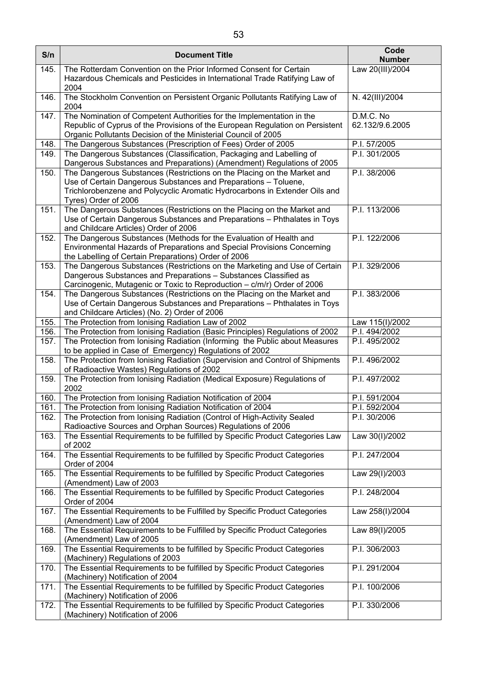| S/n  | <b>Document Title</b>                                                                                                                                                                                                                            | Code<br><b>Number</b> |
|------|--------------------------------------------------------------------------------------------------------------------------------------------------------------------------------------------------------------------------------------------------|-----------------------|
| 145. | The Rotterdam Convention on the Prior Informed Consent for Certain<br>Hazardous Chemicals and Pesticides in International Trade Ratifying Law of<br>2004                                                                                         | Law 20(III)/2004      |
| 146. | The Stockholm Convention on Persistent Organic Pollutants Ratifying Law of<br>2004                                                                                                                                                               | N. 42(III)/2004       |
| 147. | The Nomination of Competent Authorities for the Implementation in the                                                                                                                                                                            | D.M.C. No             |
|      | Republic of Cyprus of the Provisions of the European Regulation on Persistent<br>Organic Pollutants Decision of the Ministerial Council of 2005                                                                                                  | 62.132/9.6.2005       |
| 148. | The Dangerous Substances (Prescription of Fees) Order of 2005                                                                                                                                                                                    | P.I. 57/2005          |
| 149. | The Dangerous Substances (Classification, Packaging and Labelling of<br>Dangerous Substances and Preparations) (Amendment) Regulations of 2005                                                                                                   | P.I. 301/2005         |
| 150. | The Dangerous Substances (Restrictions on the Placing on the Market and<br>Use of Certain Dangerous Substances and Preparations - Toluene,<br>Trichlorobenzene and Polycyclic Aromatic Hydrocarbons in Extender Oils and<br>Tyres) Order of 2006 | P.I. 38/2006          |
| 151. | The Dangerous Substances (Restrictions on the Placing on the Market and<br>Use of Certain Dangerous Substances and Preparations - Phthalates in Toys<br>and Childcare Articles) Order of 2006                                                    | P.I. 113/2006         |
| 152. | The Dangerous Substances (Methods for the Evaluation of Health and<br>Environmental Hazards of Preparations and Special Provisions Concerning<br>the Labelling of Certain Preparations) Order of 2006                                            | P.I. 122/2006         |
| 153. | The Dangerous Substances (Restrictions on the Marketing and Use of Certain<br>Dangerous Substances and Preparations - Substances Classified as<br>Carcinogenic, Mutagenic or Toxic to Reproduction - c/m/r) Order of 2006                        | P.I. 329/2006         |
| 154. | The Dangerous Substances (Restrictions on the Placing on the Market and<br>Use of Certain Dangerous Substances and Preparations - Phthalates in Toys<br>and Childcare Articles) (No. 2) Order of 2006                                            | P.I. 383/2006         |
| 155. | The Protection from Ionising Radiation Law of 2002                                                                                                                                                                                               | Law 115(I)/2002       |
| 156. | The Protection from Ionising Radiation (Basic Principles) Regulations of 2002                                                                                                                                                                    | P.I. 494/2002         |
| 157. | The Protection from Ionising Radiation (Informing the Public about Measures<br>to be applied in Case of Emergency) Regulations of 2002                                                                                                           | P.I. 495/2002         |
| 158. | The Protection from Ionising Radiation (Supervision and Control of Shipments<br>of Radioactive Wastes) Regulations of 2002                                                                                                                       | P.I. 496/2002         |
| 159. | The Protection from Ionising Radiation (Medical Exposure) Regulations of<br>2002                                                                                                                                                                 | P.I. 497/2002         |
| 160. | The Protection from Ionising Radiation Notification of 2004                                                                                                                                                                                      | P.I. 591/2004         |
| 161. | The Protection from Ionising Radiation Notification of 2004                                                                                                                                                                                      | P.I. 592/2004         |
| 162. | The Protection from Ionising Radiation (Control of High-Activity Sealed<br>Radioactive Sources and Orphan Sources) Regulations of 2006                                                                                                           | P.I. 30/2006          |
| 163. | The Essential Requirements to be fulfilled by Specific Product Categories Law<br>of 2002                                                                                                                                                         | Law 30(I)/2002        |
| 164. | The Essential Requirements to be fulfilled by Specific Product Categories<br>Order of 2004                                                                                                                                                       | P.I. 247/2004         |
| 165. | The Essential Requirements to be fulfilled by Specific Product Categories<br>(Amendment) Law of 2003                                                                                                                                             | Law 29(I)/2003        |
| 166. | The Essential Requirements to be fulfilled by Specific Product Categories<br>Order of 2004                                                                                                                                                       | P.I. 248/2004         |
| 167. | The Essential Requirements to be Fulfilled by Specific Product Categories<br>(Amendment) Law of 2004                                                                                                                                             | Law 258(I)/2004       |
| 168. | The Essential Requirements to be Fulfilled by Specific Product Categories<br>(Amendment) Law of 2005                                                                                                                                             | Law 89(I)/2005        |
| 169. | The Essential Requirements to be fulfilled by Specific Product Categories<br>(Machinery) Regulations of 2003                                                                                                                                     | P.I. 306/2003         |
| 170. | The Essential Requirements to be fulfilled by Specific Product Categories<br>(Machinery) Notification of 2004                                                                                                                                    | P.I. 291/2004         |
| 171. | The Essential Requirements to be fulfilled by Specific Product Categories<br>(Machinery) Notification of 2006                                                                                                                                    | P.I. 100/2006         |
| 172. | The Essential Requirements to be fulfilled by Specific Product Categories                                                                                                                                                                        | P.I. 330/2006         |
|      | (Machinery) Notification of 2006                                                                                                                                                                                                                 |                       |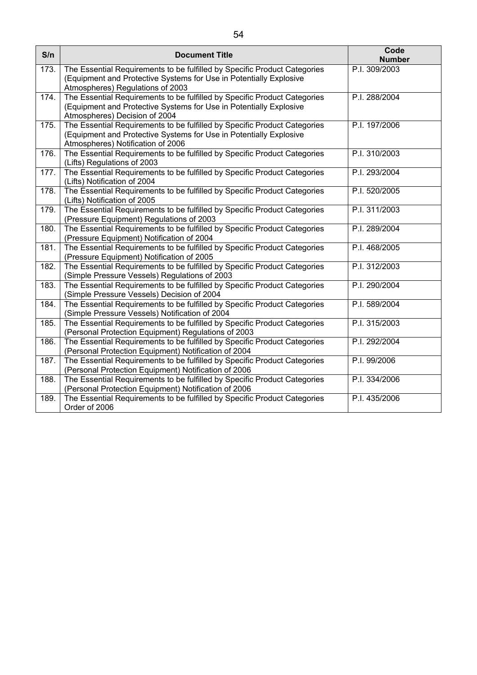| S/n  | <b>Document Title</b>                                                                                                                                                                | Code<br><b>Number</b> |
|------|--------------------------------------------------------------------------------------------------------------------------------------------------------------------------------------|-----------------------|
| 173. | The Essential Requirements to be fulfilled by Specific Product Categories<br>(Equipment and Protective Systems for Use in Potentially Explosive<br>Atmospheres) Regulations of 2003  | P.I. 309/2003         |
| 174. | The Essential Requirements to be fulfilled by Specific Product Categories<br>(Equipment and Protective Systems for Use in Potentially Explosive<br>Atmospheres) Decision of 2004     | P.I. 288/2004         |
| 175. | The Essential Requirements to be fulfilled by Specific Product Categories<br>(Equipment and Protective Systems for Use in Potentially Explosive<br>Atmospheres) Notification of 2006 | P.I. 197/2006         |
| 176. | The Essential Requirements to be fulfilled by Specific Product Categories<br>(Lifts) Regulations of 2003                                                                             | P.I. 310/2003         |
| 177. | The Essential Requirements to be fulfilled by Specific Product Categories<br>(Lifts) Notification of 2004                                                                            | P.I. 293/2004         |
| 178. | The Essential Requirements to be fulfilled by Specific Product Categories<br>(Lifts) Notification of 2005                                                                            | P.I. 520/2005         |
| 179. | The Essential Requirements to be fulfilled by Specific Product Categories<br>(Pressure Equipment) Regulations of 2003                                                                | P.I. 311/2003         |
| 180. | The Essential Requirements to be fulfilled by Specific Product Categories<br>(Pressure Equipment) Notification of 2004                                                               | P.I. 289/2004         |
| 181. | The Essential Requirements to be fulfilled by Specific Product Categories<br>(Pressure Equipment) Notification of 2005                                                               | P.I. 468/2005         |
| 182. | The Essential Requirements to be fulfilled by Specific Product Categories<br>(Simple Pressure Vessels) Regulations of 2003                                                           | P.I. 312/2003         |
| 183. | The Essential Requirements to be fulfilled by Specific Product Categories<br>(Simple Pressure Vessels) Decision of 2004                                                              | P.I. 290/2004         |
| 184. | The Essential Requirements to be fulfilled by Specific Product Categories<br>(Simple Pressure Vessels) Notification of 2004                                                          | P.I. 589/2004         |
| 185. | The Essential Requirements to be fulfilled by Specific Product Categories<br>(Personal Protection Equipment) Regulations of 2003                                                     | P.I. 315/2003         |
| 186. | The Essential Requirements to be fulfilled by Specific Product Categories<br>(Personal Protection Equipment) Notification of 2004                                                    | P.I. 292/2004         |
| 187. | The Essential Requirements to be fulfilled by Specific Product Categories<br>(Personal Protection Equipment) Notification of 2006                                                    | P.I. 99/2006          |
| 188. | The Essential Requirements to be fulfilled by Specific Product Categories<br>(Personal Protection Equipment) Notification of 2006                                                    | P.I. 334/2006         |
| 189. | The Essential Requirements to be fulfilled by Specific Product Categories<br>Order of 2006                                                                                           | P.I. 435/2006         |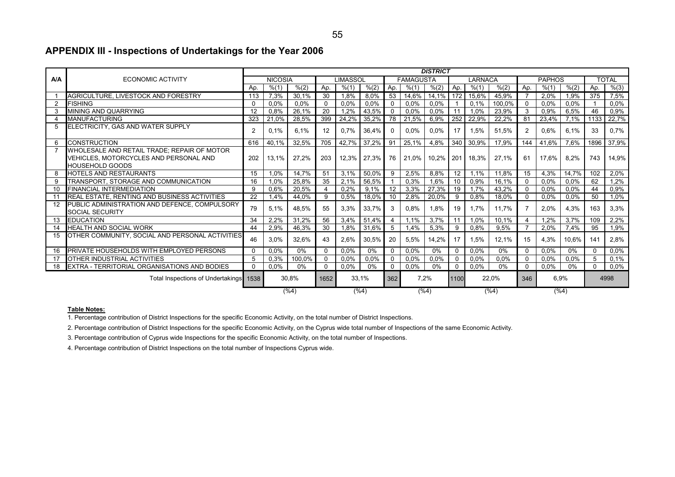### **APPENDIX III - Inspections of Undertakings for the Year 2006**

|                |                                                                         | <b>DISTRICT</b> |                |        |          |                 |         |                |                  |           |              |               |         |                |               |       |          |       |  |
|----------------|-------------------------------------------------------------------------|-----------------|----------------|--------|----------|-----------------|---------|----------------|------------------|-----------|--------------|---------------|---------|----------------|---------------|-------|----------|-------|--|
| A/A            | ECONOMIC ACTIVITY                                                       |                 | <b>NICOSIA</b> |        |          | <b>LIMASSOL</b> |         |                | <b>FAMAGUSTA</b> |           |              | LARNACA       |         |                | <b>PAPHOS</b> |       |          | TOTAL |  |
|                |                                                                         | Ap.             | % (1)          | % (2)  | Ap.      | % (1)           | % (2)   | Aρ.            | % (1)            | % (2)     | Aρ.          | % (1)         | % (2)   | Aρ.            | % (1)         | % (2) | Ap.      | % (3) |  |
|                | <b>AGRICULTURE, LIVESTOCK AND FORESTRY</b>                              | 113             | 7,3%           | 30,1%  | 30       | 1,8%            | 8.0%    | 53             | 14,6%            | 14,1% 172 |              | 15,6%         | 45,9%   |                | 2,0%          | 1,9%  | 375      | 7,5%  |  |
| $\overline{2}$ | <b>FISHING</b>                                                          | $\Omega$        | 0.0%           | 0,0%   | $\Omega$ | 0.0%            | 0,0%    | $\mathbf 0$    | 0.0%             | 0.0%      |              | 0.1%          | 100.0%  | $\Omega$       | 0.0%          | 0,0%  |          | 0,0%  |  |
| 3              | MINING AND QUARRYING                                                    | 12              | 0,8%           | 26,1%  | 20       | 1,2%            | 43,5%   | $\overline{0}$ | $0.0\%$          | $0.0\%$   | 11           | 1.0%          | 23,9%   | 3              | 0,9%          | 6,5%  | 46       | 0,9%  |  |
| 4              | <b>MANUFACTURING</b>                                                    | 323             | 21,0%          | 28,5%  | 399      | 24,2%           | 35,2%   | 78             | 21,5%            | 6.9%      | 252          | 22.9%         | 22,2%   | 81             | 23,4%         | 7,1%  | 1133     | 22,7% |  |
| 5              | ELECTRICITY, GAS AND WATER SUPPLY                                       | $\mathcal{P}$   | 0.1%           | 6.1%   | 12       | 0.7%            | 36,4%   | 0              | 0.0%             | 0.0%      | 17           | 1.5%          | 51,5%   | $\overline{2}$ | 0.6%          | 6,1%  | 33       | 0,7%  |  |
| 6              | <b>CONSTRUCTION</b>                                                     | 616             | 40.1%          | 32,5%  | 705      | 42,7%           | 37,2%   | 91             | 25,1%            | 4,8%      | 340          | 30,9%         | 17,9%   | 144            | 41,6%         | 7.6%  | 1896     | 37,9% |  |
|                | WHOLESALE AND RETAIL TRADE; REPAIR OF MOTOR                             |                 |                |        |          |                 |         |                |                  |           |              |               |         |                |               |       |          |       |  |
|                | VEHICLES, MOTORCYCLES AND PERSONAL AND                                  | 202             | 13,1%          | 27,2%  | 203      | 12,3%           | 27,3%   | 76 I           | 21,0%            | 10,2%     | 201          | 18,3%         | 27.1%   | 61             | 17,6%         | 8,2%  | 743      | 14,9% |  |
|                | <b>HOUSEHOLD GOODS</b>                                                  |                 |                |        |          |                 |         |                |                  |           |              |               |         |                |               |       |          |       |  |
| 8              | <b>HOTELS AND RESTAURANTS</b>                                           | 15              | 1,0%           | 14,7%  | 51       | 3.1%            | 50,0%   | 9              | 2,5%             | 8,8%      | 12           | 1.1%          | 11.8%   | 15             | 4,3%          | 14,7% | 102      | 2,0%  |  |
| -9             | TRANSPORT, STORAGE AND COMMUNICATION                                    | 16              | 1,0%           | 25,8%  | 35       | 2,1%            | 56,5%   |                | 0,3%             | 1,6%      | -10          | 0,9%          | 16,1%   | 0              | 0,0%          | 0,0%  | 62       | 1,2%  |  |
| 10             | <b>FINANCIAL INTERMEDIATION</b>                                         | 9               | 0.6%           | 20,5%  | 4        | 0,2%            | 9,1%    | 12             | 3,3%             | 27,3%     | 19           | 1,7%          | 43,2%   | $\Omega$       | 0,0%          | 0.0%  | 44       | 0,9%  |  |
| 11             | <b>REAL ESTATE, RENTING AND BUSINESS ACTIVITIES</b>                     | 22              | 1,4%           | 44,0%  | 9        | 0.5%            | 18,0%   | 10             | 2,8%             | 20,0%     | - 9          | 0,8%          | 18,0%   | $\Omega$       | 0.0%          | 0,0%  | 50       | 1,0%  |  |
| 12             | PUBLIC ADMINISTRATION AND DEFENCE, COMPULSORY<br><b>SOCIAL SECURITY</b> | 79              | 5,1%           | 48.5%  | 55       | 3,3%            | 33,7%   | 3              | 0,8%             | 1,8%      | 19           | 1,7%          | 11.7%   |                | 2,0%          | 4,3%  | 163      | 3,3%  |  |
| 13             | <b>EDUCATION</b>                                                        | 34              | 2,2%           | 31,2%  | 56       | 3,4%            | 51,4%   | $\overline{4}$ | 1,1%             | 3,7%      | 11           | 1,0%          | 10,1%   | $\overline{4}$ | 1,2%          | 3,7%  | 109      | 2,2%  |  |
| 14             | <b>HEALTH AND SOCIAL WORK</b>                                           | 44              | 2,9%           | 46,3%  | 30       | 1,8%            | 31,6%   | 5              | 1,4%             | 5,3%      | 9            | 0,8%          | 9,5%    |                | 2,0%          | 7,4%  | 95       | 1,9%  |  |
| 15             | OTHER COMMUNITY, SOCIAL AND PERSONAL ACTIVITIES                         | 46              | 3.0%           | 32,6%  | 43       | 2,6%            | 30,5%   | 20             | 5,5%             | 14.2%     | 17           | 1.5%          | 12.1%   | 15             | 4,3%          | 10,6% | 141      | 2,8%  |  |
| 16             | PRIVATE HOUSEHOLDS WITH EMPLOYED PERSONS                                | $\Omega$        | 0.0%           | $0\%$  | $\Omega$ | 0.0%            | $0\%$   | $\mathbf 0$    | $0.0\%$          | $0\%$     | $\mathbf{0}$ | 0.0%          | $0\%$   | $\Omega$       | 0,0%          | 0%    | $\Omega$ | 0,0%  |  |
| 17             | OTHER INDUSTRIAL ACTIVITIES                                             | 5               | 0.3%           | 100.0% | $\Omega$ | 0.0%            | $0.0\%$ | $\mathbf 0$    | 0.0%             | 0.0%      | $\Omega$     | 0.0%          | $0.0\%$ | $\Omega$       | $0.0\%$       | 0.0%  | 5        | 0.1%  |  |
| 18             | EXTRA - TERRITORIAL ORGANISATIONS AND BODIES                            | $\mathbf{0}$    | 0,0%           | 0%     | $\Omega$ | $0,0\%$         | 0%      | $\mathbf 0$    | $0,0\%$          | $0\%$     | 0            | 0,0%          | $0\%$   | $\Omega$       | 0,0%          | 0%    | $\Omega$ | 0,0%  |  |
|                | Total Inspections of Undertakings 1538                                  | 30,8%           |                |        | 1652     | 33,1%           |         |                | 7,2%<br>362      |           |              | 22,0%<br>1100 |         |                | 6,9%<br>346   |       |          | 4998  |  |
|                |                                                                         | (%4)<br>(%4)    |                |        |          |                 |         |                | $(\%4)$          |           |              | $(\%4)$       | (%4)    |                |               |       |          |       |  |

#### **Table Notes:**

1. Percentage contribution of District Inspections for the specific Economic Activity, on the total number of District Inspections.

2. Percentage contribution of District Inspections for the specific Economic Activity, on the Cyprus wide total number of Inspections of the same Economic Activity.

3. Percentage contribution of Cyprus wide Inspections for the specific Economic Activity, on the total number of Inspections.

4. Percentage contribution of District Inspections on the total number of Inspections Cyprus wide.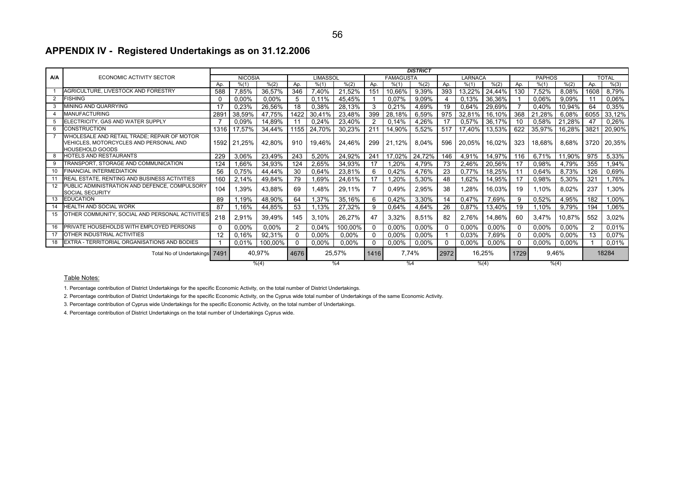### **APPENDIX IV - Registered Undertakings as on 31.12.2006**

|            |                                                                                                                 | <b>DISTRICT</b> |                |          |      |          |                |          |                  |        |              |          |        |      |               |          |      |              |
|------------|-----------------------------------------------------------------------------------------------------------------|-----------------|----------------|----------|------|----------|----------------|----------|------------------|--------|--------------|----------|--------|------|---------------|----------|------|--------------|
| <b>A/A</b> | ECONOMIC ACTIVITY SECTOR                                                                                        |                 | <b>NICOSIA</b> |          |      | LIMASSOL |                |          | <b>FAMAGUSTA</b> |        |              | LARNACA  |        |      | <b>PAPHOS</b> |          |      | <b>TOTAL</b> |
|            |                                                                                                                 | Ap.             | % (1)          | % (2)    | Ap.  | % (1)    | % (2)          | Ap.      | % (1)            | % (2)  | Ap.          | % (1)    | % (2)  | Ap.  | % (1)         | % (2)    | Ap.  | % (3)        |
|            | AGRICULTURE. LIVESTOCK AND FORESTRY                                                                             | 588             | 7,85%          | 36,57%   | 346  | 7,40%    | 21,52%         | 151      | 10,66%           | 9,39%  | 393          | 13,22%   | 24,44% | 130  | 7,52%         | 8,08%    | 1608 | 8,79%        |
| 2          | <b>FISHING</b>                                                                                                  | $\Omega$        | 0,00%          | $0.00\%$ | 5    | 0.11%    | 45,45%         |          | 0,07%            | 9,09%  |              | 0,13%    | 36,36% |      | 0,06%         | 9,09%    | 11   | 0,06%        |
| 3          | <b>MINING AND QUARRYING</b>                                                                                     | 17              | 0,23%          | 26,56%   | 18   | 0.38%    | 28.13%         | 3        | 0.21%            | 4,69%  | 19           | 0.64%    | 29,69% |      | 0.40%         | 10.94%   | 64   | 0,35%        |
|            | <b>MANUFACTURING</b>                                                                                            | 289             | 38,59%         | 47,75%   | 1422 | 30,41%   | 23,48%         | 399      | 28,18%           | 6,59%  | 975          | 32,81%   | 16,10% | 368  | 21,28%        | 6,08%    | 6055 | 33,12%       |
| 5          | ELECTRICITY, GAS AND WATER SUPPLY                                                                               |                 | 0.09%          | 14,89%   | 11   | 0,24%    | 23,40%         | 2        | 0.14%            | 4,26%  | 17           | 0.57%    | 36,17% | 10   | 0,58%         | 21,28%   | 47   | 0,26%        |
| 6          | <b>CONSTRUCTION</b>                                                                                             | 1316            | 17,57%         | 34,44%   | 1155 | 24,70%   | 30,23%         | 211      | 14,90%           | 5,52%  | 517          | 17,40%   | 13,53% | 622  | 35,97%        | 16,28%   | 3821 | 20,90%       |
|            | WHOLESALE AND RETAIL TRADE; REPAIR OF MOTOR<br>VEHICLES, MOTORCYCLES AND PERSONAL AND<br><b>HOUSEHOLD GOODS</b> |                 | 1592 21,25%    | 42.80%   | 910  | 19.46%   | 24.46%         | 299      | 21.12%           | 8.04%  | 596          | 20,05%   | 16.02% | 323  | 18,68%        | 8.68%    | 3720 | 20,35%       |
| 8          | <b>HOTELS AND RESTAURANTS</b>                                                                                   | 229             | 3,06%          | 23,49%   | 243  | 5,20%    | 24,92%         | 241      | 17,02%           | 24,72% | 146          | 4,91%    | 14,97% | 116  | 6,71%         | 11,90%   | 975  | 5,33%        |
| 9          | TRANSPORT, STORAGE AND COMMUNICATION                                                                            | 124             | 1,66%          | 34,93%   | 124  | 2,65%    | 34,93%         | 17       | 1.20%            | 4,79%  | 73           | 2,46%    | 20,56% | 17   | 0,98%         | 4,79%    | 355  | 1,94%        |
| 10         | <b>FINANCIAL INTERMEDIATION</b>                                                                                 | 56              | 0.75%          | 44,44%   | 30   | 0,64%    | 23,81%         | 6        | 0,42%            | 4,76%  | 23           | $0.77\%$ | 18,25% |      | 0,64%         | 8.73%    | 126  | 0,69%        |
| 11         | REAL ESTATE, RENTING AND BUSINESS ACTIVITIES                                                                    | 160             | 2,14%          | 49,84%   | 79   | 1,69%    | 24,61%         | 17       | ,20%             | 5,30%  | 48           | 1,62%    | 14,95% | -17  | 0,98%         | 5,30%    | 321  | 1,76%        |
| 12         | PUBLIC ADMINISTRATION AND DEFENCE, COMPULSORY<br><b>SOCIAL SECURITY</b>                                         | 104             | 1,39%          | 43,88%   | 69   | 1,48%    | 29,11%         |          | 0,49%            | 2,95%  | 38           | .28%     | 16,03% | 19   | 1.10%         | 8,02%    | 237  | 1,30%        |
| 13         | <b>EDUCATION</b>                                                                                                | 89              | 1,19%          | 48,90%   | 64   | 1,37%    | 35,16%         | 6        | 0,42%            | 3,30%  | 14           | 0,47%    | 7,69%  | 9    | 0,52%         | 4,95%    | 182  | 1,00%        |
| 14         | <b>HEALTH AND SOCIAL WORK</b>                                                                                   | 87              | 1,16%          | 44,85%   | 53   | 1,13%    | 27,32%         |          | 0,64%            | 4,64%  | 26           | 0,87%    | 13,40% | 19   | 1,10%         | 9,79%    | 194  | 1,06%        |
| 15         | OTHER COMMUNITY, SOCIAL AND PERSONAL ACTIVITIES                                                                 | 218             | 2,91%          | 39,49%   | 145  | 3,10%    | 26,27%         | 47       | 3,32%            | 8,51%  | 82           | 2,76%    | 14,86% | 60   | 3,47%         | 10,87%   | 552  | 3,02%        |
| 16         | <b>PRIVATE HOUSEHOLDS WITH EMPLOYED PERSONS</b>                                                                 | $\Omega$        | 0,00%          | $0.00\%$ | 2    | 0,04%    | 100,00%        |          | 0,00%            | 0,00%  | $\mathbf{0}$ | 0,00%    | 0,00%  |      | 0,00%         | $0,00\%$ |      | 0,01%        |
| 17         | <b>OTHER INDUSTRIAL ACTIVITIES</b>                                                                              | 12              | 0.16%          | 92,31%   | 0    | $0.00\%$ | 0,00%          | $\Omega$ | 0.00%            | 0,00%  |              | 0.03%    | 7,69%  |      | 0,00%         | $0,00\%$ | 13   | 0,07%        |
| 18         | EXTRA - TERRITORIAL ORGANISATIONS AND BODIES                                                                    |                 | 0.01%          | 100,00%  | 0    | $0.00\%$ | $0.00\%$       | 0        | $0.00\%$         | 0,00%  | $\mathbf{0}$ | $0.00\%$ | 0,00%  |      | $0,00\%$      | $0,00\%$ |      | 0.01%        |
|            | Total No of Undertakings 7491                                                                                   |                 |                | 40,97%   | 4676 |          | 25,57%<br>1416 |          |                  | 7,74%  | 2972         |          | 16,25% | 1729 |               | 9,46%    |      | 18284        |
|            |                                                                                                                 |                 |                | % (4)    |      | %4       |                | % (4)    |                  |        | % (4)        |          |        |      |               |          |      |              |

#### Table Notes:

1. Percentage contribution of District Undertakings for the specific Economic Activity, on the total number of District Undertakings.

2. Percentage contribution of District Undertakings for the specific Economic Activity, on the Cyprus wide total number of Undertakings of the same Economic Activity.

3. Percentage contribution of Cyprus wide Undertakings for the specific Economic Activity, on the total number of Undertakings.

4. Percentage contribution of District Undertakings on the total number of Undertakings Cyprus wide.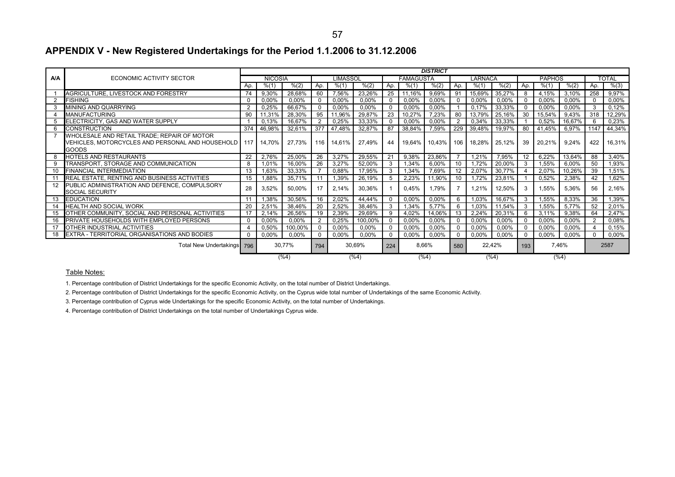### 57

### **APPENDIX V - New Registered Undertakings for the Period 1.1.2006 to 31.12.2006**

|            |                                                     | <b>DISTRICT</b> |                |          |                |          |         |             |                  |               |                 |        |        |                |        |        |                |        |
|------------|-----------------------------------------------------|-----------------|----------------|----------|----------------|----------|---------|-------------|------------------|---------------|-----------------|--------|--------|----------------|--------|--------|----------------|--------|
| <b>A/A</b> | ECONOMIC ACTIVITY SECTOR                            |                 | <b>NICOSIA</b> |          |                | LIMASSOL |         |             | <b>FAMAGUSTA</b> |               | LARNACA         |        |        | <b>PAPHOS</b>  |        |        |                | TOTAL  |
|            |                                                     | Ap.             | % (1)          | % (2)    | Aρ.            | % (1)    | % (2)   | Ap.         | % (1)            | % (2)         | Ap.             | % (1)  | % (2)  | Ap.            | % (1)  | % (2)  | Ap.            | % (3)  |
|            | AGRICULTURE, LIVESTOCK AND FORESTRY                 | 74              | 9,30%          | 28,68%   | 60             | 7,56%    | 23,26%  | 25          | 11,16%           | 9,69%         | 91              | 15,69% | 35,27% | 8              | 4,15%  | 3,10%  | 258            | 9,97%  |
| 2          | <b>FISHING</b>                                      | $\Omega$        | 0,00%          | $0,00\%$ | $\Omega$       | 0,00%    | 0,00%   | $\Omega$    | 0,00%            | 0,00%         |                 | 0,00%  | 0,00%  | $\Omega$       | 0,00%  | 0,00%  | 0              | 0,00%  |
| 3          | MINING AND QUARRYING                                |                 | 0,25%          | 66,67%   | $\Omega$       | 0,00%    | 0,00%   | 0           | 0,00%            | 0,00%         |                 | 0,17%  | 33,33% | $\Omega$       | 0,00%  | 0,00%  | 3              | 0,12%  |
| 4          | <b>MANUFACTURING</b>                                | 90              | 11,31%         | 28,30%   | 95             | 11,96%   | 29,87%  | 23          | 10,27%           | 7,23%         | 80              | 13,79% | 25,16% | 30             | 15,54% | 9,43%  | 318            | 12,29% |
| 5          | ELECTRICITY, GAS AND WATER SUPPLY                   |                 | 0,13%          | 16,67%   | $\overline{2}$ | 0,25%    | 33,33%  | 0           | 0,00%            | 0,00%         |                 | 0,34%  | 33,33% |                | 0,52%  | 16,67% | 6              | 0,23%  |
| 6          | <b>CONSTRUCTION</b>                                 | 374             | 46,98%         | 32,61%   | 377            | 47,48%   | 32,87%  | 87          | 38,84%           | 7,59%         | 229             | 39,48% | 19,97% | 80             | 41,45% | 6,97%  | 1147           | 44,34% |
|            | WHOLESALE AND RETAIL TRADE: REPAIR OF MOTOR         |                 |                |          |                |          |         |             |                  |               |                 |        |        |                |        |        |                |        |
|            | VEHICLES, MOTORCYCLES AND PERSONAL AND HOUSEHOLD    | 117             | 14.70%         | 27.73%   | 116            | 14,61%   | 27.49%  | 44          | 19.64%           | 10.43%        | 106             | 18,28% | 25,12% | 39             | 20,21% | 9.24%  | 422            | 16,31% |
|            | <b>GOODS</b>                                        |                 |                |          |                |          |         |             |                  |               |                 |        |        |                |        |        |                |        |
|            | <b>HOTELS AND RESTAURANTS</b>                       | 22              | 2,76%          | 25,00%   | 26             | 3,27%    | 29,55%  | 21          | 9,38%            | 23,86%        |                 | 1.21%  | 7,95%  | 12             | 6,22%  | 13,64% | 88             | 3,40%  |
| 9          | TRANSPORT, STORAGE AND COMMUNICATION                | 8               | 1,01%          | 16,00%   | 26             | 3,27%    | 52,00%  | 3           | .34%             | 6,00%         | 10 <sup>1</sup> | 1,72%  | 20,00% | 3              | .55%   | 6,00%  | 50             | 1,93%  |
| 10         | <b>FINANCIAL INTERMEDIATION</b>                     | 13              | 1,63%          | 33,33%   |                | 0,88%    | 17,95%  | 3           | 1,34%            | 7,69%         | 12              | 2,07%  | 30,77% | $\overline{4}$ | 2,07%  | 10,26% | 39             | 1,51%  |
| 11         | REAL ESTATE, RENTING AND BUSINESS ACTIVITIES        | 15              | 1,88%          | 35,71%   |                | 1,39%    | 26,19%  | 5           | 2,23%            | 11,90%        | 10              | 1,72%  | 23,81% |                | 0,52%  | 2,38%  | 42             | 1,62%  |
| 12         | PUBLIC ADMINISTRATION AND DEFENCE, COMPULSORY       | 28              | 3,52%          | 50,00%   | 17             | 2,14%    | 30,36%  |             | 0.45%            | 1,79%         |                 | 1,21%  | 12,50% | 3              | 1,55%  | 5,36%  | 56             | 2,16%  |
|            | <b>SOCIAL SECURITY</b>                              |                 |                |          |                |          |         |             |                  |               |                 |        |        |                |        |        |                |        |
| 13         | <b>IEDUCATION</b>                                   | 11              | 1,38%          | 30,56%   | 16             | 2,02%    | 44,44%  | $\mathbf 0$ | 0,00%            | 0,00%         | 6               | 1,03%  | 16,67% | 3              | .55%   | 8,33%  | 36             | 1,39%  |
| 14         | HEALTH AND SOCIAL WORK                              | 20              | 2,51%          | 38,46%   | 20             | 2,52%    | 38,46%  | 3           | 1,34%            | 5,77%         | 6               | 1,03%  | 11,54% | 3              | .55%   | 5,77%  | 52             | 2,01%  |
| 15         | OTHER COMMUNITY, SOCIAL AND PERSONAL ACTIVITIES     | 17              | 2,14%          | 26,56%   | 19             | 2,39%    | 29,69%  | 9           | 4,02%            | 14,06%        | 13              | 2,24%  | 20,31% | 6              | 3,11%  | 9,38%  | 64             | 2,47%  |
| 16         | PRIVATE HOUSEHOLDS WITH EMPLOYED PERSONS            | $\Omega$        | 0,00%          | 0,00%    | $\mathbf{2}$   | 0,25%    | 100,00% | 0           | 0,00%            | 0,00%         |                 | 0,00%  | 0,00%  | 0              | 0,00%  | 0,00%  | $\overline{2}$ | 0,08%  |
| 17         | OTHER INDUSTRIAL ACTIVITIES                         |                 | 0,50%          | 100,00%  |                | 0,00%    | 0,00%   | $\mathbf 0$ | 0,00%            | 0,00%         |                 | 0,00%  | 0,00%  | 0              | 0,00%  | 0,00%  | 4              | 0,15%  |
| 18         | <b>EXTRA - TERRITORIAL ORGANISATIONS AND BODIES</b> | $\Omega$        | 0,00%          | $0,00\%$ | $\Omega$       | 0,00%    | 0,00%   | $\mathbf 0$ | 0,00%            | 0,00%         |                 | 0,00%  | 0,00%  | $\mathbf 0$    | 0,00%  | 0,00%  | 0              | 0,00%  |
|            | Total New Undertakings 796                          | 30,77%<br>794   |                |          | 30,69%         |          | 224     | 8,66%       |                  | 22,42%<br>580 |                 |        | 193    | 7.46%          |        | 2587   |                |        |
|            |                                                     |                 |                | (%4)     |                |          | (%4)    |             |                  | (%4)          |                 |        | (%4)   |                | (%4)   |        |                |        |

#### Table Notes:

1. Percentage contribution of District Undertakings for the specific Economic Activity, on the total number of District Undertakings.

2. Percentage contribution of District Undertakings for the specific Economic Activity, on the Cyprus wide total number of Undertakings of the same Economic Activity.

3. Percentage contribution of Cyprus wide Undertakings for the specific Economic Activity, on the total number of Undertakings.

4. Percentage contribution of District Undertakings on the total number of Undertakings Cyprus wide.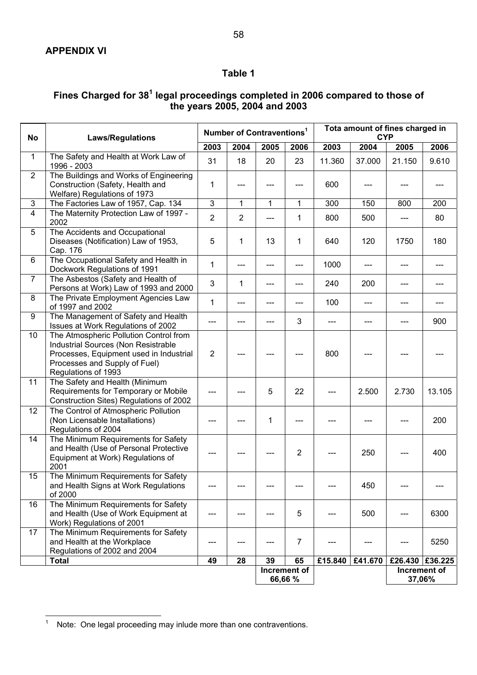## **Table 1**

### Fines Charged for 38<sup>1</sup> legal proceedings completed in 2006 compared to those of **the years 2005, 2004 and 2003**

| <b>No</b>                 | <b>Laws/Regulations</b>                                                                                                                                                          |                |                | Number of Contraventions <sup>1</sup> |                         | Tota amount of fines charged in<br><b>CYP</b> |         |                        |                 |  |  |
|---------------------------|----------------------------------------------------------------------------------------------------------------------------------------------------------------------------------|----------------|----------------|---------------------------------------|-------------------------|-----------------------------------------------|---------|------------------------|-----------------|--|--|
|                           |                                                                                                                                                                                  | 2003           | 2004           | 2005                                  | 2006                    | 2003                                          | 2004    | 2005                   | 2006            |  |  |
| 1                         | The Safety and Health at Work Law of<br>1996 - 2003                                                                                                                              | 31             | 18             | 20                                    | 23                      | 11.360                                        | 37.000  | 21.150                 | 9.610           |  |  |
| $\overline{2}$            | The Buildings and Works of Engineering<br>Construction (Safety, Health and<br>Welfare) Regulations of 1973                                                                       | 1              | ---            |                                       | ---                     | 600                                           |         |                        |                 |  |  |
| $\ensuremath{\mathsf{3}}$ | The Factories Law of 1957, Cap. 134                                                                                                                                              | $\overline{3}$ | $\mathbf{1}$   | $\mathbf{1}$                          | $\mathbf{1}$            | 300                                           | 150     | 800                    | 200             |  |  |
| $\overline{4}$            | The Maternity Protection Law of 1997 -<br>2002                                                                                                                                   | $\overline{2}$ | $\overline{2}$ | $---$                                 | $\mathbf{1}$            | 800                                           | 500     | $---$                  | 80              |  |  |
| 5                         | The Accidents and Occupational<br>Diseases (Notification) Law of 1953,<br>Cap. 176                                                                                               | 5              | 1              | 13                                    | $\mathbf{1}$            | 640                                           | 120     | 1750                   | 180             |  |  |
| $6\phantom{1}$            | The Occupational Safety and Health in<br>Dockwork Regulations of 1991                                                                                                            | $\mathbf{1}$   | $---$          | ---                                   | ---                     | 1000                                          | ---     |                        |                 |  |  |
| $\overline{7}$            | The Asbestos (Safety and Health of<br>Persons at Work) Law of 1993 and 2000                                                                                                      | 3              | 1              | ---                                   | ---                     | 240                                           | 200     | ---                    |                 |  |  |
| 8                         | The Private Employment Agencies Law<br>of 1997 and 2002                                                                                                                          | 1              | ---            |                                       | ---                     | 100                                           | ---     |                        |                 |  |  |
| $\boldsymbol{9}$          | The Management of Safety and Health<br>Issues at Work Regulations of 2002                                                                                                        | $---$          | ---            | $---$                                 | 3                       | ---                                           | ---     | ---                    | 900             |  |  |
| 10                        | The Atmospheric Pollution Control from<br>Industrial Sources (Non Resistrable<br>Processes, Equipment used in Industrial<br>Processes and Supply of Fuel)<br>Regulations of 1993 | $\overline{2}$ |                |                                       |                         | 800                                           |         |                        |                 |  |  |
| 11                        | The Safety and Health (Minimum<br>Requirements for Temporary or Mobile<br>Construction Sites) Regulations of 2002                                                                |                |                | 5                                     | 22                      |                                               | 2.500   | 2.730                  | 13.105          |  |  |
| 12                        | The Control of Atmospheric Pollution<br>(Non Licensable Installations)<br>Regulations of 2004                                                                                    |                |                | 1                                     |                         |                                               |         |                        | 200             |  |  |
| 14                        | The Minimum Requirements for Safety<br>and Health (Use of Personal Protective<br>Equipment at Work) Regulations of<br>2001                                                       |                |                |                                       | $\overline{2}$          |                                               | 250     |                        | 400             |  |  |
| 15                        | The Minimum Requirements for Safety<br>and Health Signs at Work Regulations<br>of 2000                                                                                           | ---            | ---            |                                       |                         | ---                                           | 450     |                        |                 |  |  |
| 16                        | The Minimum Requirements for Safety<br>and Health (Use of Work Equipment at<br>Work) Regulations of 2001                                                                         |                |                |                                       | 5                       | ---                                           | 500     |                        | 6300            |  |  |
| 17                        | The Minimum Requirements for Safety<br>and Health at the Workplace<br>Regulations of 2002 and 2004                                                                               | ---            | ---            |                                       | 7                       |                                               |         |                        | 5250            |  |  |
|                           | <b>Total</b>                                                                                                                                                                     | 49             | 28             | 39                                    | 65                      | £15.840                                       | £41.670 |                        | £26.430 £36.225 |  |  |
|                           |                                                                                                                                                                                  |                |                |                                       | Increment of<br>66,66 % |                                               |         | Increment of<br>37,06% |                 |  |  |

 $\frac{1}{1}$ Note: One legal proceeding may inlude more than one contraventions.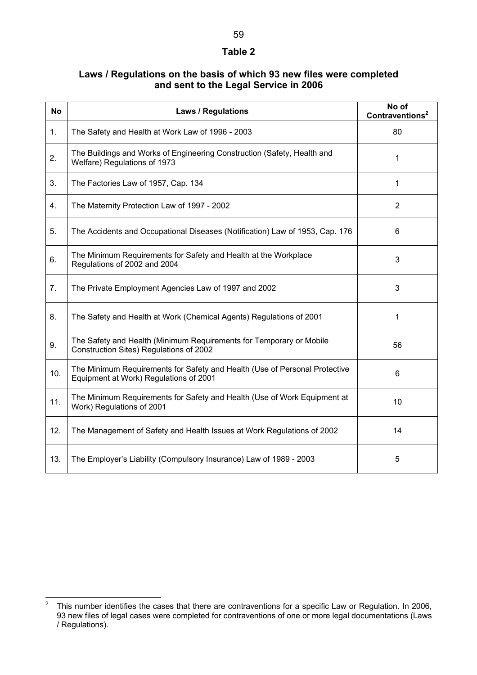### **Table 2**

### **Laws / Regulations on the basis of which 93 new files were completed and sent to the Legal Service in 2006**

| <b>No</b> | <b>Laws / Regulations</b>                                                                                            | No of<br>Contraventions <sup>2</sup> |
|-----------|----------------------------------------------------------------------------------------------------------------------|--------------------------------------|
| 1.        | The Safety and Health at Work Law of 1996 - 2003                                                                     | 80                                   |
| 2.        | The Buildings and Works of Engineering Construction (Safety, Health and<br>Welfare) Regulations of 1973              | 1                                    |
| 3.        | The Factories Law of 1957, Cap. 134                                                                                  | 1                                    |
| 4.        | The Maternity Protection Law of 1997 - 2002                                                                          | $\overline{2}$                       |
| 5.        | The Accidents and Occupational Diseases (Notification) Law of 1953, Cap. 176                                         | 6                                    |
| 6.        | The Minimum Requirements for Safety and Health at the Workplace<br>Regulations of 2002 and 2004                      | 3                                    |
| 7.        | The Private Employment Agencies Law of 1997 and 2002                                                                 | 3                                    |
| 8.        | The Safety and Health at Work (Chemical Agents) Regulations of 2001                                                  | 1                                    |
| 9.        | The Safety and Health (Minimum Requirements for Temporary or Mobile<br>Construction Sites) Regulations of 2002       | 56                                   |
| 10.       | The Minimum Requirements for Safety and Health (Use of Personal Protective<br>Equipment at Work) Regulations of 2001 | 6                                    |
| 11.       | The Minimum Requirements for Safety and Health (Use of Work Equipment at<br>Work) Regulations of 2001                | 10                                   |
| 12.       | The Management of Safety and Health Issues at Work Regulations of 2002                                               | 14                                   |
| 13.       | The Employer's Liability (Compulsory Insurance) Law of 1989 - 2003                                                   | 5                                    |

 $\frac{1}{2}$  This number identifies the cases that there are contraventions for a specific Law or Regulation. In 2006, 93 new files of legal cases were completed for contraventions of one or more legal documentations (Laws / Regulations).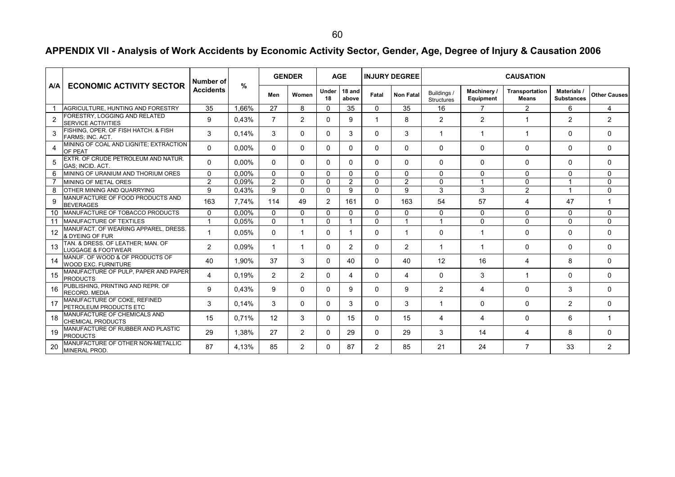# **APPENDIX VII - Analysis of Work Accidents by Economic Activity Sector, Gender, Age, Degree of Injury & Causation 2006**

|                | <b>ECONOMIC ACTIVITY SECTOR</b>                                    | Number of<br><b>Accidents</b> |               | <b>GENDER</b>  |                       | <b>AGE</b>     |                 | <b>INJURY DEGREE</b> |                  | <b>CAUSATION</b>                 |                          |                                |                                  |                     |
|----------------|--------------------------------------------------------------------|-------------------------------|---------------|----------------|-----------------------|----------------|-----------------|----------------------|------------------|----------------------------------|--------------------------|--------------------------------|----------------------------------|---------------------|
| A/A            |                                                                    |                               | $\frac{9}{6}$ | Men            | Women                 | Under<br>18    | 18 and<br>above | Fatal                | <b>Non Fatal</b> | Buildings /<br><b>Structures</b> | Machinery /<br>Equipment | Transportation<br><b>Means</b> | Materials /<br><b>Substances</b> | <b>Other Causes</b> |
|                | AGRICULTURE. HUNTING AND FORESTRY                                  | 35                            | .66%          | 27             | 8                     | 0              | 35              | $\Omega$             | 35               | 16                               |                          | $\overline{2}$                 | 6                                | $\overline{4}$      |
| $\overline{2}$ | <b>FORESTRY, LOGGING AND RELATED</b><br><b>SERVICE ACTIVITIES</b>  | 9                             | 0,43%         | 7              | $\overline{2}$        | $\Omega$       | 9               | 1                    | 8                | $\overline{2}$                   | $\overline{2}$           | 1                              | $\overline{2}$                   | $\overline{2}$      |
| 3              | FISHING, OPER, OF FISH HATCH, & FISH<br>FARMS; INC. ACT.           | 3                             | 0.14%         | 3              | $\Omega$              | $\Omega$       | 3               | 0                    | 3                | $\mathbf 1$                      | 1                        | 1                              | $\mathbf{0}$                     | 0                   |
|                | MINING OF COAL AND LIGNITE: EXTRACTION<br>OF PEAT                  | $\Omega$                      | 0.00%         | $\Omega$       | 0                     | $\Omega$       | 0               | $\Omega$             | $\Omega$         | $\Omega$                         | $\Omega$                 | $\Omega$                       | $\Omega$                         | $\Omega$            |
| 5              | <b>EXTR. OF CRUDE PETROLEUM AND NATUR.</b><br>GAS; INCID. ACT.     | $\Omega$                      | 0.00%         | $\Omega$       | 0                     | $\Omega$       | 0               | 0                    | $\Omega$         | $\Omega$                         | 0                        | $\Omega$                       | $\mathbf{0}$                     | $\Omega$            |
| 6              | MINING OF URANIUM AND THORIUM ORES                                 | $\Omega$                      | $0.00\%$      | $\Omega$       | $\Omega$              | $\Omega$       | 0               | $\Omega$             | $\Omega$         | $\Omega$                         | $\Omega$                 | $\Omega$                       | $\Omega$                         | $\Omega$            |
|                | MINING OF METAL ORES                                               | 2                             | 0.09%         | $\overline{2}$ | $\Omega$              | $\Omega$       | $\overline{2}$  | $\Omega$             | 2                | $\mathbf{0}$                     | 1                        | $\Omega$                       |                                  | $\Omega$            |
| 8              | <b>OTHER MINING AND QUARRYING</b>                                  | 9                             | 0.43%         | 9              | $\mathbf{0}$          | $\Omega$       | 9               | $\Omega$             | 9                | 3                                | 3                        | 2                              | 1                                | $\Omega$            |
| 9              | MANUFACTURE OF FOOD PRODUCTS AND<br><b>BEVERAGES</b>               | 163                           | 7.74%         | 114            | 49                    | $\overline{2}$ | 161             | 0                    | 163              | 54                               | 57                       | 4                              | 47                               | 1                   |
| 10             | MANUFACTURE OF TOBACCO PRODUCTS                                    | $\mathbf{0}$                  | $0.00\%$      | $\mathbf{0}$   | $\mathbf{0}$          | $\Omega$       | 0               | $\Omega$             | $\Omega$         | $\Omega$                         | $\Omega$                 | $\Omega$                       | $\mathbf{0}$                     | $\Omega$            |
| 11             | MANUFACTURE OF TEXTILES                                            |                               | 0.05%         | $\mathbf{0}$   | -1                    | $\mathbf{0}$   | -1              | $\Omega$             | $\overline{ }$   | $\blacktriangleleft$             | $\Omega$                 | $\Omega$                       | $\Omega$                         | $\Omega$            |
| 12             | MANUFACT. OF WEARING APPAREL, DRESS.<br>& DYEING OF FUR            |                               | 0.05%         | $\Omega$       | 1                     | $\Omega$       | 1               | 0                    | 1                | $\Omega$                         | 1                        | $\Omega$                       | $\Omega$                         | 0                   |
| 13             | TAN. & DRESS. OF LEATHER; MAN. OF<br><b>LUGGAGE &amp; FOOTWEAR</b> | 2                             | 0.09%         | $\mathbf{1}$   | 1                     | $\Omega$       | $\overline{2}$  | 0                    | 2                | $\mathbf 1$                      | 1                        | $\Omega$                       | $\Omega$                         | $\Omega$            |
| 14             | MANUF. OF WOOD & OF PRODUCTS OF<br>WOOD EXC. FURNITURE             | 40                            | 1.90%         | 37             | 3                     | $\Omega$       | 40              | 0                    | 40               | 12                               | 16                       | 4                              | 8                                | $\Omega$            |
| 15             | MANUFACTURE OF PULP, PAPER AND PAPER<br><b>PRODUCTS</b>            | 4                             | 0.19%         | $\overline{2}$ | $\mathbf{2}^{\prime}$ | $\Omega$       | 4               | 0                    | $\overline{4}$   | $\Omega$                         | 3                        | $\mathbf{1}$                   | $\mathbf{0}$                     | 0                   |
| 16             | PUBLISHING, PRINTING AND REPR. OF<br><b>RECORD, MEDIA</b>          | 9                             | 0.43%         | 9              | $\Omega$              | $\mathbf{0}$   | 9               | $\Omega$             | 9                | 2                                | 4                        | $\Omega$                       | 3                                | $\Omega$            |
| 17             | MANUFACTURE OF COKE, REFINED<br>PETROLEUM PRODUCTS ETC             | 3                             | 0,14%         | 3              | 0                     | $\Omega$       | 3               | 0                    | 3                | 1                                | 0                        | $\Omega$                       | $\overline{2}$                   | 0                   |
| 18             | MANUFACTURE OF CHEMICALS AND<br><b>CHEMICAL PRODUCTS</b>           | 15                            | 0.71%         | 12             | 3                     | $\Omega$       | 15              | 0                    | 15               | 4                                | 4                        | $\Omega$                       | 6                                | 1                   |
| 19             | MANUFACTURE OF RUBBER AND PLASTIC<br><b>PRODUCTS</b>               | 29                            | 1.38%         | 27             | $\overline{2}$        | $\Omega$       | 29              | $\Omega$             | 29               | 3                                | 14                       | 4                              | 8                                | 0                   |
| 20             | MANUFACTURE OF OTHER NON-METALLIC<br>MINERAL PROD.                 | 87                            | 4.13%         | 85             | $\overline{2}$        | <sup>n</sup>   | 87              | $\overline{2}$       | 85               | 21                               | 24                       | 7                              | 33                               | 2                   |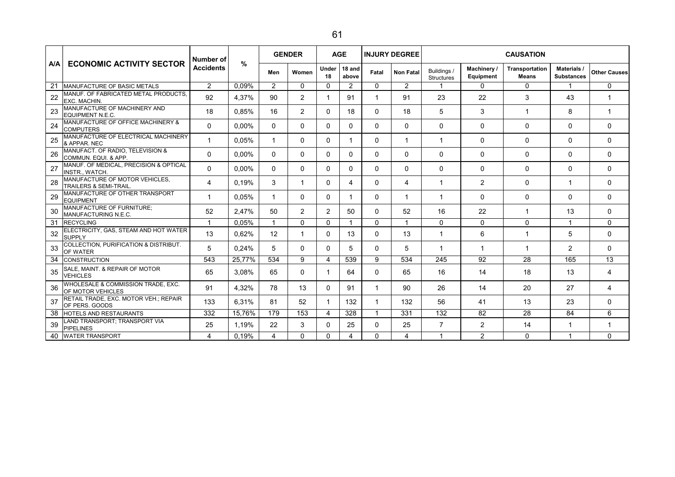|     | <b>ECONOMIC ACTIVITY SECTOR</b>                          | Number of<br><b>Accidents</b> | $\%$     | <b>GENDER</b>  |              | <b>AGE</b>     |                 | <b>INJURY DEGREE</b> |                  | <b>CAUSATION</b>                 |                          |                                |                                         |                     |
|-----|----------------------------------------------------------|-------------------------------|----------|----------------|--------------|----------------|-----------------|----------------------|------------------|----------------------------------|--------------------------|--------------------------------|-----------------------------------------|---------------------|
| A/A |                                                          |                               |          | Men            | Women        | Under<br>18    | 18 and<br>above | Fatal                | <b>Non Fatal</b> | Buildings /<br><b>Structures</b> | Machinery /<br>Equipment | Transportation<br><b>Means</b> | <b>Materials /</b><br><b>Substances</b> | <b>Other Causes</b> |
| 21  | MANUFACTURE OF BASIC METALS                              | $\overline{2}$                | 0.09%    | $\overline{2}$ | $\mathbf{0}$ | 0              | $\overline{2}$  | $\mathbf 0$          | 2                | $\overline{1}$                   | $\mathbf{0}$             | $\mathbf 0$                    |                                         | $\mathbf{0}$        |
| 22  | MANUF. OF FABRICATED METAL PRODUCTS.<br>EXC. MACHIN.     | 92                            | 4.37%    | 90             | 2            |                | 91              | 1                    | 91               | 23                               | 22                       | 3                              | 43                                      |                     |
| 23  | MANUFACTURE OF MACHINERY AND<br><b>EQUIPMENT N.E.C.</b>  | 18                            | 0.85%    | 16             | 2            | 0              | 18              | 0                    | 18               | 5                                | 3                        | 1                              | 8                                       | $\mathbf 1$         |
| 24  | MANUFACTURE OF OFFICE MACHINERY &<br><b>COMPUTERS</b>    | 0                             | 0.00%    | $\Omega$       | $\Omega$     | 0              | 0               | 0                    | 0                | 0                                | $\mathbf{0}$             | $\mathbf 0$                    | 0                                       | $\mathbf{0}$        |
| 25  | MANUFACTURE OF ELECTRICAL MACHINERY<br>& APPAR. NEC      | -1                            | 0.05%    | 1              | 0            | 0              |                 | 0                    | 1                | $\overline{1}$                   | $\Omega$                 | $\mathbf{0}$                   | $\mathbf{0}$                            | $\mathbf{0}$        |
| 26  | MANUFACT. OF RADIO, TELEVISION &<br>COMMUN. EQUI. & APP. | $\Omega$                      | 0.00%    | $\Omega$       | $\Omega$     | 0              | $\Omega$        | $\Omega$             | $\mathbf{0}$     | $\mathbf{0}$                     | $\Omega$                 | $\mathbf{0}$                   | $\Omega$                                | $\Omega$            |
| 27  | MANUF. OF MEDICAL, PRECISION & OPTICAL<br>INSTR., WATCH. | $\Omega$                      | $0.00\%$ | $\Omega$       | 0            | $\Omega$       | 0               | 0                    | $\mathbf{0}$     | $\mathbf{0}$                     | $\Omega$                 | $\mathbf{0}$                   | $\Omega$                                | $\Omega$            |
| 28  | MANUFACTURE OF MOTOR VEHICLES,<br>TRAILERS & SEMI-TRAIL. | 4                             | 0,19%    | 3              | -1           | 0              | 4               | 0                    | 4                | $\overline{1}$                   | 2                        | 0                              |                                         | 0                   |
| 29  | MANUFACTURE OF OTHER TRANSPORT<br><b>EQUIPMENT</b>       | -1                            | 0.05%    | 1              | $\Omega$     | 0              |                 | $\mathbf{0}$         | 1                | -1                               | $\mathbf{0}$             | $\mathbf{0}$                   | $\mathbf{0}$                            | $\mathbf{0}$        |
| 30  | MANUFACTURE OF FURNITURE;<br>MANUFACTURING N.E.C.        | 52                            | 2,47%    | 50             | 2            | $\overline{2}$ | 50              | $\mathbf{0}$         | 52               | 16                               | 22                       | $\mathbf{1}$                   | 13                                      | $\mathbf{0}$        |
|     | 31 RECYCLING                                             | 1                             | 0.05%    | 1              | $\Omega$     | $\Omega$       |                 | $\mathbf{0}$         | 1                | $\mathbf{0}$                     | $\mathbf{0}$             | $\mathbf{0}$                   | $\blacktriangleleft$                    | $\mathbf{0}$        |
| 32  | ELECTRICITY, GAS, STEAM AND HOT WATER<br><b>SUPPLY</b>   | 13                            | 0.62%    | 12             | 1            | 0              | 13              | $\mathbf{0}$         | 13               | $\overline{1}$                   | 6                        | 1                              | 5                                       | $\Omega$            |
| 33  | COLLECTION, PURIFICATION & DISTRIBUT.<br>OF WATER        | 5                             | 0,24%    | 5              | $\Omega$     | 0              | 5               | $\Omega$             | 5                | 1                                | 1                        |                                | $\overline{2}$                          | 0                   |
| 34  | <b>CONSTRUCTION</b>                                      | 543                           | 25.77%   | 534            | 9            | 4              | 539             | 9                    | 534              | 245                              | 92                       | 28                             | 165                                     | 13                  |
| 35  | SALE, MAINT, & REPAIR OF MOTOR<br><b>VEHICLES</b>        | 65                            | 3.08%    | 65             | $\Omega$     | 1              | 64              | $\mathbf{0}$         | 65               | 16                               | 14                       | 18                             | 13                                      | 4                   |
| 36  | WHOLESALE & COMMISSION TRADE, EXC.<br>OF MOTOR VEHICLES  | 91                            | 4.32%    | 78             | 13           | 0              | 91              | 1                    | 90               | 26                               | 14                       | 20                             | 27                                      | 4                   |
| 37  | RETAIL TRADE, EXC. MOTOR VEH.; REPAIR<br>OF PERS. GOODS  | 133                           | 6.31%    | 81             | 52           | 1              | 132             | -1                   | 132              | 56                               | 41                       | 13                             | 23                                      | 0                   |
|     | 38 HOTELS AND RESTAURANTS                                | 332                           | 15.76%   | 179            | 153          | 4              | 328             | $\overline{1}$       | 331              | 132                              | 82                       | 28                             | 84                                      | 6                   |
| 39  | LAND TRANSPORT; TRANSPORT VIA<br><b>PIPELINES</b>        | 25                            | 1,19%    | 22             | 3            | 0              | 25              | $\mathbf{0}$         | 25               | $\overline{7}$                   | 2                        | 14                             |                                         | 1                   |
|     | 40 WATER TRANSPORT                                       | 4                             | $0,19\%$ | 4              | $\mathbf{0}$ | 0              | 4               | 0                    | 4                | 1                                | $\overline{2}$           | $\mathbf{0}$                   |                                         | $\Omega$            |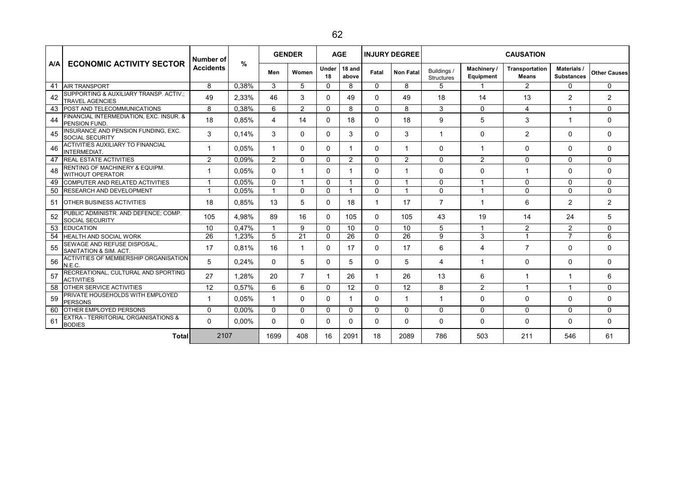|     | <b>ECONOMIC ACTIVITY SECTOR</b>                                  | Number of<br><b>Accidents</b> | $\frac{9}{6}$ | <b>GENDER</b>  |              | <b>AGE</b>   |                 | <b>INJURY DEGREE</b> |                  | <b>CAUSATION</b>                 |                          |                                |                                  |                     |
|-----|------------------------------------------------------------------|-------------------------------|---------------|----------------|--------------|--------------|-----------------|----------------------|------------------|----------------------------------|--------------------------|--------------------------------|----------------------------------|---------------------|
| A/A |                                                                  |                               |               | Men            | Women        | Under<br>18  | 18 and<br>above | Fatal                | <b>Non Fatal</b> | Buildings /<br><b>Structures</b> | Machinery /<br>Equipment | Transportation<br><b>Means</b> | Materials /<br><b>Substances</b> | <b>Other Causes</b> |
| 41  | <b>AIR TRANSPORT</b>                                             | 8                             | 0.38%         | 3              | 5            | $\mathbf{0}$ | 8               | $\Omega$             | 8                | 5                                | -1                       | 2                              | $\Omega$                         | $\mathbf{0}$        |
| 42  | SUPPORTING & AUXILIARY TRANSP. ACTIV.;<br><b>TRAVEL AGENCIES</b> | 49                            | 2,33%         | 46             | 3            | $\mathbf{0}$ | 49              | $\mathbf{0}$         | 49               | 18                               | 14                       | 13                             | 2                                | 2                   |
| 43  | POST AND TELECOMMUNICATIONS                                      | 8                             | 0.38%         | 6              | 2            | $\Omega$     | 8               | $\Omega$             | 8                | 3                                | $\mathbf{0}$             | $\overline{4}$                 |                                  | $\Omega$            |
| 44  | FINANCIAL INTERMEDIATION, EXC. INSUR. &<br>PENSION FUND.         | 18                            | 0.85%         | 4              | 14           | $\mathbf{0}$ | 18              | $\Omega$             | 18               | 9                                | 5                        | 3                              |                                  | 0                   |
| 45  | INSURANCE AND PENSION FUNDING, EXC.<br><b>SOCIAL SECURITY</b>    | 3                             | 0.14%         | 3              | $\Omega$     | $\mathbf{0}$ | 3               | $\Omega$             | 3                | 1                                | $\Omega$                 | 2                              | 0                                | $\mathbf{0}$        |
| 46  | ACTIVITIES AUXILIARY TO FINANCIAL<br>INTERMEDIAT.                |                               | 0.05%         | 1              | $\mathbf{0}$ | 0            |                 | 0                    | 1                | 0                                | -1                       | 0                              | 0                                | 0                   |
| 47  | <b>REAL ESTATE ACTIVITIES</b>                                    | $\overline{2}$                | 0.09%         | $\overline{2}$ | $\Omega$     | $\Omega$     | 2               | $\Omega$             | 2                | $\Omega$                         | 2                        | $\Omega$                       | $\Omega$                         | $\Omega$            |
| 48  | RENTING OF MACHINERY & EQUIPM.<br><b>WITHOUT OPERATOR</b>        |                               | 0.05%         | $\Omega$       |              | $\mathbf{0}$ |                 | 0                    | 1                | 0                                | $\mathbf{0}$             | -1                             | 0                                | 0                   |
| 49  | COMPUTER AND RELATED ACTIVITIES                                  |                               | 0.05%         | $\mathbf{0}$   |              | $\mathbf{0}$ |                 | $\Omega$             | -1               | 0                                | $\overline{1}$           | $\Omega$                       | $\Omega$                         | $\Omega$            |
| 50  | <b>RESEARCH AND DEVELOPMENT</b>                                  | $\blacktriangleleft$          | 0.05%         | $\mathbf{1}$   | $\mathbf{0}$ | $\Omega$     | -1              | $\Omega$             | $\overline{1}$   | $\Omega$                         | -1                       | $\Omega$                       | $\mathbf{0}$                     | $\Omega$            |
| 51  | OTHER BUSINESS ACTIVITIES                                        | 18                            | 0,85%         | 13             | 5            | $\Omega$     | 18              | 1                    | 17               | $\overline{7}$                   | -1                       | 6                              | 2                                | $\overline{2}$      |
| 52  | PUBLIC ADMINISTR. AND DEFENCE; COMP.<br><b>SOCIAL SECURITY</b>   | 105                           | 4.98%         | 89             | 16           | $\Omega$     | 105             | $\Omega$             | 105              | 43                               | 19                       | 14                             | 24                               | 5                   |
| 53  | <b>EDUCATION</b>                                                 | 10                            | 0,47%         |                | 9            | $\Omega$     | 10              | $\Omega$             | 10               | 5                                | $\overline{\mathbf{A}}$  | 2                              | 2                                | $\Omega$            |
| 54  | HEALTH AND SOCIAL WORK                                           | 26                            | 1.23%         | 5              | 21           | $\Omega$     | 26              | $\Omega$             | 26               | 9                                | 3                        | $\overline{1}$                 | $\overline{7}$                   | 6                   |
| 55  | SEWAGE AND REFUSE DISPOSAL,<br>SANITATION & SIM. ACT.            | 17                            | 0.81%         | 16             | 1            | $\Omega$     | 17              | 0                    | 17               | 6                                | 4                        | $\overline{7}$                 | $\mathbf{0}$                     | 0                   |
| 56  | <b>ACTIVITIES OF MEMBERSHIP ORGANISATION</b><br>N.E.C.           | 5                             | 0,24%         | $\Omega$       | 5            | 0            | 5               | 0                    | 5                | 4                                | -1                       | $\Omega$                       | $\Omega$                         | $\mathbf{0}$        |
| 57  | RECREATIONAL, CULTURAL AND SPORTING<br><b>ACTIVITIES</b>         | 27                            | 1.28%         | 20             | 7            | 1            | 26              | 1                    | 26               | 13                               | 6                        | $\mathbf 1$                    |                                  | 6                   |
| 58  | <b>OTHER SERVICE ACTIVITIES</b>                                  | 12                            | 0.57%         | 6              | 6            | $\Omega$     | 12              | $\Omega$             | 12               | 8                                | 2                        | 1                              |                                  | $\Omega$            |
| 59  | PRIVATE HOUSEHOLDS WITH EMPLOYED<br><b>PERSONS</b>               |                               | 0.05%         | 1              | $\Omega$     | $\mathbf{0}$ |                 | 0                    | -1               | 1                                | $\mathbf{0}$             | 0                              | $\mathbf{0}$                     | 0                   |
| 60  | <b>OTHER EMPLOYED PERSONS</b>                                    | $\Omega$                      | $0.00\%$      | $\Omega$       | $\Omega$     | $\Omega$     | $\Omega$        | $\Omega$             | $\Omega$         | $\mathbf{0}$                     | $\mathbf{0}$             | $\mathbf{0}$                   | $\Omega$                         | $\Omega$            |
| 61  | <b>EXTRA - TERRITORIAL ORGANISATIONS &amp;</b><br><b>BODIES</b>  | $\Omega$                      | $0.00\%$      | 0              | 0            | $\Omega$     | 0               | 0                    | 0                | 0                                | $\Omega$                 | 0                              | 0                                | 0                   |
|     | <b>Total</b>                                                     | 2107                          |               | 1699           | 408          | 16           | 2091            | 18                   | 2089             | 786                              | 503                      | 211                            | 546                              | 61                  |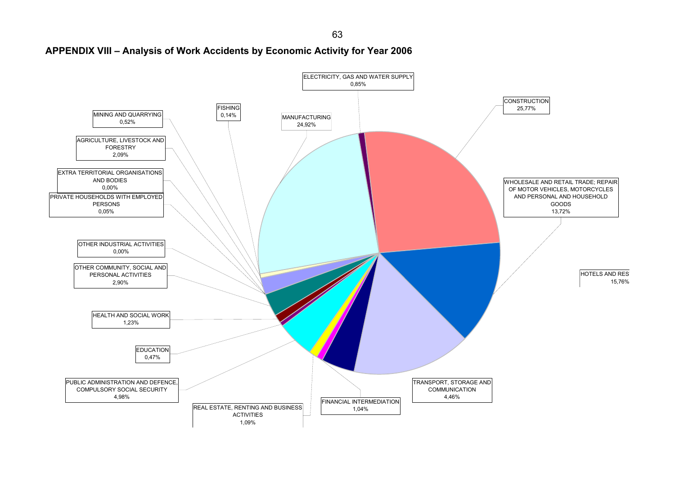63

### **APPENDIX VIII – Analysis of Work Accidents by Economic Activity for Year 2006**

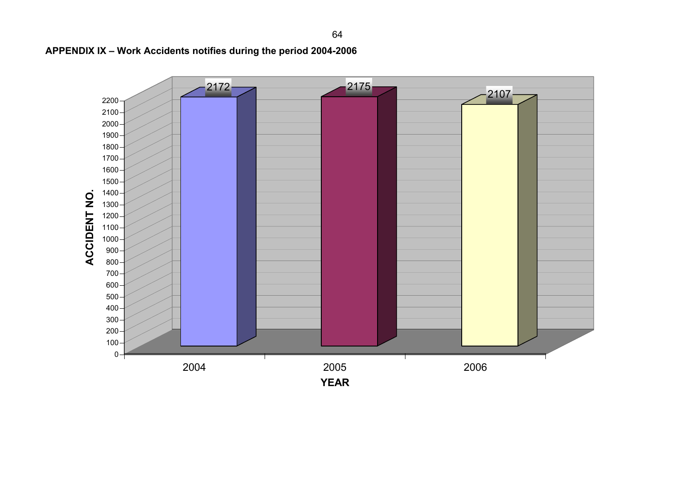

**APPENDIX IX – Work Accidents notifies during the period 2004-2006**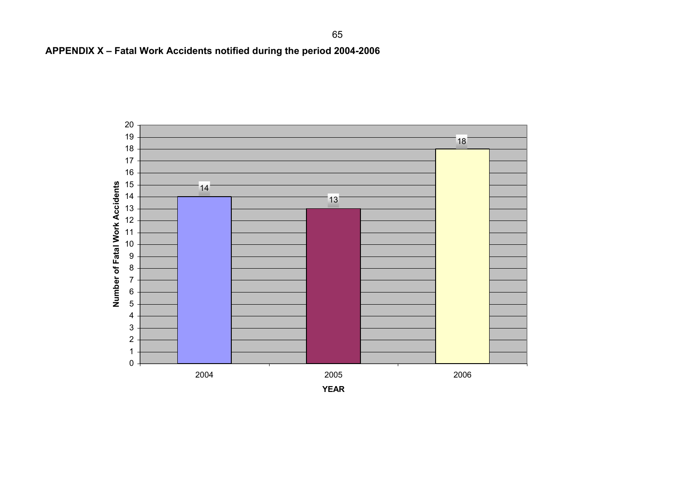

**APPENDIX X – Fatal Work Accidents notified during the period 2004-2006**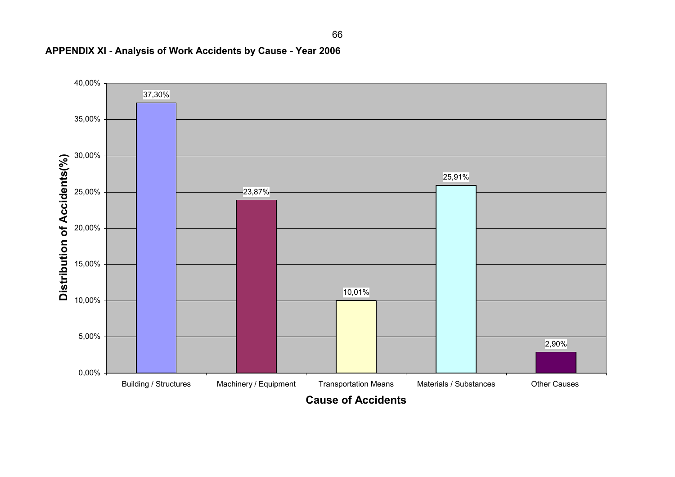



66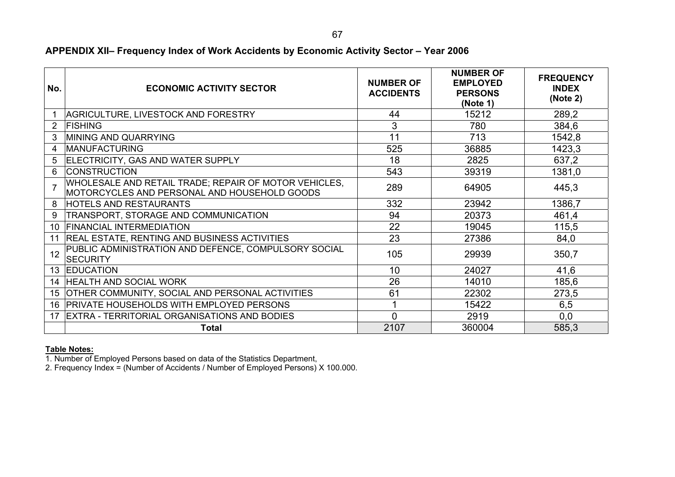### **APPENDIX XII– Frequency Index of Work Accidents by Economic Activity Sector – Year 2006**

| No. | <b>ECONOMIC ACTIVITY SECTOR</b>                                                                       | <b>NUMBER OF</b><br><b>ACCIDENTS</b> | <b>NUMBER OF</b><br><b>EMPLOYED</b><br><b>PERSONS</b><br>(Note 1) | <b>FREQUENCY</b><br><b>INDEX</b><br>(Note 2) |
|-----|-------------------------------------------------------------------------------------------------------|--------------------------------------|-------------------------------------------------------------------|----------------------------------------------|
|     | <b>AGRICULTURE, LIVESTOCK AND FORESTRY</b>                                                            | 44                                   | 15212                                                             | 289,2                                        |
| 2   | <b>FISHING</b>                                                                                        | 3                                    | 780                                                               | 384,6                                        |
| 3   | MINING AND QUARRYING                                                                                  | 11                                   | 713                                                               | 1542,8                                       |
| 4   | <b>MANUFACTURING</b>                                                                                  | 525                                  | 36885                                                             | 1423,3                                       |
| 5   | ELECTRICITY, GAS AND WATER SUPPLY                                                                     | 18                                   | 2825                                                              | 637,2                                        |
| 6   | <b>CONSTRUCTION</b>                                                                                   | 543                                  | 39319                                                             | 1381,0                                       |
|     | WHOLESALE AND RETAIL TRADE; REPAIR OF MOTOR VEHICLES,<br>MOTORCYCLES AND PERSONAL AND HOUSEHOLD GOODS | 289                                  | 64905                                                             | 445,3                                        |
| 8   | <b>HOTELS AND RESTAURANTS</b>                                                                         | 332                                  | 23942                                                             | 1386,7                                       |
| 9   | TRANSPORT, STORAGE AND COMMUNICATION                                                                  | 94                                   | 20373                                                             | 461,4                                        |
| 10  | <b>FINANCIAL INTERMEDIATION</b>                                                                       | 22                                   | 19045                                                             | 115,5                                        |
| 11  | <b>REAL ESTATE, RENTING AND BUSINESS ACTIVITIES</b>                                                   | 23                                   | 27386                                                             | 84,0                                         |
| 12  | PUBLIC ADMINISTRATION AND DEFENCE, COMPULSORY SOCIAL<br><b>SECURITY</b>                               | 105                                  | 29939                                                             | 350,7                                        |
| 13  | <b>EDUCATION</b>                                                                                      | 10                                   | 24027                                                             | 41,6                                         |
|     | 14 HEALTH AND SOCIAL WORK                                                                             | 26                                   | 14010                                                             | 185,6                                        |
| 15  | <b>OTHER COMMUNITY, SOCIAL AND PERSONAL ACTIVITIES</b>                                                | 61                                   | 22302                                                             | 273,5                                        |
| 16  | <b>PRIVATE HOUSEHOLDS WITH EMPLOYED PERSONS</b>                                                       | 1                                    | 15422                                                             | 6,5                                          |
| 17  | <b>EXTRA - TERRITORIAL ORGANISATIONS AND BODIES</b>                                                   | $\overline{0}$                       | 2919                                                              | 0,0                                          |
|     | Total                                                                                                 | 2107                                 | 360004                                                            | 585,3                                        |

**Table Notes:** 1. Number of Employed Persons based on data of the Statistics Department,

2. Frequency Index = (Number of Accidents / Number of Employed Persons) Χ 100.000.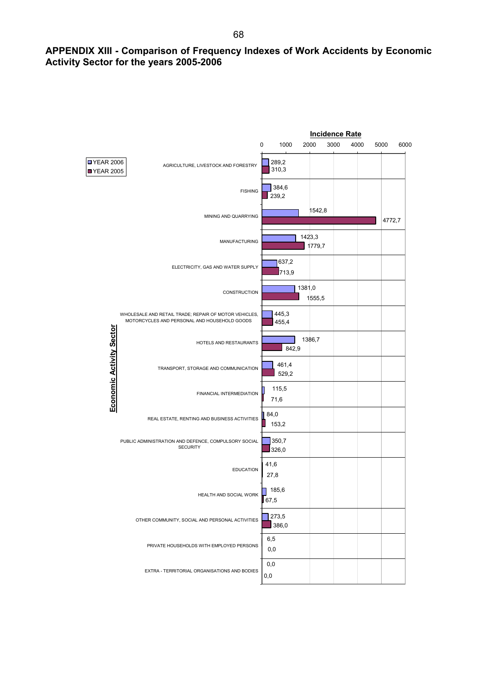## **APPENDIX XIII - Comparison of Frequency Indexes of Work Accidents by Economic Activity Sector for the years 2005-2006**

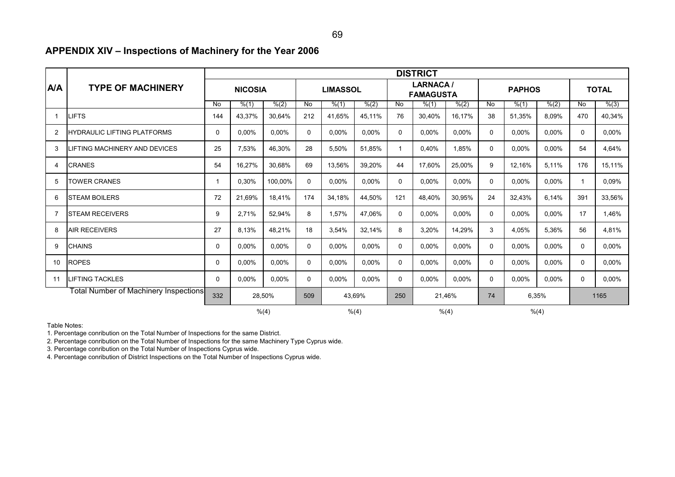## **APPENDIX XIV – Inspections of Machinery for the Year 2006**

|                |                                              | <b>DISTRICT</b> |          |                 |                 |        |          |                                     |          |          |               |          |                 |              |          |  |
|----------------|----------------------------------------------|-----------------|----------|-----------------|-----------------|--------|----------|-------------------------------------|----------|----------|---------------|----------|-----------------|--------------|----------|--|
| <b>A/A</b>     | <b>TYPE OF MACHINERY</b>                     | <b>NICOSIA</b>  |          |                 | <b>LIMASSOL</b> |        |          | <b>LARNACA/</b><br><b>FAMAGUSTA</b> |          |          | <b>PAPHOS</b> |          |                 | <b>TOTAL</b> |          |  |
|                |                                              | No              | % (1)    | $\sqrt[6]{(2)}$ | No              | % (1)  | % (2)    | No                                  | % (1)    | % (2)    | No            | % (1)    | $\sqrt[6]{(2)}$ | No           | % (3)    |  |
|                | <b>LIFTS</b>                                 | 144             | 43,37%   | 30,64%          | 212             | 41,65% | 45,11%   | 76                                  | 30,40%   | 16,17%   | 38            | 51,35%   | 8,09%           | 470          | 40,34%   |  |
| $\overline{2}$ | <b>HYDRAULIC LIFTING PLATFORMS</b>           | 0               | 0,00%    | $0.00\%$        | $\mathbf{0}$    | 0,00%  | 0,00%    | $\mathbf{0}$                        | 0,00%    | 0,00%    | $\mathbf{0}$  | 0.00%    | 0,00%           | $\Omega$     | 0,00%    |  |
| 3              | LIFTING MACHINERY AND DEVICES                | 25              | 7,53%    | 46,30%          | 28              | 5,50%  | 51,85%   | 1                                   | 0,40%    | 1,85%    | 0             | 0,00%    | 0,00%           | 54           | 4,64%    |  |
| 4              | <b>CRANES</b>                                | 54              | 16,27%   | 30,68%          | 69              | 13,56% | 39,20%   | 44                                  | 17,60%   | 25,00%   | 9             | 12,16%   | 5,11%           | 176          | 15,11%   |  |
| 5              | <b>TOWER CRANES</b>                          | $\mathbf{1}$    | 0,30%    | 100,00%         | $\mathbf{0}$    | 0,00%  | $0.00\%$ | $\mathbf{0}$                        | 0,00%    | 0,00%    | $\mathbf{0}$  | 0.00%    | 0,00%           |              | 0,09%    |  |
| 6              | <b>STEAM BOILERS</b>                         | 72              | 21,69%   | 18,41%          | 174             | 34,18% | 44,50%   | 121                                 | 48,40%   | 30,95%   | 24            | 32,43%   | 6,14%           | 391          | 33,56%   |  |
|                | <b>STEAM RECEIVERS</b>                       | 9               | 2,71%    | 52,94%          | 8               | 1,57%  | 47,06%   | $\mathbf{0}$                        | 0.00%    | 0,00%    | $\mathbf{0}$  | 0,00%    | 0,00%           | 17           | 1,46%    |  |
| 8              | <b>AIR RECEIVERS</b>                         | 27              | 8,13%    | 48,21%          | 18              | 3,54%  | 32,14%   | 8                                   | 3,20%    | 14,29%   | 3             | 4.05%    | 5.36%           | 56           | 4.81%    |  |
| 9              | <b>CHAINS</b>                                | $\mathbf 0$     | 0,00%    | 0,00%           | $\mathbf 0$     | 0,00%  | 0.00%    | $\Omega$                            | 0,00%    | 0,00%    | $\mathbf 0$   | 0,00%    | 0,00%           | $\Omega$     | 0,00%    |  |
| 10             | <b>ROPES</b>                                 | $\mathbf{0}$    | 0,00%    | 0,00%           | $\mathbf{0}$    | 0,00%  | $0.00\%$ | 0                                   | 0,00%    | 0,00%    | $\mathbf{0}$  | 0,00%    | 0,00%           | $\Omega$     | 0,00%    |  |
| 11             | <b>LIFTING TACKLES</b>                       | 0               | $0.00\%$ | $0.00\%$        | $\mathbf{0}$    | 0,00%  | 0.00%    | 0                                   | $0.00\%$ | $0.00\%$ | $\mathbf{0}$  | $0.00\%$ | $0.00\%$        | $\Omega$     | $0.00\%$ |  |
|                | <b>Fotal Number of Machinery Inspections</b> | 332             | 28,50%   |                 | 43,69%<br>509   |        |          | 250                                 | 21,46%   |          | 74            | 6,35%    |                 | 1165         |          |  |
|                |                                              |                 |          | % (4)           |                 | % (4)  |          |                                     |          | % (4)    |               | % (4)    |                 |              |          |  |

Table Notes:

1. Percentage conribution on the Total Number of Inspections for the same District.

2. Percentage conribution on the Total Number of Inspections for the same Machinery Type Cyprus wide.

3. Percentage conribution on the Total Number of Inspections Cyprus wide.

4. Percentage conribution of District Inspections on the Total Number of Inspections Cyprus wide.